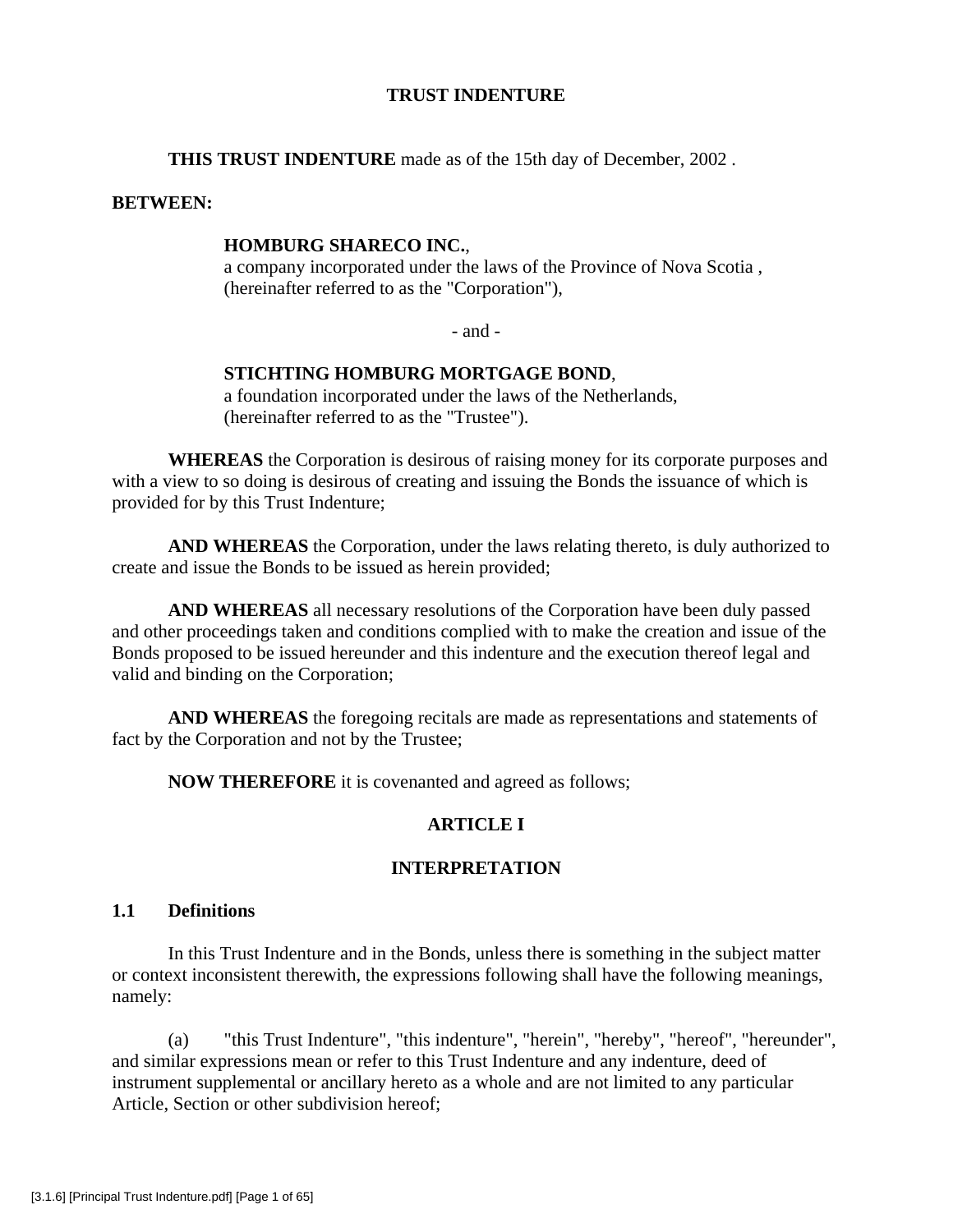# **TRUST INDENTURE**

**THIS TRUST INDENTURE** made as of the 15th day of December, 2002 .

# **BETWEEN:**

# **HOMBURG SHARECO INC.**,

a company incorporated under the laws of the Province of Nova Scotia , (hereinafter referred to as the "Corporation"),

- and -

# **STICHTING HOMBURG MORTGAGE BOND**,

a foundation incorporated under the laws of the Netherlands, (hereinafter referred to as the "Trustee").

**WHEREAS** the Corporation is desirous of raising money for its corporate purposes and with a view to so doing is desirous of creating and issuing the Bonds the issuance of which is provided for by this Trust Indenture;

**AND WHEREAS** the Corporation, under the laws relating thereto, is duly authorized to create and issue the Bonds to be issued as herein provided;

**AND WHEREAS** all necessary resolutions of the Corporation have been duly passed and other proceedings taken and conditions complied with to make the creation and issue of the Bonds proposed to be issued hereunder and this indenture and the execution thereof legal and valid and binding on the Corporation;

**AND WHEREAS** the foregoing recitals are made as representations and statements of fact by the Corporation and not by the Trustee;

**NOW THEREFORE** it is covenanted and agreed as follows;

# **ARTICLE I**

# **INTERPRETATION**

# **1.1 Definitions**

 In this Trust Indenture and in the Bonds, unless there is something in the subject matter or context inconsistent therewith, the expressions following shall have the following meanings, namely:

(a) "this Trust Indenture", "this indenture", "herein", "hereby", "hereof", "hereunder", and similar expressions mean or refer to this Trust Indenture and any indenture, deed of instrument supplemental or ancillary hereto as a whole and are not limited to any particular Article, Section or other subdivision hereof;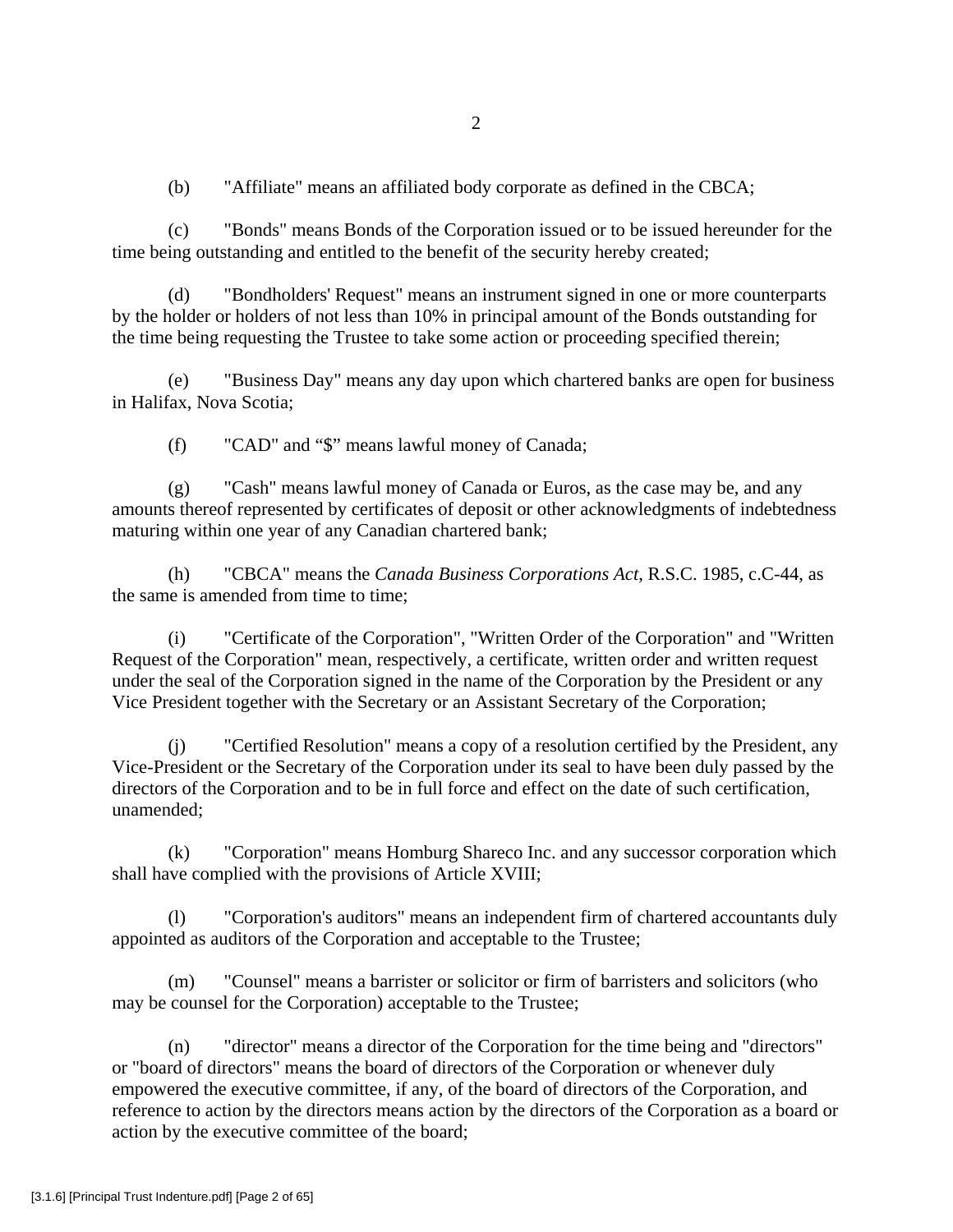(b) "Affiliate" means an affiliated body corporate as defined in the CBCA;

(c) "Bonds" means Bonds of the Corporation issued or to be issued hereunder for the time being outstanding and entitled to the benefit of the security hereby created;

(d) "Bondholders' Request" means an instrument signed in one or more counterparts by the holder or holders of not less than 10% in principal amount of the Bonds outstanding for the time being requesting the Trustee to take some action or proceeding specified therein;

(e) "Business Day" means any day upon which chartered banks are open for business in Halifax, Nova Scotia;

(f) "CAD" and "\$" means lawful money of Canada;

(g) "Cash" means lawful money of Canada or Euros, as the case may be, and any amounts thereof represented by certificates of deposit or other acknowledgments of indebtedness maturing within one year of any Canadian chartered bank;

(h) "CBCA" means the *Canada Business Corporations Act*, R.S.C. 1985, c.C-44, as the same is amended from time to time;

(i) "Certificate of the Corporation", "Written Order of the Corporation" and "Written Request of the Corporation" mean, respectively, a certificate, written order and written request under the seal of the Corporation signed in the name of the Corporation by the President or any Vice President together with the Secretary or an Assistant Secretary of the Corporation;

(j) "Certified Resolution" means a copy of a resolution certified by the President, any Vice-President or the Secretary of the Corporation under its seal to have been duly passed by the directors of the Corporation and to be in full force and effect on the date of such certification, unamended;

(k) "Corporation" means Homburg Shareco Inc. and any successor corporation which shall have complied with the provisions of Article XVIII;

(l) "Corporation's auditors" means an independent firm of chartered accountants duly appointed as auditors of the Corporation and acceptable to the Trustee;

(m) "Counsel" means a barrister or solicitor or firm of barristers and solicitors (who may be counsel for the Corporation) acceptable to the Trustee;

(n) "director" means a director of the Corporation for the time being and "directors" or "board of directors" means the board of directors of the Corporation or whenever duly empowered the executive committee, if any, of the board of directors of the Corporation, and reference to action by the directors means action by the directors of the Corporation as a board or action by the executive committee of the board;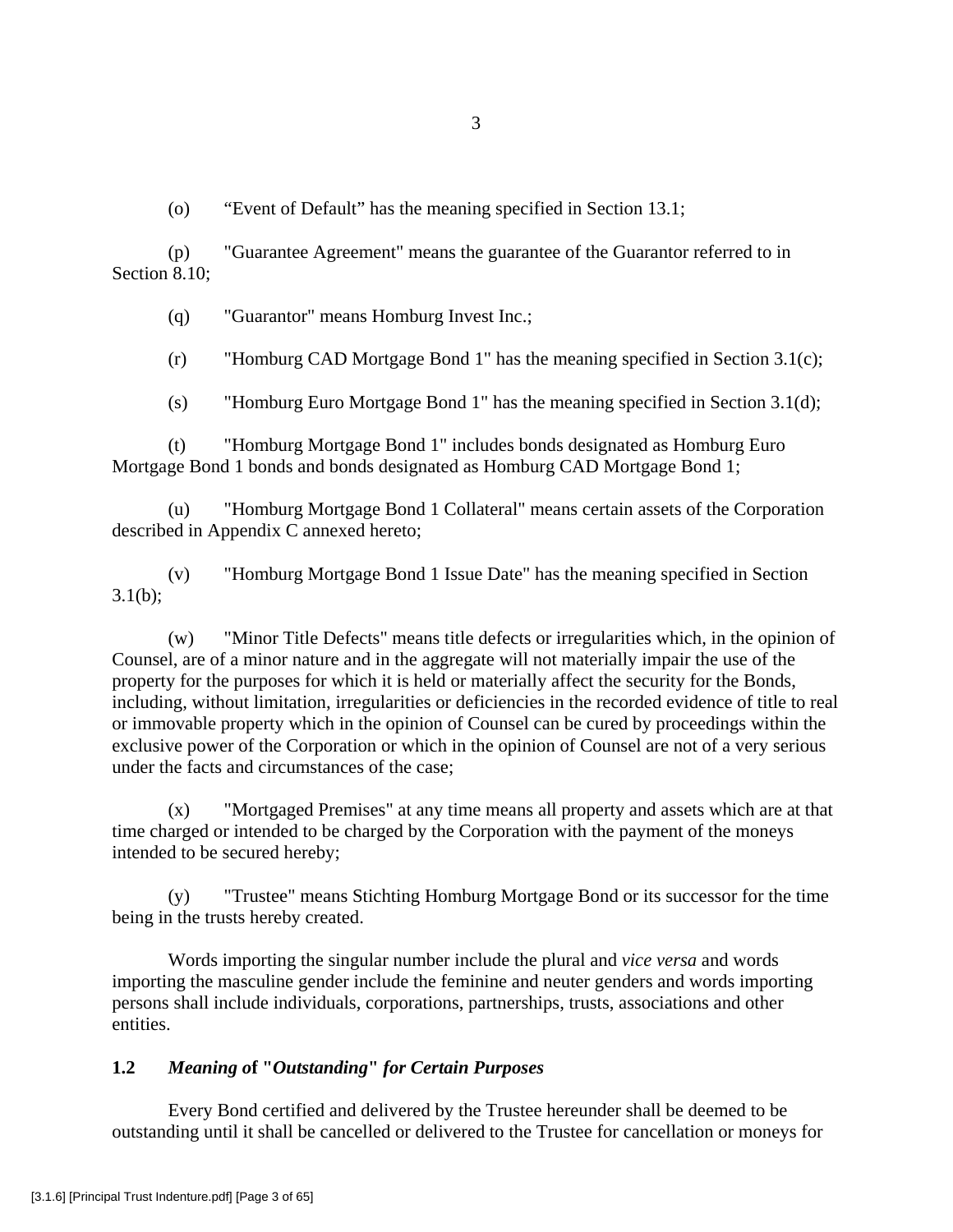(o) "Event of Default" has the meaning specified in Section 13.1;

(p) "Guarantee Agreement" means the guarantee of the Guarantor referred to in Section 8.10;

(q) "Guarantor" means Homburg Invest Inc.;

(r) "Homburg CAD Mortgage Bond 1" has the meaning specified in Section 3.1(c);

(s) "Homburg Euro Mortgage Bond 1" has the meaning specified in Section 3.1(d);

(t) "Homburg Mortgage Bond 1" includes bonds designated as Homburg Euro Mortgage Bond 1 bonds and bonds designated as Homburg CAD Mortgage Bond 1;

(u) "Homburg Mortgage Bond 1 Collateral" means certain assets of the Corporation described in Appendix C annexed hereto;

(v) "Homburg Mortgage Bond 1 Issue Date" has the meaning specified in Section  $3.1(b)$ ;

(w) "Minor Title Defects" means title defects or irregularities which, in the opinion of Counsel, are of a minor nature and in the aggregate will not materially impair the use of the property for the purposes for which it is held or materially affect the security for the Bonds, including, without limitation, irregularities or deficiencies in the recorded evidence of title to real or immovable property which in the opinion of Counsel can be cured by proceedings within the exclusive power of the Corporation or which in the opinion of Counsel are not of a very serious under the facts and circumstances of the case;

(x) "Mortgaged Premises" at any time means all property and assets which are at that time charged or intended to be charged by the Corporation with the payment of the moneys intended to be secured hereby;

(y) "Trustee" means Stichting Homburg Mortgage Bond or its successor for the time being in the trusts hereby created.

 Words importing the singular number include the plural and *vice versa* and words importing the masculine gender include the feminine and neuter genders and words importing persons shall include individuals, corporations, partnerships, trusts, associations and other entities.

# **1.2** *Meaning o***f "***Outstanding***"** *for Certain Purposes*

 Every Bond certified and delivered by the Trustee hereunder shall be deemed to be outstanding until it shall be cancelled or delivered to the Trustee for cancellation or moneys for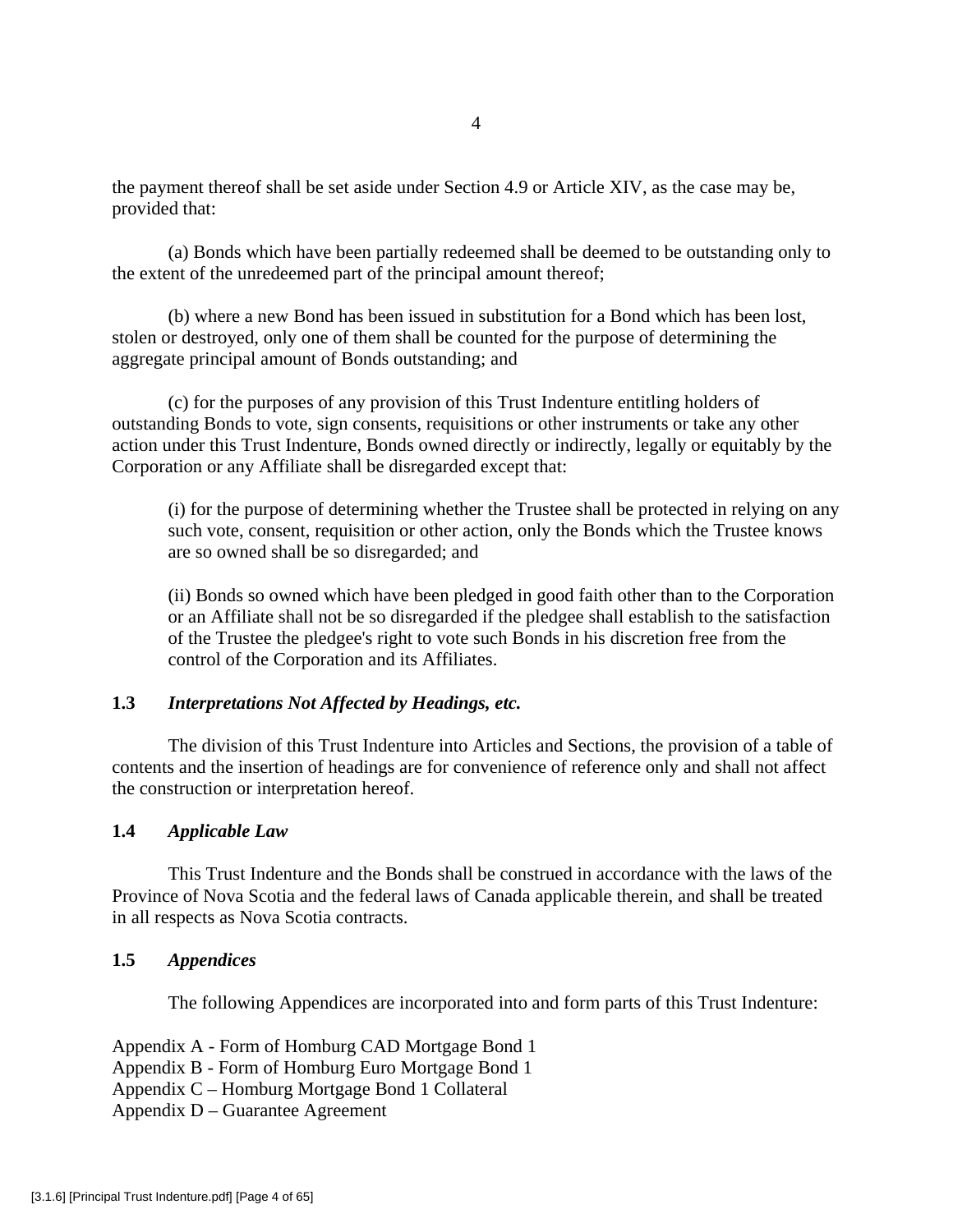the payment thereof shall be set aside under Section 4.9 or Article XIV, as the case may be, provided that:

 (a) Bonds which have been partially redeemed shall be deemed to be outstanding only to the extent of the unredeemed part of the principal amount thereof;

 (b) where a new Bond has been issued in substitution for a Bond which has been lost, stolen or destroyed, only one of them shall be counted for the purpose of determining the aggregate principal amount of Bonds outstanding; and

 (c) for the purposes of any provision of this Trust Indenture entitling holders of outstanding Bonds to vote, sign consents, requisitions or other instruments or take any other action under this Trust Indenture, Bonds owned directly or indirectly, legally or equitably by the Corporation or any Affiliate shall be disregarded except that:

(i) for the purpose of determining whether the Trustee shall be protected in relying on any such vote, consent, requisition or other action, only the Bonds which the Trustee knows are so owned shall be so disregarded; and

(ii) Bonds so owned which have been pledged in good faith other than to the Corporation or an Affiliate shall not be so disregarded if the pledgee shall establish to the satisfaction of the Trustee the pledgee's right to vote such Bonds in his discretion free from the control of the Corporation and its Affiliates.

# **1.3** *Interpretations Not Affected by Headings, etc.*

 The division of this Trust Indenture into Articles and Sections, the provision of a table of contents and the insertion of headings are for convenience of reference only and shall not affect the construction or interpretation hereof.

# **1.4** *Applicable Law*

 This Trust Indenture and the Bonds shall be construed in accordance with the laws of the Province of Nova Scotia and the federal laws of Canada applicable therein, and shall be treated in all respects as Nova Scotia contracts.

# **1.5** *Appendices*

The following Appendices are incorporated into and form parts of this Trust Indenture:

- Appendix A Form of Homburg CAD Mortgage Bond 1
- Appendix B Form of Homburg Euro Mortgage Bond 1
- Appendix C Homburg Mortgage Bond 1 Collateral
- Appendix D Guarantee Agreement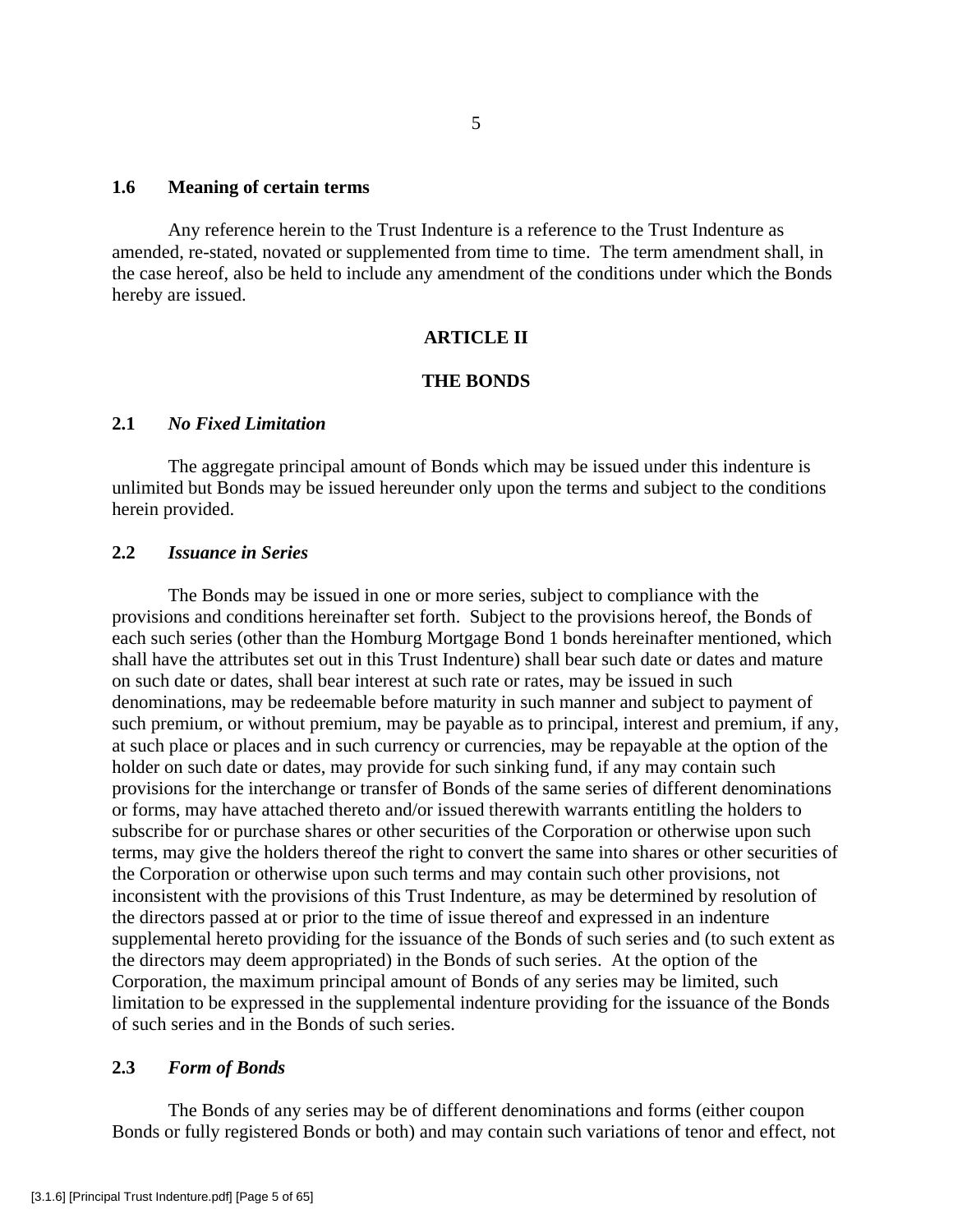## **1.6 Meaning of certain terms**

 Any reference herein to the Trust Indenture is a reference to the Trust Indenture as amended, re-stated, novated or supplemented from time to time. The term amendment shall, in the case hereof, also be held to include any amendment of the conditions under which the Bonds hereby are issued.

## **ARTICLE II**

## **THE BONDS**

# **2.1** *No Fixed Limitation*

 The aggregate principal amount of Bonds which may be issued under this indenture is unlimited but Bonds may be issued hereunder only upon the terms and subject to the conditions herein provided.

# **2.2** *Issuance in Series*

 The Bonds may be issued in one or more series, subject to compliance with the provisions and conditions hereinafter set forth. Subject to the provisions hereof, the Bonds of each such series (other than the Homburg Mortgage Bond 1 bonds hereinafter mentioned, which shall have the attributes set out in this Trust Indenture) shall bear such date or dates and mature on such date or dates, shall bear interest at such rate or rates, may be issued in such denominations, may be redeemable before maturity in such manner and subject to payment of such premium, or without premium, may be payable as to principal, interest and premium, if any, at such place or places and in such currency or currencies, may be repayable at the option of the holder on such date or dates, may provide for such sinking fund, if any may contain such provisions for the interchange or transfer of Bonds of the same series of different denominations or forms, may have attached thereto and/or issued therewith warrants entitling the holders to subscribe for or purchase shares or other securities of the Corporation or otherwise upon such terms, may give the holders thereof the right to convert the same into shares or other securities of the Corporation or otherwise upon such terms and may contain such other provisions, not inconsistent with the provisions of this Trust Indenture, as may be determined by resolution of the directors passed at or prior to the time of issue thereof and expressed in an indenture supplemental hereto providing for the issuance of the Bonds of such series and (to such extent as the directors may deem appropriated) in the Bonds of such series. At the option of the Corporation, the maximum principal amount of Bonds of any series may be limited, such limitation to be expressed in the supplemental indenture providing for the issuance of the Bonds of such series and in the Bonds of such series.

# **2.3** *Form of Bonds*

 The Bonds of any series may be of different denominations and forms (either coupon Bonds or fully registered Bonds or both) and may contain such variations of tenor and effect, not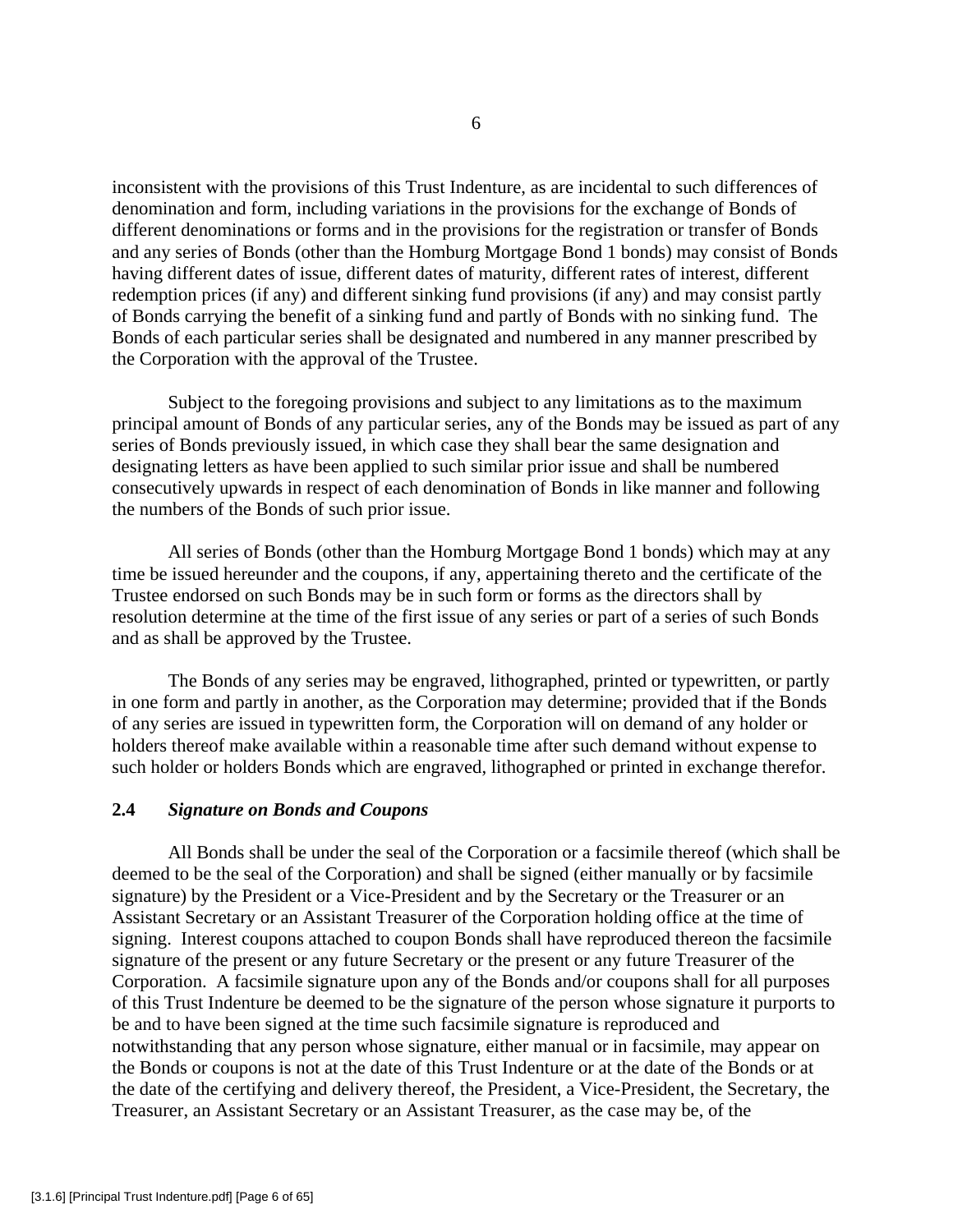inconsistent with the provisions of this Trust Indenture, as are incidental to such differences of denomination and form, including variations in the provisions for the exchange of Bonds of different denominations or forms and in the provisions for the registration or transfer of Bonds and any series of Bonds (other than the Homburg Mortgage Bond 1 bonds) may consist of Bonds having different dates of issue, different dates of maturity, different rates of interest, different redemption prices (if any) and different sinking fund provisions (if any) and may consist partly of Bonds carrying the benefit of a sinking fund and partly of Bonds with no sinking fund. The Bonds of each particular series shall be designated and numbered in any manner prescribed by the Corporation with the approval of the Trustee.

 Subject to the foregoing provisions and subject to any limitations as to the maximum principal amount of Bonds of any particular series, any of the Bonds may be issued as part of any series of Bonds previously issued, in which case they shall bear the same designation and designating letters as have been applied to such similar prior issue and shall be numbered consecutively upwards in respect of each denomination of Bonds in like manner and following the numbers of the Bonds of such prior issue.

 All series of Bonds (other than the Homburg Mortgage Bond 1 bonds) which may at any time be issued hereunder and the coupons, if any, appertaining thereto and the certificate of the Trustee endorsed on such Bonds may be in such form or forms as the directors shall by resolution determine at the time of the first issue of any series or part of a series of such Bonds and as shall be approved by the Trustee.

 The Bonds of any series may be engraved, lithographed, printed or typewritten, or partly in one form and partly in another, as the Corporation may determine; provided that if the Bonds of any series are issued in typewritten form, the Corporation will on demand of any holder or holders thereof make available within a reasonable time after such demand without expense to such holder or holders Bonds which are engraved, lithographed or printed in exchange therefor.

## **2.4** *Signature on Bonds and Coupons*

 All Bonds shall be under the seal of the Corporation or a facsimile thereof (which shall be deemed to be the seal of the Corporation) and shall be signed (either manually or by facsimile signature) by the President or a Vice-President and by the Secretary or the Treasurer or an Assistant Secretary or an Assistant Treasurer of the Corporation holding office at the time of signing. Interest coupons attached to coupon Bonds shall have reproduced thereon the facsimile signature of the present or any future Secretary or the present or any future Treasurer of the Corporation. A facsimile signature upon any of the Bonds and/or coupons shall for all purposes of this Trust Indenture be deemed to be the signature of the person whose signature it purports to be and to have been signed at the time such facsimile signature is reproduced and notwithstanding that any person whose signature, either manual or in facsimile, may appear on the Bonds or coupons is not at the date of this Trust Indenture or at the date of the Bonds or at the date of the certifying and delivery thereof, the President, a Vice-President, the Secretary, the Treasurer, an Assistant Secretary or an Assistant Treasurer, as the case may be, of the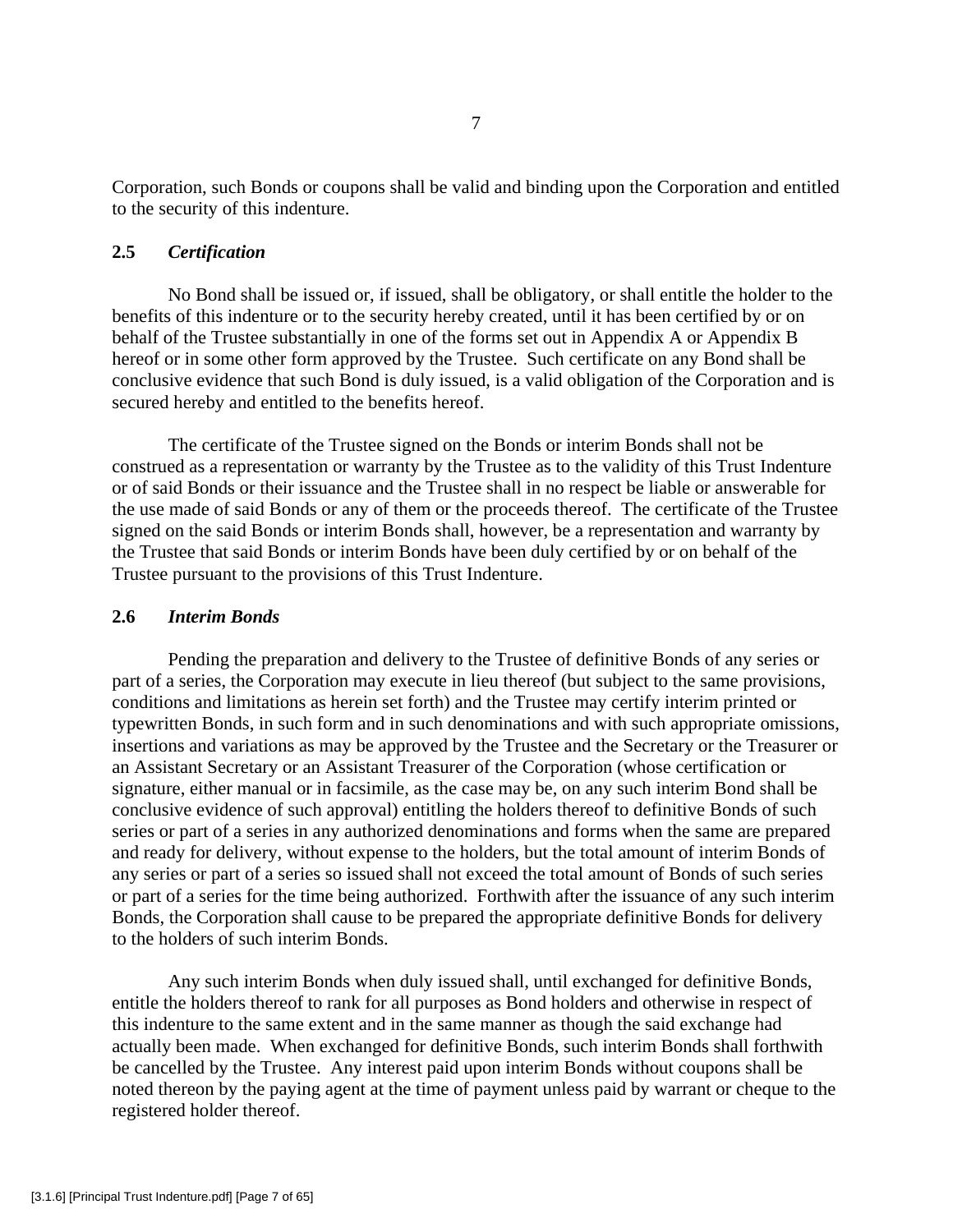Corporation, such Bonds or coupons shall be valid and binding upon the Corporation and entitled to the security of this indenture.

# **2.5** *Certification*

 No Bond shall be issued or, if issued, shall be obligatory, or shall entitle the holder to the benefits of this indenture or to the security hereby created, until it has been certified by or on behalf of the Trustee substantially in one of the forms set out in Appendix A or Appendix B hereof or in some other form approved by the Trustee. Such certificate on any Bond shall be conclusive evidence that such Bond is duly issued, is a valid obligation of the Corporation and is secured hereby and entitled to the benefits hereof.

 The certificate of the Trustee signed on the Bonds or interim Bonds shall not be construed as a representation or warranty by the Trustee as to the validity of this Trust Indenture or of said Bonds or their issuance and the Trustee shall in no respect be liable or answerable for the use made of said Bonds or any of them or the proceeds thereof. The certificate of the Trustee signed on the said Bonds or interim Bonds shall, however, be a representation and warranty by the Trustee that said Bonds or interim Bonds have been duly certified by or on behalf of the Trustee pursuant to the provisions of this Trust Indenture.

# **2.6** *Interim Bonds*

 Pending the preparation and delivery to the Trustee of definitive Bonds of any series or part of a series, the Corporation may execute in lieu thereof (but subject to the same provisions, conditions and limitations as herein set forth) and the Trustee may certify interim printed or typewritten Bonds, in such form and in such denominations and with such appropriate omissions, insertions and variations as may be approved by the Trustee and the Secretary or the Treasurer or an Assistant Secretary or an Assistant Treasurer of the Corporation (whose certification or signature, either manual or in facsimile, as the case may be, on any such interim Bond shall be conclusive evidence of such approval) entitling the holders thereof to definitive Bonds of such series or part of a series in any authorized denominations and forms when the same are prepared and ready for delivery, without expense to the holders, but the total amount of interim Bonds of any series or part of a series so issued shall not exceed the total amount of Bonds of such series or part of a series for the time being authorized. Forthwith after the issuance of any such interim Bonds, the Corporation shall cause to be prepared the appropriate definitive Bonds for delivery to the holders of such interim Bonds.

 Any such interim Bonds when duly issued shall, until exchanged for definitive Bonds, entitle the holders thereof to rank for all purposes as Bond holders and otherwise in respect of this indenture to the same extent and in the same manner as though the said exchange had actually been made. When exchanged for definitive Bonds, such interim Bonds shall forthwith be cancelled by the Trustee. Any interest paid upon interim Bonds without coupons shall be noted thereon by the paying agent at the time of payment unless paid by warrant or cheque to the registered holder thereof.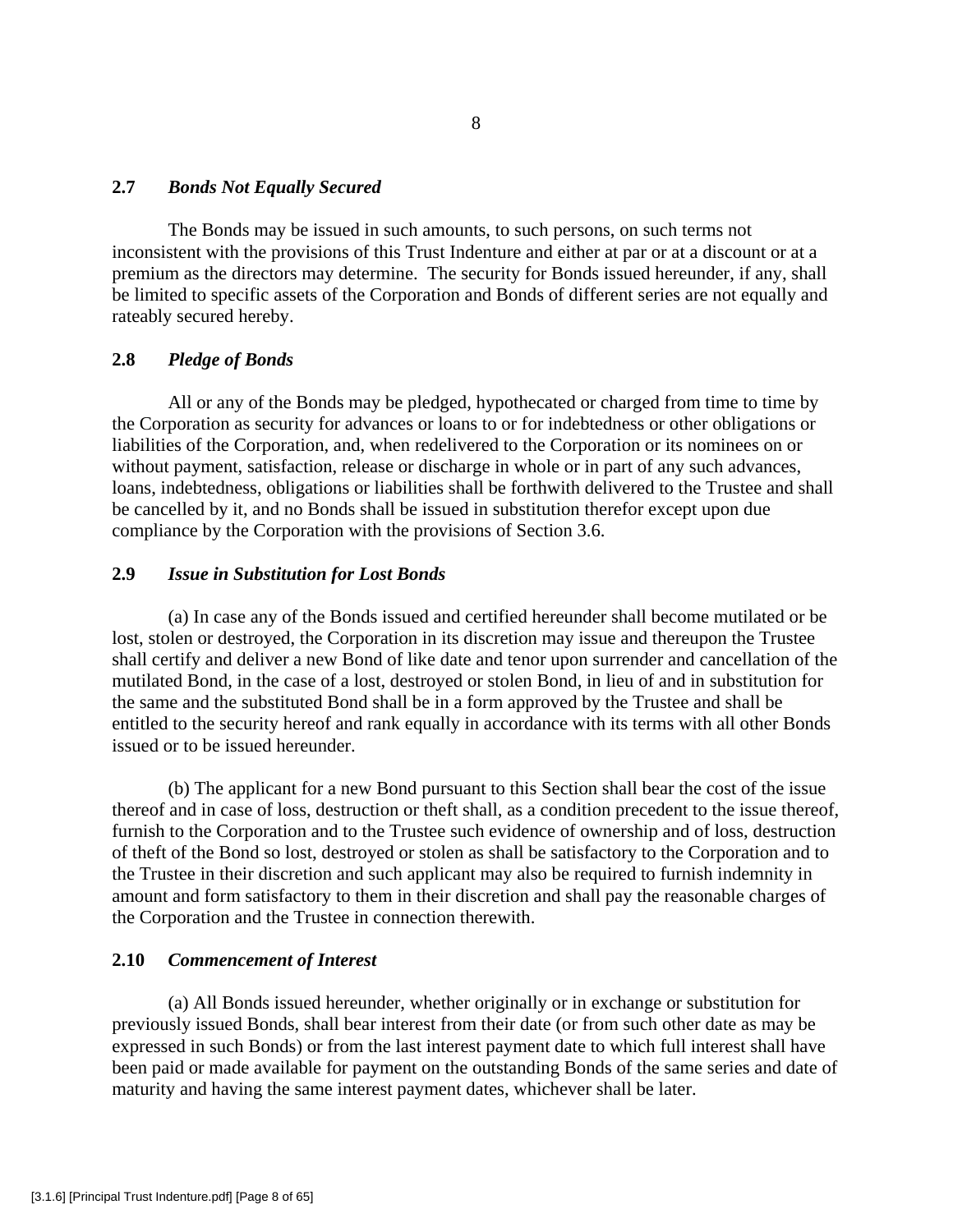## **2.7** *Bonds Not Equally Secured*

 The Bonds may be issued in such amounts, to such persons, on such terms not inconsistent with the provisions of this Trust Indenture and either at par or at a discount or at a premium as the directors may determine. The security for Bonds issued hereunder, if any, shall be limited to specific assets of the Corporation and Bonds of different series are not equally and rateably secured hereby.

# **2.8** *Pledge of Bonds*

 All or any of the Bonds may be pledged, hypothecated or charged from time to time by the Corporation as security for advances or loans to or for indebtedness or other obligations or liabilities of the Corporation, and, when redelivered to the Corporation or its nominees on or without payment, satisfaction, release or discharge in whole or in part of any such advances, loans, indebtedness, obligations or liabilities shall be forthwith delivered to the Trustee and shall be cancelled by it, and no Bonds shall be issued in substitution therefor except upon due compliance by the Corporation with the provisions of Section 3.6.

# **2.9** *Issue in Substitution for Lost Bonds*

 (a) In case any of the Bonds issued and certified hereunder shall become mutilated or be lost, stolen or destroyed, the Corporation in its discretion may issue and thereupon the Trustee shall certify and deliver a new Bond of like date and tenor upon surrender and cancellation of the mutilated Bond, in the case of a lost, destroyed or stolen Bond, in lieu of and in substitution for the same and the substituted Bond shall be in a form approved by the Trustee and shall be entitled to the security hereof and rank equally in accordance with its terms with all other Bonds issued or to be issued hereunder.

 (b) The applicant for a new Bond pursuant to this Section shall bear the cost of the issue thereof and in case of loss, destruction or theft shall, as a condition precedent to the issue thereof, furnish to the Corporation and to the Trustee such evidence of ownership and of loss, destruction of theft of the Bond so lost, destroyed or stolen as shall be satisfactory to the Corporation and to the Trustee in their discretion and such applicant may also be required to furnish indemnity in amount and form satisfactory to them in their discretion and shall pay the reasonable charges of the Corporation and the Trustee in connection therewith.

## **2.10** *Commencement of Interest*

 (a) All Bonds issued hereunder, whether originally or in exchange or substitution for previously issued Bonds, shall bear interest from their date (or from such other date as may be expressed in such Bonds) or from the last interest payment date to which full interest shall have been paid or made available for payment on the outstanding Bonds of the same series and date of maturity and having the same interest payment dates, whichever shall be later.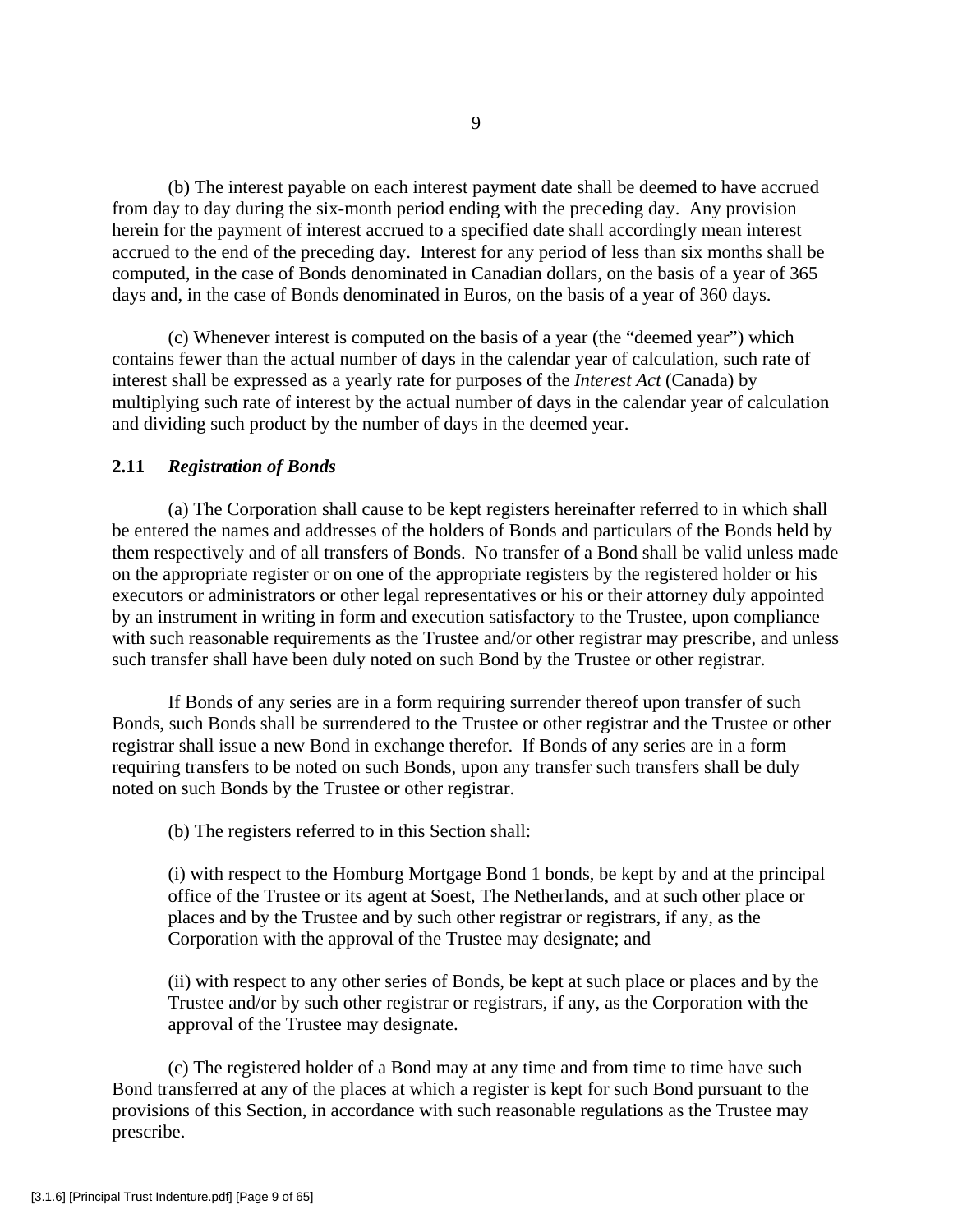(b) The interest payable on each interest payment date shall be deemed to have accrued from day to day during the six-month period ending with the preceding day. Any provision herein for the payment of interest accrued to a specified date shall accordingly mean interest accrued to the end of the preceding day. Interest for any period of less than six months shall be computed, in the case of Bonds denominated in Canadian dollars, on the basis of a year of 365 days and, in the case of Bonds denominated in Euros, on the basis of a year of 360 days.

 (c) Whenever interest is computed on the basis of a year (the "deemed year") which contains fewer than the actual number of days in the calendar year of calculation, such rate of interest shall be expressed as a yearly rate for purposes of the *Interest Act* (Canada) by multiplying such rate of interest by the actual number of days in the calendar year of calculation and dividing such product by the number of days in the deemed year.

## **2.11** *Registration of Bonds*

 (a) The Corporation shall cause to be kept registers hereinafter referred to in which shall be entered the names and addresses of the holders of Bonds and particulars of the Bonds held by them respectively and of all transfers of Bonds. No transfer of a Bond shall be valid unless made on the appropriate register or on one of the appropriate registers by the registered holder or his executors or administrators or other legal representatives or his or their attorney duly appointed by an instrument in writing in form and execution satisfactory to the Trustee, upon compliance with such reasonable requirements as the Trustee and/or other registrar may prescribe, and unless such transfer shall have been duly noted on such Bond by the Trustee or other registrar.

 If Bonds of any series are in a form requiring surrender thereof upon transfer of such Bonds, such Bonds shall be surrendered to the Trustee or other registrar and the Trustee or other registrar shall issue a new Bond in exchange therefor. If Bonds of any series are in a form requiring transfers to be noted on such Bonds, upon any transfer such transfers shall be duly noted on such Bonds by the Trustee or other registrar.

(b) The registers referred to in this Section shall:

(i) with respect to the Homburg Mortgage Bond 1 bonds, be kept by and at the principal office of the Trustee or its agent at Soest, The Netherlands, and at such other place or places and by the Trustee and by such other registrar or registrars, if any, as the Corporation with the approval of the Trustee may designate; and

(ii) with respect to any other series of Bonds, be kept at such place or places and by the Trustee and/or by such other registrar or registrars, if any, as the Corporation with the approval of the Trustee may designate.

 (c) The registered holder of a Bond may at any time and from time to time have such Bond transferred at any of the places at which a register is kept for such Bond pursuant to the provisions of this Section, in accordance with such reasonable regulations as the Trustee may prescribe.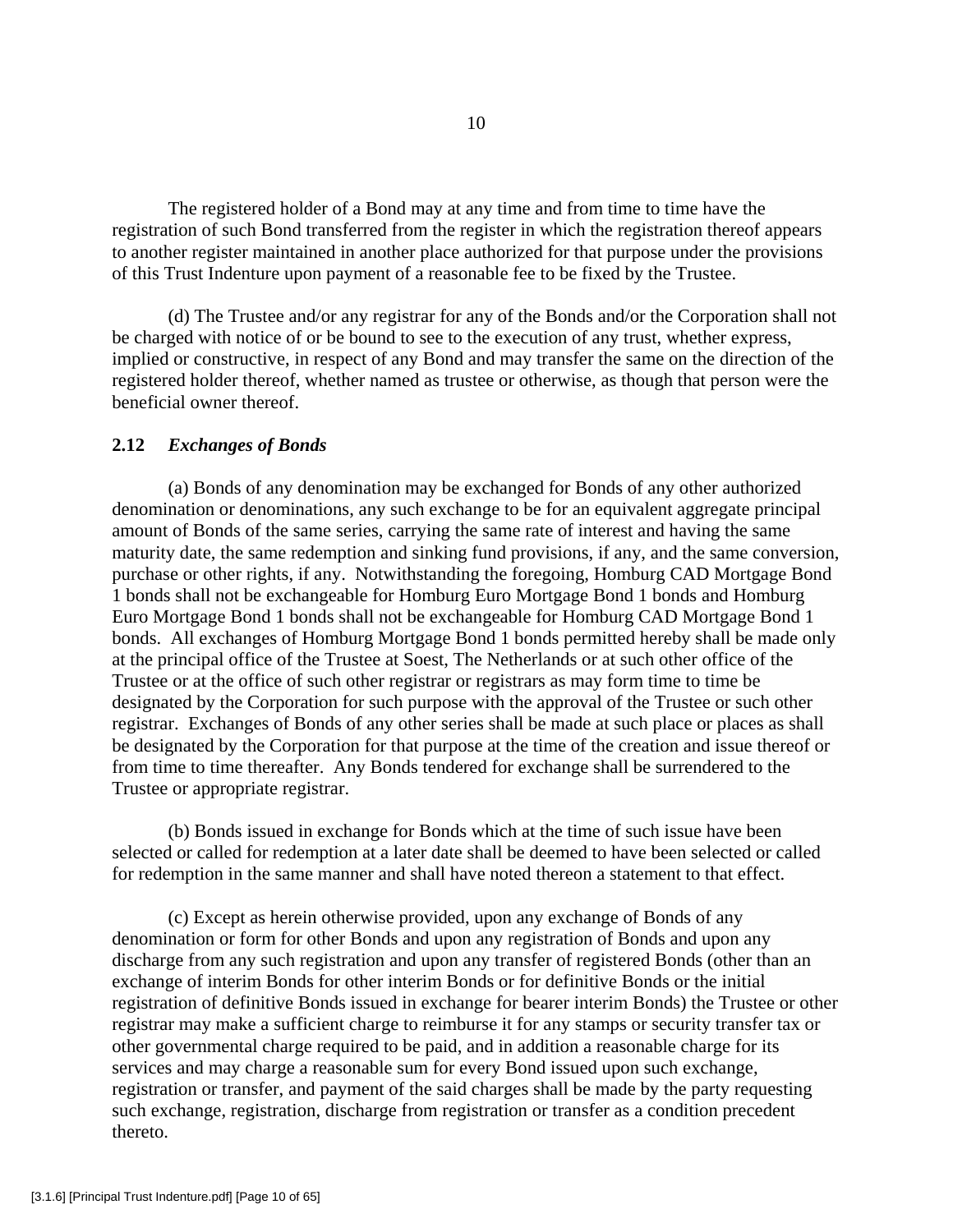The registered holder of a Bond may at any time and from time to time have the registration of such Bond transferred from the register in which the registration thereof appears to another register maintained in another place authorized for that purpose under the provisions of this Trust Indenture upon payment of a reasonable fee to be fixed by the Trustee.

 (d) The Trustee and/or any registrar for any of the Bonds and/or the Corporation shall not be charged with notice of or be bound to see to the execution of any trust, whether express, implied or constructive, in respect of any Bond and may transfer the same on the direction of the registered holder thereof, whether named as trustee or otherwise, as though that person were the beneficial owner thereof.

## **2.12** *Exchanges of Bonds*

 (a) Bonds of any denomination may be exchanged for Bonds of any other authorized denomination or denominations, any such exchange to be for an equivalent aggregate principal amount of Bonds of the same series, carrying the same rate of interest and having the same maturity date, the same redemption and sinking fund provisions, if any, and the same conversion, purchase or other rights, if any. Notwithstanding the foregoing, Homburg CAD Mortgage Bond 1 bonds shall not be exchangeable for Homburg Euro Mortgage Bond 1 bonds and Homburg Euro Mortgage Bond 1 bonds shall not be exchangeable for Homburg CAD Mortgage Bond 1 bonds. All exchanges of Homburg Mortgage Bond 1 bonds permitted hereby shall be made only at the principal office of the Trustee at Soest, The Netherlands or at such other office of the Trustee or at the office of such other registrar or registrars as may form time to time be designated by the Corporation for such purpose with the approval of the Trustee or such other registrar. Exchanges of Bonds of any other series shall be made at such place or places as shall be designated by the Corporation for that purpose at the time of the creation and issue thereof or from time to time thereafter. Any Bonds tendered for exchange shall be surrendered to the Trustee or appropriate registrar.

 (b) Bonds issued in exchange for Bonds which at the time of such issue have been selected or called for redemption at a later date shall be deemed to have been selected or called for redemption in the same manner and shall have noted thereon a statement to that effect.

 (c) Except as herein otherwise provided, upon any exchange of Bonds of any denomination or form for other Bonds and upon any registration of Bonds and upon any discharge from any such registration and upon any transfer of registered Bonds (other than an exchange of interim Bonds for other interim Bonds or for definitive Bonds or the initial registration of definitive Bonds issued in exchange for bearer interim Bonds) the Trustee or other registrar may make a sufficient charge to reimburse it for any stamps or security transfer tax or other governmental charge required to be paid, and in addition a reasonable charge for its services and may charge a reasonable sum for every Bond issued upon such exchange, registration or transfer, and payment of the said charges shall be made by the party requesting such exchange, registration, discharge from registration or transfer as a condition precedent thereto.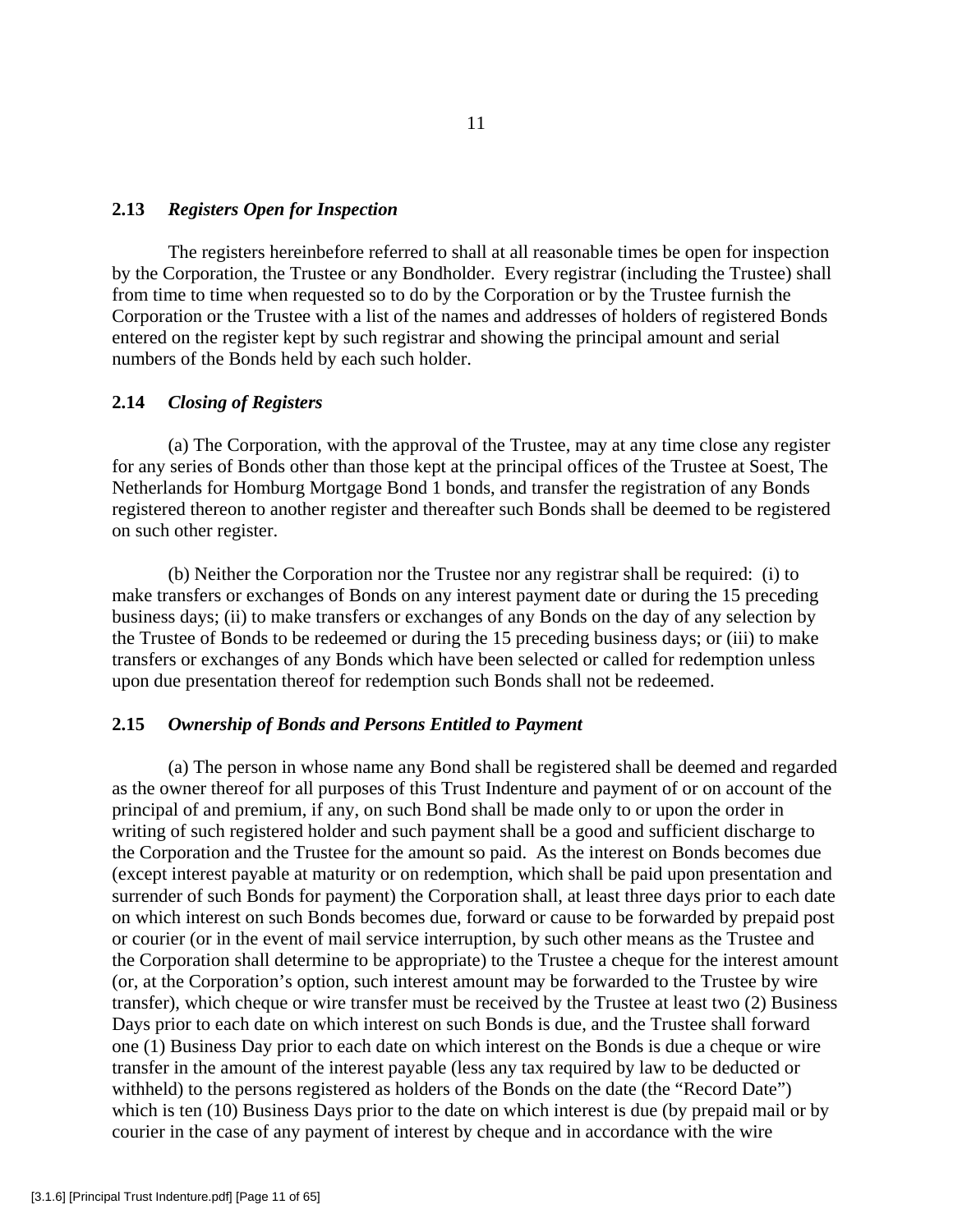#### **2.13** *Registers Open for Inspection*

 The registers hereinbefore referred to shall at all reasonable times be open for inspection by the Corporation, the Trustee or any Bondholder. Every registrar (including the Trustee) shall from time to time when requested so to do by the Corporation or by the Trustee furnish the Corporation or the Trustee with a list of the names and addresses of holders of registered Bonds entered on the register kept by such registrar and showing the principal amount and serial numbers of the Bonds held by each such holder.

# **2.14** *Closing of Registers*

 (a) The Corporation, with the approval of the Trustee, may at any time close any register for any series of Bonds other than those kept at the principal offices of the Trustee at Soest, The Netherlands for Homburg Mortgage Bond 1 bonds, and transfer the registration of any Bonds registered thereon to another register and thereafter such Bonds shall be deemed to be registered on such other register.

 (b) Neither the Corporation nor the Trustee nor any registrar shall be required: (i) to make transfers or exchanges of Bonds on any interest payment date or during the 15 preceding business days; (ii) to make transfers or exchanges of any Bonds on the day of any selection by the Trustee of Bonds to be redeemed or during the 15 preceding business days; or (iii) to make transfers or exchanges of any Bonds which have been selected or called for redemption unless upon due presentation thereof for redemption such Bonds shall not be redeemed.

## **2.15** *Ownership of Bonds and Persons Entitled to Payment*

 (a) The person in whose name any Bond shall be registered shall be deemed and regarded as the owner thereof for all purposes of this Trust Indenture and payment of or on account of the principal of and premium, if any, on such Bond shall be made only to or upon the order in writing of such registered holder and such payment shall be a good and sufficient discharge to the Corporation and the Trustee for the amount so paid. As the interest on Bonds becomes due (except interest payable at maturity or on redemption, which shall be paid upon presentation and surrender of such Bonds for payment) the Corporation shall, at least three days prior to each date on which interest on such Bonds becomes due, forward or cause to be forwarded by prepaid post or courier (or in the event of mail service interruption, by such other means as the Trustee and the Corporation shall determine to be appropriate) to the Trustee a cheque for the interest amount (or, at the Corporation's option, such interest amount may be forwarded to the Trustee by wire transfer), which cheque or wire transfer must be received by the Trustee at least two (2) Business Days prior to each date on which interest on such Bonds is due, and the Trustee shall forward one (1) Business Day prior to each date on which interest on the Bonds is due a cheque or wire transfer in the amount of the interest payable (less any tax required by law to be deducted or withheld) to the persons registered as holders of the Bonds on the date (the "Record Date") which is ten (10) Business Days prior to the date on which interest is due (by prepaid mail or by courier in the case of any payment of interest by cheque and in accordance with the wire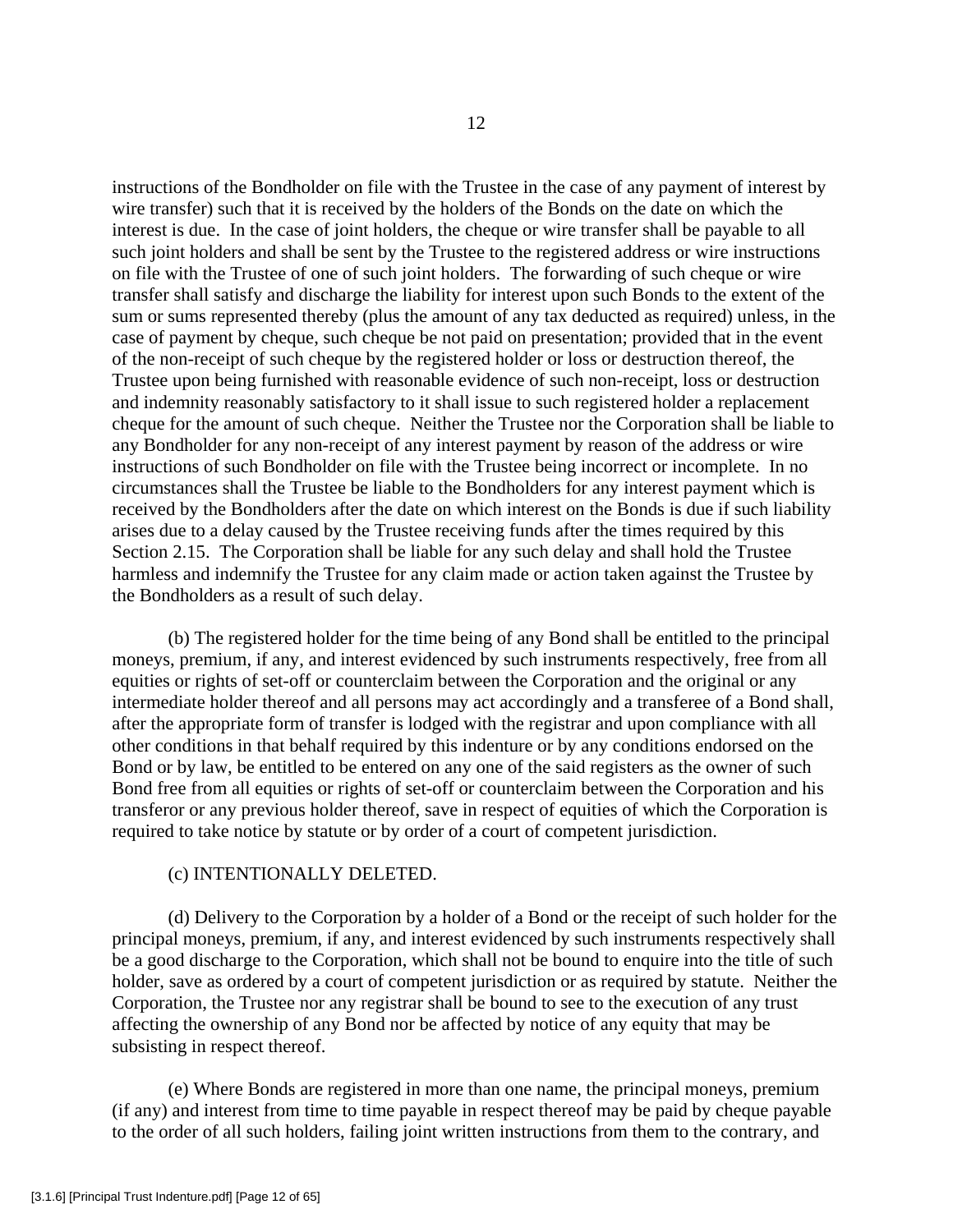instructions of the Bondholder on file with the Trustee in the case of any payment of interest by wire transfer) such that it is received by the holders of the Bonds on the date on which the interest is due. In the case of joint holders, the cheque or wire transfer shall be payable to all such joint holders and shall be sent by the Trustee to the registered address or wire instructions on file with the Trustee of one of such joint holders. The forwarding of such cheque or wire transfer shall satisfy and discharge the liability for interest upon such Bonds to the extent of the sum or sums represented thereby (plus the amount of any tax deducted as required) unless, in the case of payment by cheque, such cheque be not paid on presentation; provided that in the event of the non-receipt of such cheque by the registered holder or loss or destruction thereof, the Trustee upon being furnished with reasonable evidence of such non-receipt, loss or destruction and indemnity reasonably satisfactory to it shall issue to such registered holder a replacement cheque for the amount of such cheque. Neither the Trustee nor the Corporation shall be liable to any Bondholder for any non-receipt of any interest payment by reason of the address or wire instructions of such Bondholder on file with the Trustee being incorrect or incomplete. In no circumstances shall the Trustee be liable to the Bondholders for any interest payment which is received by the Bondholders after the date on which interest on the Bonds is due if such liability arises due to a delay caused by the Trustee receiving funds after the times required by this Section 2.15. The Corporation shall be liable for any such delay and shall hold the Trustee harmless and indemnify the Trustee for any claim made or action taken against the Trustee by the Bondholders as a result of such delay.

 (b) The registered holder for the time being of any Bond shall be entitled to the principal moneys, premium, if any, and interest evidenced by such instruments respectively, free from all equities or rights of set-off or counterclaim between the Corporation and the original or any intermediate holder thereof and all persons may act accordingly and a transferee of a Bond shall, after the appropriate form of transfer is lodged with the registrar and upon compliance with all other conditions in that behalf required by this indenture or by any conditions endorsed on the Bond or by law, be entitled to be entered on any one of the said registers as the owner of such Bond free from all equities or rights of set-off or counterclaim between the Corporation and his transferor or any previous holder thereof, save in respect of equities of which the Corporation is required to take notice by statute or by order of a court of competent jurisdiction.

## (c) INTENTIONALLY DELETED.

 (d) Delivery to the Corporation by a holder of a Bond or the receipt of such holder for the principal moneys, premium, if any, and interest evidenced by such instruments respectively shall be a good discharge to the Corporation, which shall not be bound to enquire into the title of such holder, save as ordered by a court of competent jurisdiction or as required by statute. Neither the Corporation, the Trustee nor any registrar shall be bound to see to the execution of any trust affecting the ownership of any Bond nor be affected by notice of any equity that may be subsisting in respect thereof.

 (e) Where Bonds are registered in more than one name, the principal moneys, premium (if any) and interest from time to time payable in respect thereof may be paid by cheque payable to the order of all such holders, failing joint written instructions from them to the contrary, and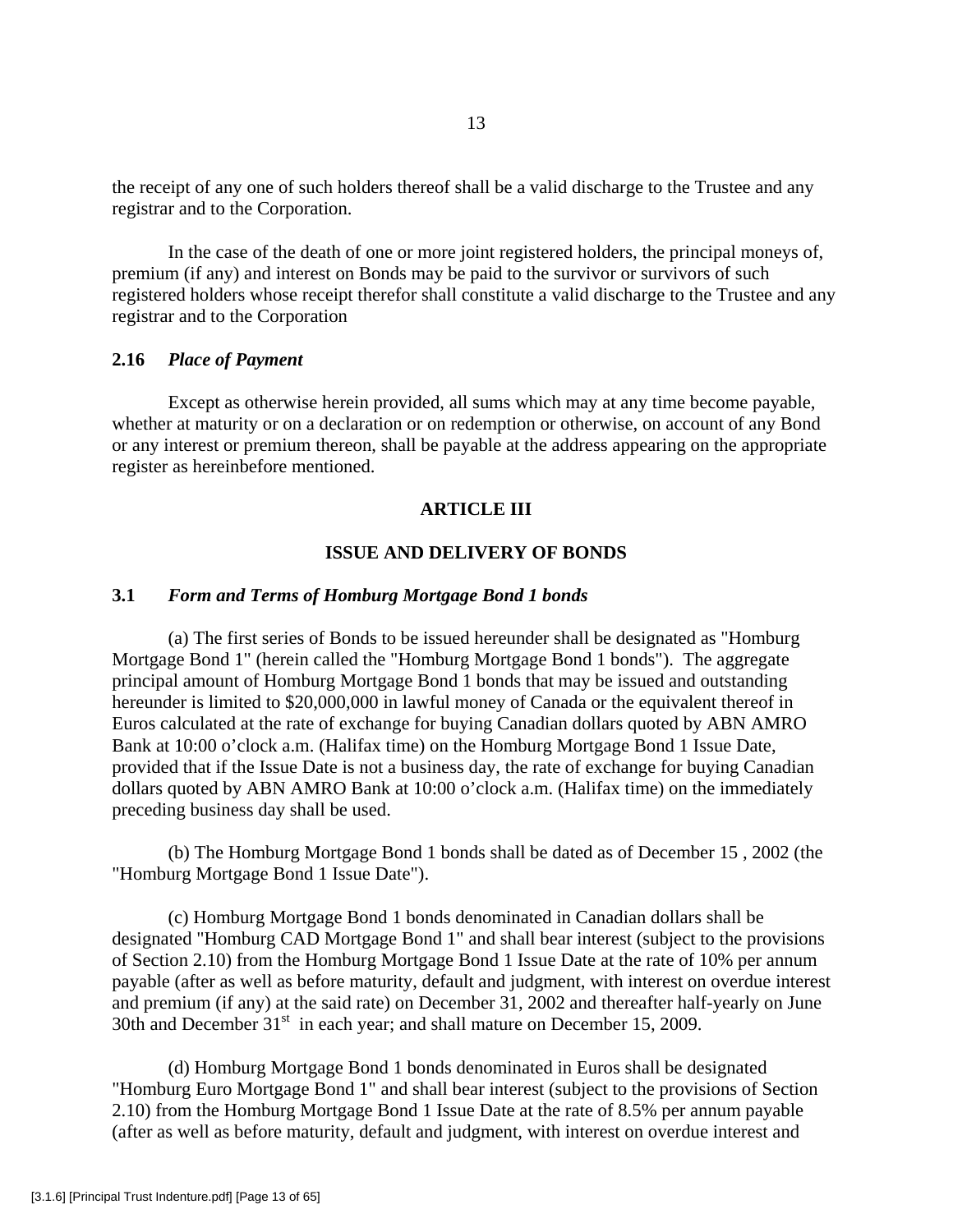the receipt of any one of such holders thereof shall be a valid discharge to the Trustee and any registrar and to the Corporation.

 In the case of the death of one or more joint registered holders, the principal moneys of, premium (if any) and interest on Bonds may be paid to the survivor or survivors of such registered holders whose receipt therefor shall constitute a valid discharge to the Trustee and any registrar and to the Corporation

## **2.16** *Place of Payment*

 Except as otherwise herein provided, all sums which may at any time become payable, whether at maturity or on a declaration or on redemption or otherwise, on account of any Bond or any interest or premium thereon, shall be payable at the address appearing on the appropriate register as hereinbefore mentioned.

# **ARTICLE III**

# **ISSUE AND DELIVERY OF BONDS**

### **3.1** *Form and Terms of Homburg Mortgage Bond 1 bonds*

 (a) The first series of Bonds to be issued hereunder shall be designated as "Homburg Mortgage Bond 1" (herein called the "Homburg Mortgage Bond 1 bonds"). The aggregate principal amount of Homburg Mortgage Bond 1 bonds that may be issued and outstanding hereunder is limited to \$20,000,000 in lawful money of Canada or the equivalent thereof in Euros calculated at the rate of exchange for buying Canadian dollars quoted by ABN AMRO Bank at 10:00 o'clock a.m. (Halifax time) on the Homburg Mortgage Bond 1 Issue Date, provided that if the Issue Date is not a business day, the rate of exchange for buying Canadian dollars quoted by ABN AMRO Bank at 10:00 o'clock a.m. (Halifax time) on the immediately preceding business day shall be used.

 (b) The Homburg Mortgage Bond 1 bonds shall be dated as of December 15 , 2002 (the "Homburg Mortgage Bond 1 Issue Date").

(c) Homburg Mortgage Bond 1 bonds denominated in Canadian dollars shall be designated "Homburg CAD Mortgage Bond 1" and shall bear interest (subject to the provisions of Section 2.10) from the Homburg Mortgage Bond 1 Issue Date at the rate of 10% per annum payable (after as well as before maturity, default and judgment, with interest on overdue interest and premium (if any) at the said rate) on December 31, 2002 and thereafter half-yearly on June 30th and December  $31<sup>st</sup>$  in each year; and shall mature on December 15, 2009.

(d) Homburg Mortgage Bond 1 bonds denominated in Euros shall be designated "Homburg Euro Mortgage Bond 1" and shall bear interest (subject to the provisions of Section 2.10) from the Homburg Mortgage Bond 1 Issue Date at the rate of 8.5% per annum payable (after as well as before maturity, default and judgment, with interest on overdue interest and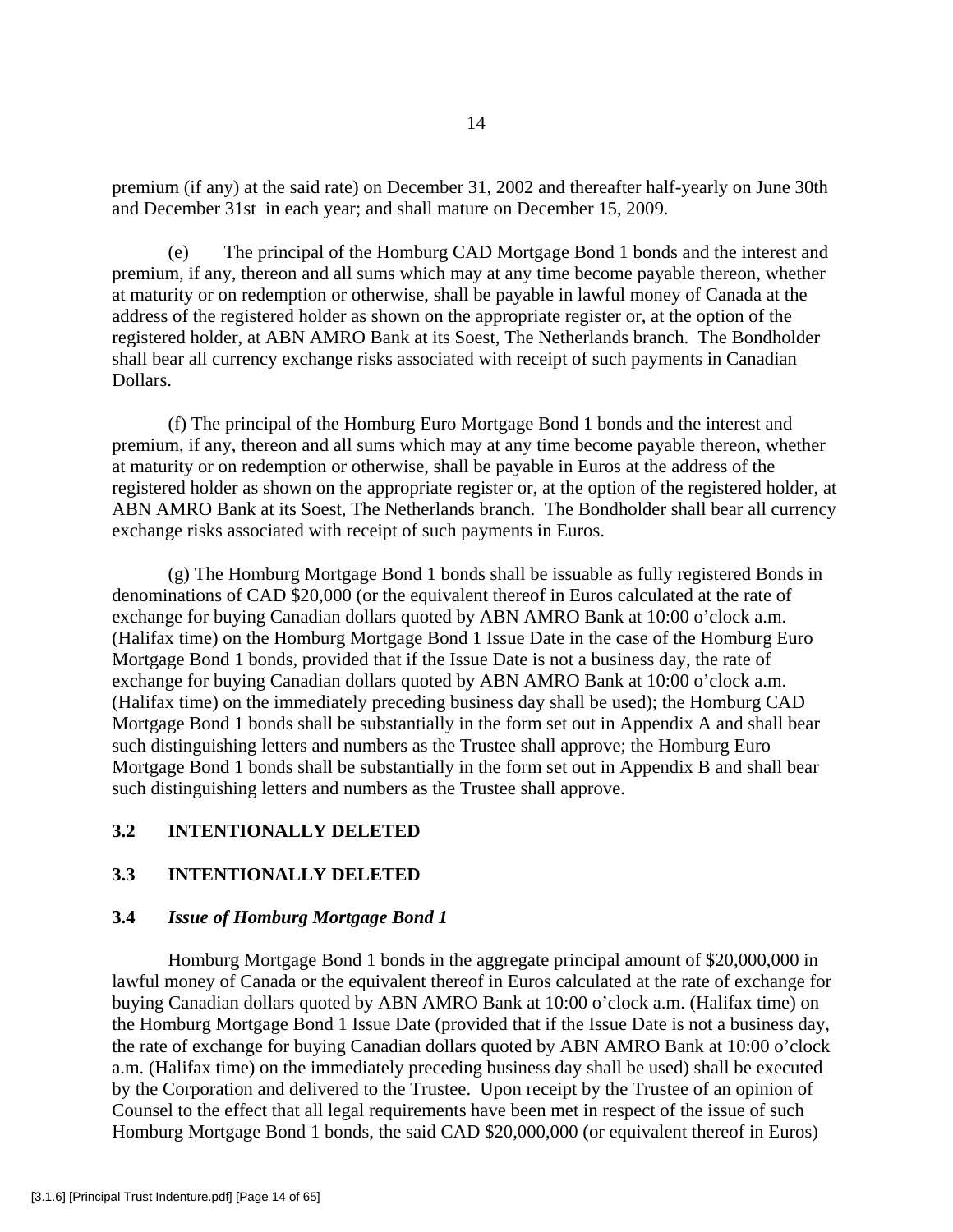premium (if any) at the said rate) on December 31, 2002 and thereafter half-yearly on June 30th and December 31st in each year; and shall mature on December 15, 2009.

(e) The principal of the Homburg CAD Mortgage Bond 1 bonds and the interest and premium, if any, thereon and all sums which may at any time become payable thereon, whether at maturity or on redemption or otherwise, shall be payable in lawful money of Canada at the address of the registered holder as shown on the appropriate register or, at the option of the registered holder, at ABN AMRO Bank at its Soest, The Netherlands branch. The Bondholder shall bear all currency exchange risks associated with receipt of such payments in Canadian Dollars.

 (f) The principal of the Homburg Euro Mortgage Bond 1 bonds and the interest and premium, if any, thereon and all sums which may at any time become payable thereon, whether at maturity or on redemption or otherwise, shall be payable in Euros at the address of the registered holder as shown on the appropriate register or, at the option of the registered holder, at ABN AMRO Bank at its Soest, The Netherlands branch. The Bondholder shall bear all currency exchange risks associated with receipt of such payments in Euros.

 (g) The Homburg Mortgage Bond 1 bonds shall be issuable as fully registered Bonds in denominations of CAD \$20,000 (or the equivalent thereof in Euros calculated at the rate of exchange for buying Canadian dollars quoted by ABN AMRO Bank at 10:00 o'clock a.m. (Halifax time) on the Homburg Mortgage Bond 1 Issue Date in the case of the Homburg Euro Mortgage Bond 1 bonds, provided that if the Issue Date is not a business day, the rate of exchange for buying Canadian dollars quoted by ABN AMRO Bank at 10:00 o'clock a.m. (Halifax time) on the immediately preceding business day shall be used); the Homburg CAD Mortgage Bond 1 bonds shall be substantially in the form set out in Appendix A and shall bear such distinguishing letters and numbers as the Trustee shall approve; the Homburg Euro Mortgage Bond 1 bonds shall be substantially in the form set out in Appendix B and shall bear such distinguishing letters and numbers as the Trustee shall approve.

### **3.2 INTENTIONALLY DELETED**

## **3.3 INTENTIONALLY DELETED**

### **3.4** *Issue of Homburg Mortgage Bond 1*

 Homburg Mortgage Bond 1 bonds in the aggregate principal amount of \$20,000,000 in lawful money of Canada or the equivalent thereof in Euros calculated at the rate of exchange for buying Canadian dollars quoted by ABN AMRO Bank at 10:00 o'clock a.m. (Halifax time) on the Homburg Mortgage Bond 1 Issue Date (provided that if the Issue Date is not a business day, the rate of exchange for buying Canadian dollars quoted by ABN AMRO Bank at 10:00 o'clock a.m. (Halifax time) on the immediately preceding business day shall be used) shall be executed by the Corporation and delivered to the Trustee. Upon receipt by the Trustee of an opinion of Counsel to the effect that all legal requirements have been met in respect of the issue of such Homburg Mortgage Bond 1 bonds, the said CAD \$20,000,000 (or equivalent thereof in Euros)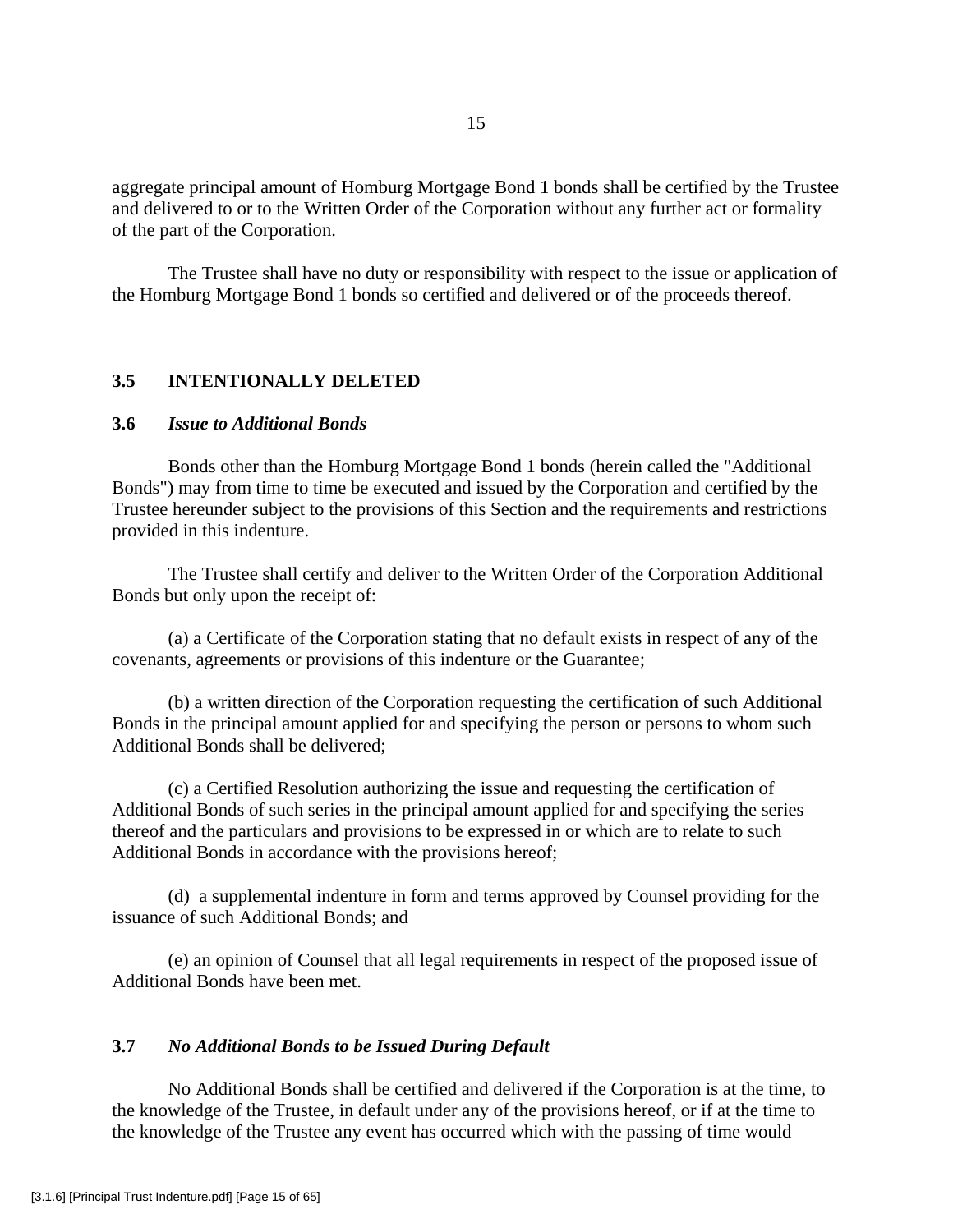aggregate principal amount of Homburg Mortgage Bond 1 bonds shall be certified by the Trustee and delivered to or to the Written Order of the Corporation without any further act or formality of the part of the Corporation.

 The Trustee shall have no duty or responsibility with respect to the issue or application of the Homburg Mortgage Bond 1 bonds so certified and delivered or of the proceeds thereof.

# **3.5 INTENTIONALLY DELETED**

# **3.6** *Issue to Additional Bonds*

 Bonds other than the Homburg Mortgage Bond 1 bonds (herein called the "Additional Bonds") may from time to time be executed and issued by the Corporation and certified by the Trustee hereunder subject to the provisions of this Section and the requirements and restrictions provided in this indenture.

 The Trustee shall certify and deliver to the Written Order of the Corporation Additional Bonds but only upon the receipt of:

 (a) a Certificate of the Corporation stating that no default exists in respect of any of the covenants, agreements or provisions of this indenture or the Guarantee;

 (b) a written direction of the Corporation requesting the certification of such Additional Bonds in the principal amount applied for and specifying the person or persons to whom such Additional Bonds shall be delivered;

(c) a Certified Resolution authorizing the issue and requesting the certification of Additional Bonds of such series in the principal amount applied for and specifying the series thereof and the particulars and provisions to be expressed in or which are to relate to such Additional Bonds in accordance with the provisions hereof;

 (d) a supplemental indenture in form and terms approved by Counsel providing for the issuance of such Additional Bonds; and

 (e) an opinion of Counsel that all legal requirements in respect of the proposed issue of Additional Bonds have been met.

## **3.7** *No Additional Bonds to be Issued During Default*

 No Additional Bonds shall be certified and delivered if the Corporation is at the time, to the knowledge of the Trustee, in default under any of the provisions hereof, or if at the time to the knowledge of the Trustee any event has occurred which with the passing of time would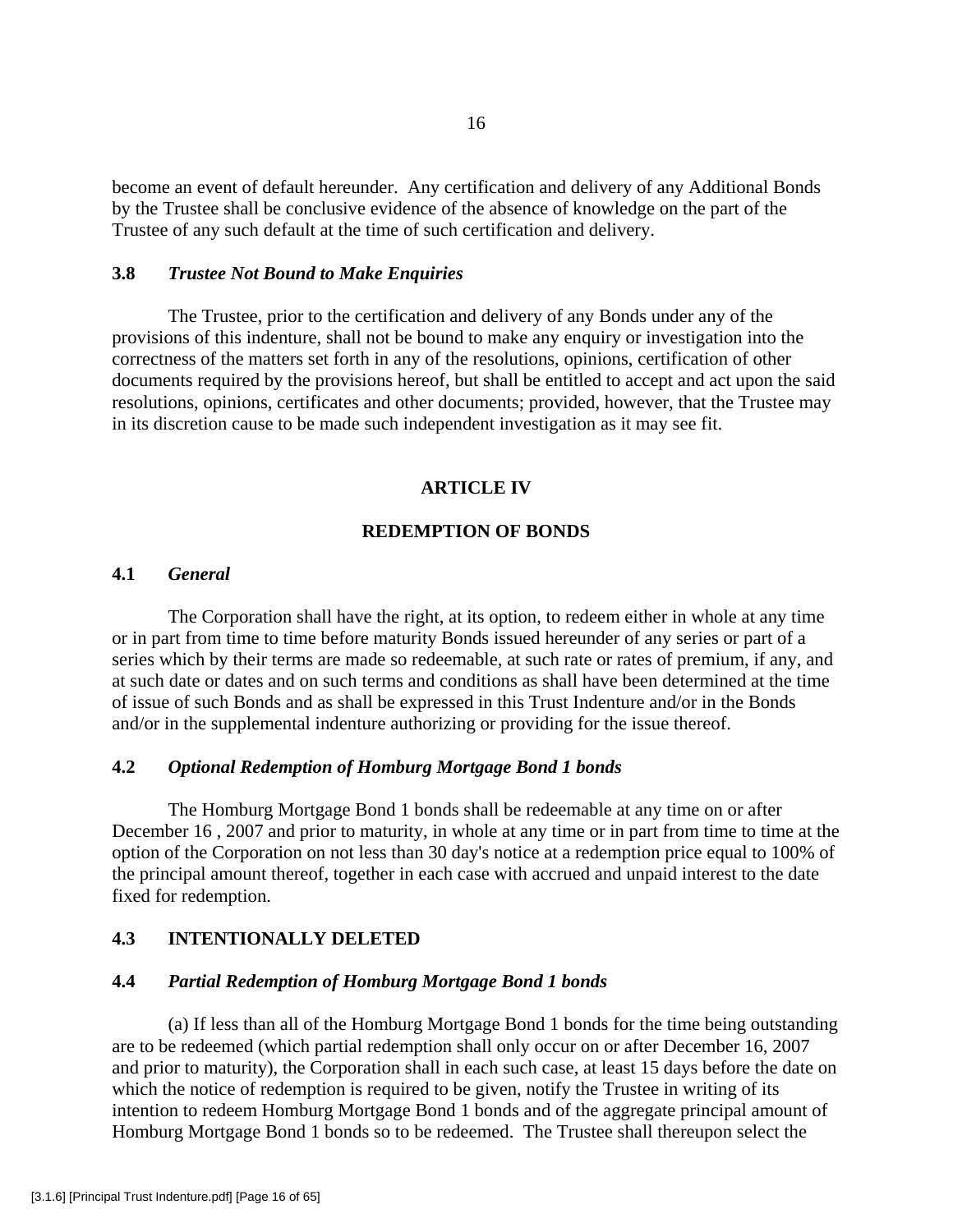become an event of default hereunder. Any certification and delivery of any Additional Bonds by the Trustee shall be conclusive evidence of the absence of knowledge on the part of the Trustee of any such default at the time of such certification and delivery.

# **3.8** *Trustee Not Bound to Make Enquiries*

 The Trustee, prior to the certification and delivery of any Bonds under any of the provisions of this indenture, shall not be bound to make any enquiry or investigation into the correctness of the matters set forth in any of the resolutions, opinions, certification of other documents required by the provisions hereof, but shall be entitled to accept and act upon the said resolutions, opinions, certificates and other documents; provided, however, that the Trustee may in its discretion cause to be made such independent investigation as it may see fit.

#### **ARTICLE IV**

# **REDEMPTION OF BONDS**

# **4.1** *General*

 The Corporation shall have the right, at its option, to redeem either in whole at any time or in part from time to time before maturity Bonds issued hereunder of any series or part of a series which by their terms are made so redeemable, at such rate or rates of premium, if any, and at such date or dates and on such terms and conditions as shall have been determined at the time of issue of such Bonds and as shall be expressed in this Trust Indenture and/or in the Bonds and/or in the supplemental indenture authorizing or providing for the issue thereof.

# **4.2** *Optional Redemption of Homburg Mortgage Bond 1 bonds*

The Homburg Mortgage Bond 1 bonds shall be redeemable at any time on or after December 16 , 2007 and prior to maturity, in whole at any time or in part from time to time at the option of the Corporation on not less than 30 day's notice at a redemption price equal to 100% of the principal amount thereof, together in each case with accrued and unpaid interest to the date fixed for redemption.

# **4.3 INTENTIONALLY DELETED**

#### **4.4** *Partial Redemption of Homburg Mortgage Bond 1 bonds*

 (a) If less than all of the Homburg Mortgage Bond 1 bonds for the time being outstanding are to be redeemed (which partial redemption shall only occur on or after December 16, 2007 and prior to maturity), the Corporation shall in each such case, at least 15 days before the date on which the notice of redemption is required to be given, notify the Trustee in writing of its intention to redeem Homburg Mortgage Bond 1 bonds and of the aggregate principal amount of Homburg Mortgage Bond 1 bonds so to be redeemed. The Trustee shall thereupon select the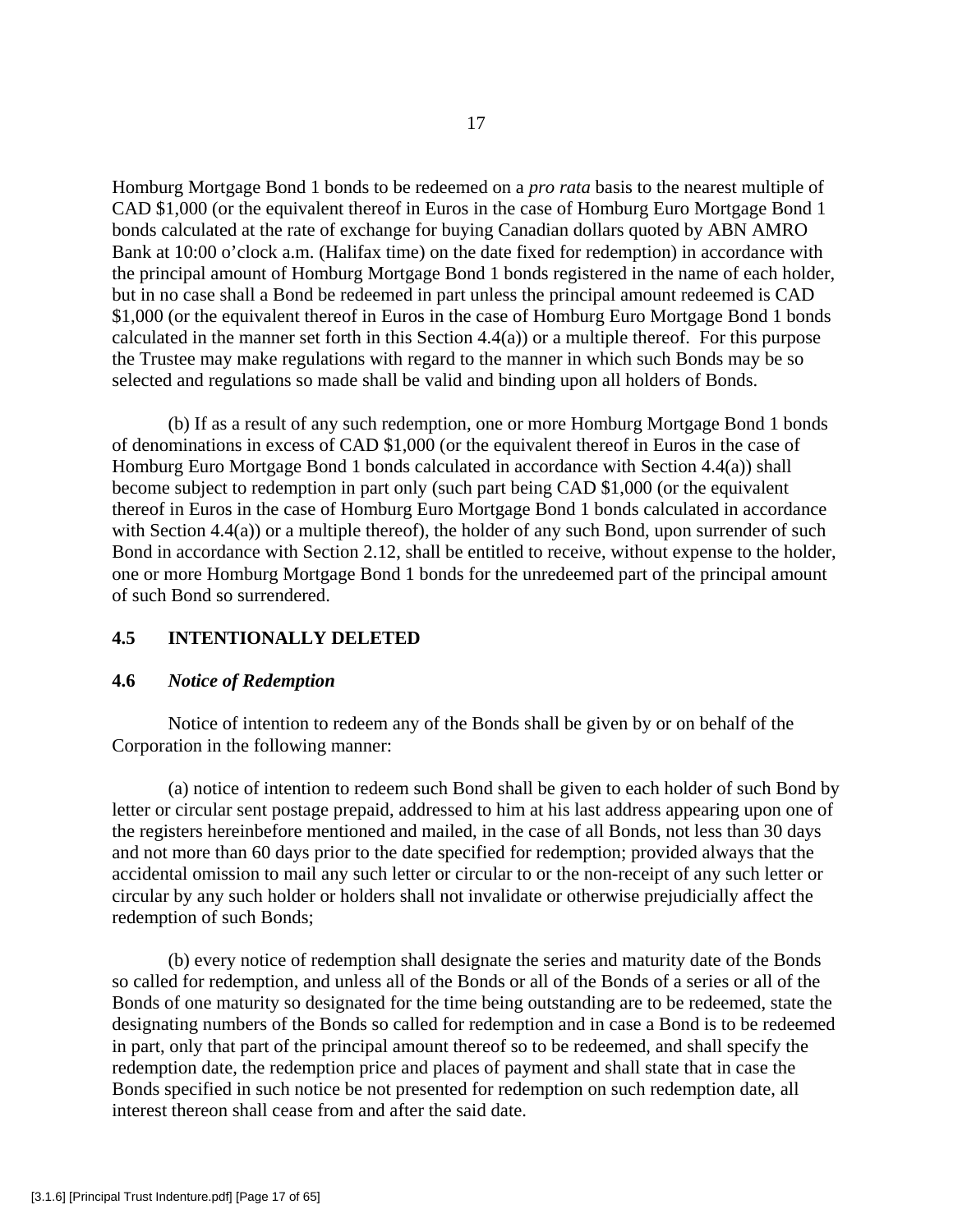Homburg Mortgage Bond 1 bonds to be redeemed on a *pro rata* basis to the nearest multiple of CAD \$1,000 (or the equivalent thereof in Euros in the case of Homburg Euro Mortgage Bond 1 bonds calculated at the rate of exchange for buying Canadian dollars quoted by ABN AMRO Bank at 10:00 o'clock a.m. (Halifax time) on the date fixed for redemption) in accordance with the principal amount of Homburg Mortgage Bond 1 bonds registered in the name of each holder, but in no case shall a Bond be redeemed in part unless the principal amount redeemed is CAD \$1,000 (or the equivalent thereof in Euros in the case of Homburg Euro Mortgage Bond 1 bonds calculated in the manner set forth in this Section  $4.4(a)$ ) or a multiple thereof. For this purpose the Trustee may make regulations with regard to the manner in which such Bonds may be so selected and regulations so made shall be valid and binding upon all holders of Bonds.

 (b) If as a result of any such redemption, one or more Homburg Mortgage Bond 1 bonds of denominations in excess of CAD \$1,000 (or the equivalent thereof in Euros in the case of Homburg Euro Mortgage Bond 1 bonds calculated in accordance with Section 4.4(a)) shall become subject to redemption in part only (such part being CAD \$1,000 (or the equivalent thereof in Euros in the case of Homburg Euro Mortgage Bond 1 bonds calculated in accordance with Section 4.4(a)) or a multiple thereof), the holder of any such Bond, upon surrender of such Bond in accordance with Section 2.12, shall be entitled to receive, without expense to the holder, one or more Homburg Mortgage Bond 1 bonds for the unredeemed part of the principal amount of such Bond so surrendered.

# **4.5 INTENTIONALLY DELETED**

## **4.6** *Notice of Redemption*

 Notice of intention to redeem any of the Bonds shall be given by or on behalf of the Corporation in the following manner:

 (a) notice of intention to redeem such Bond shall be given to each holder of such Bond by letter or circular sent postage prepaid, addressed to him at his last address appearing upon one of the registers hereinbefore mentioned and mailed, in the case of all Bonds, not less than 30 days and not more than 60 days prior to the date specified for redemption; provided always that the accidental omission to mail any such letter or circular to or the non-receipt of any such letter or circular by any such holder or holders shall not invalidate or otherwise prejudicially affect the redemption of such Bonds;

(b) every notice of redemption shall designate the series and maturity date of the Bonds so called for redemption, and unless all of the Bonds or all of the Bonds of a series or all of the Bonds of one maturity so designated for the time being outstanding are to be redeemed, state the designating numbers of the Bonds so called for redemption and in case a Bond is to be redeemed in part, only that part of the principal amount thereof so to be redeemed, and shall specify the redemption date, the redemption price and places of payment and shall state that in case the Bonds specified in such notice be not presented for redemption on such redemption date, all interest thereon shall cease from and after the said date.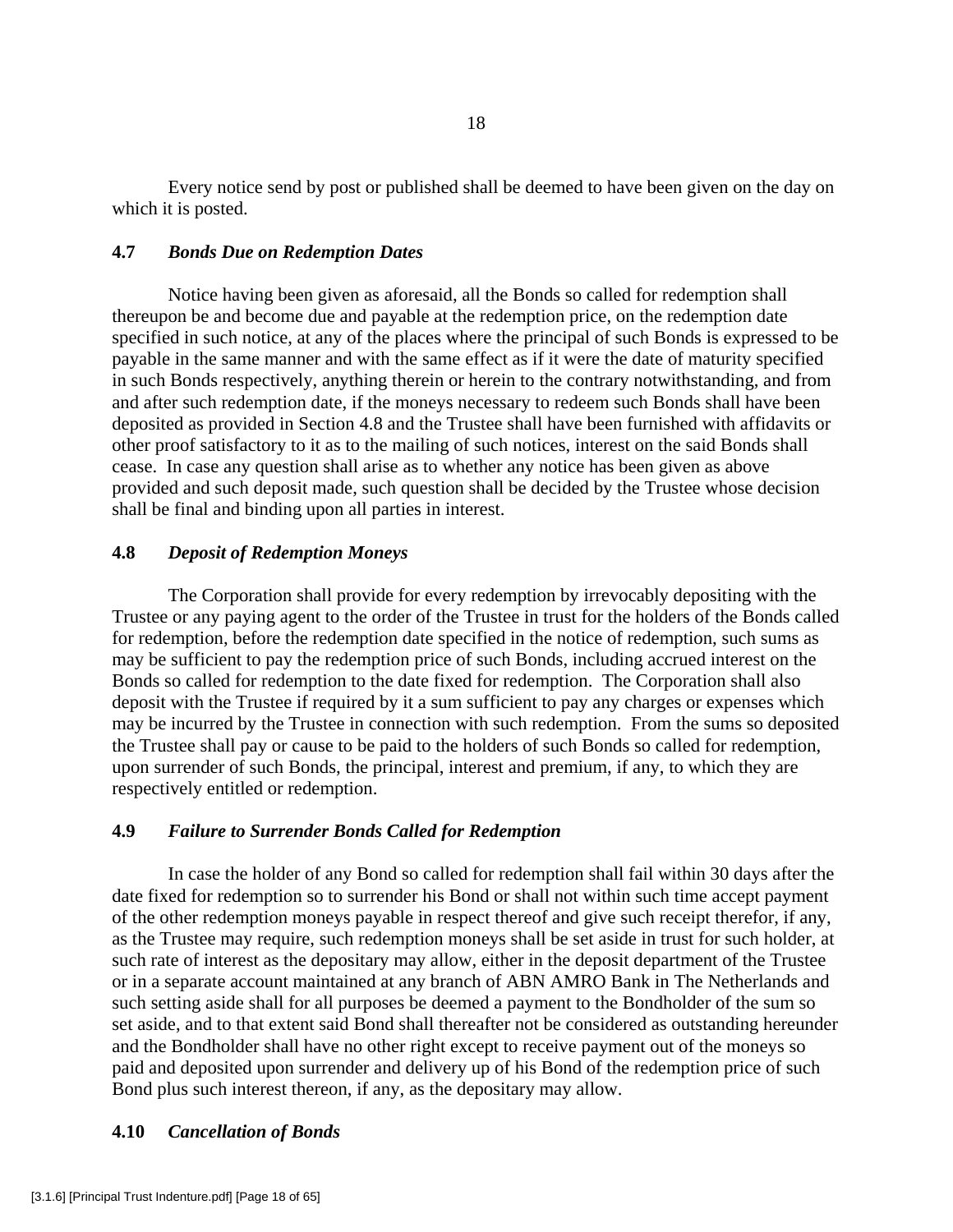Every notice send by post or published shall be deemed to have been given on the day on which it is posted.

## **4.7** *Bonds Due on Redemption Dates*

 Notice having been given as aforesaid, all the Bonds so called for redemption shall thereupon be and become due and payable at the redemption price, on the redemption date specified in such notice, at any of the places where the principal of such Bonds is expressed to be payable in the same manner and with the same effect as if it were the date of maturity specified in such Bonds respectively, anything therein or herein to the contrary notwithstanding, and from and after such redemption date, if the moneys necessary to redeem such Bonds shall have been deposited as provided in Section 4.8 and the Trustee shall have been furnished with affidavits or other proof satisfactory to it as to the mailing of such notices, interest on the said Bonds shall cease. In case any question shall arise as to whether any notice has been given as above provided and such deposit made, such question shall be decided by the Trustee whose decision shall be final and binding upon all parties in interest.

## **4.8** *Deposit of Redemption Moneys*

 The Corporation shall provide for every redemption by irrevocably depositing with the Trustee or any paying agent to the order of the Trustee in trust for the holders of the Bonds called for redemption, before the redemption date specified in the notice of redemption, such sums as may be sufficient to pay the redemption price of such Bonds, including accrued interest on the Bonds so called for redemption to the date fixed for redemption. The Corporation shall also deposit with the Trustee if required by it a sum sufficient to pay any charges or expenses which may be incurred by the Trustee in connection with such redemption. From the sums so deposited the Trustee shall pay or cause to be paid to the holders of such Bonds so called for redemption, upon surrender of such Bonds, the principal, interest and premium, if any, to which they are respectively entitled or redemption.

#### **4.9** *Failure to Surrender Bonds Called for Redemption*

 In case the holder of any Bond so called for redemption shall fail within 30 days after the date fixed for redemption so to surrender his Bond or shall not within such time accept payment of the other redemption moneys payable in respect thereof and give such receipt therefor, if any, as the Trustee may require, such redemption moneys shall be set aside in trust for such holder, at such rate of interest as the depositary may allow, either in the deposit department of the Trustee or in a separate account maintained at any branch of ABN AMRO Bank in The Netherlands and such setting aside shall for all purposes be deemed a payment to the Bondholder of the sum so set aside, and to that extent said Bond shall thereafter not be considered as outstanding hereunder and the Bondholder shall have no other right except to receive payment out of the moneys so paid and deposited upon surrender and delivery up of his Bond of the redemption price of such Bond plus such interest thereon, if any, as the depositary may allow.

## **4.10** *Cancellation of Bonds*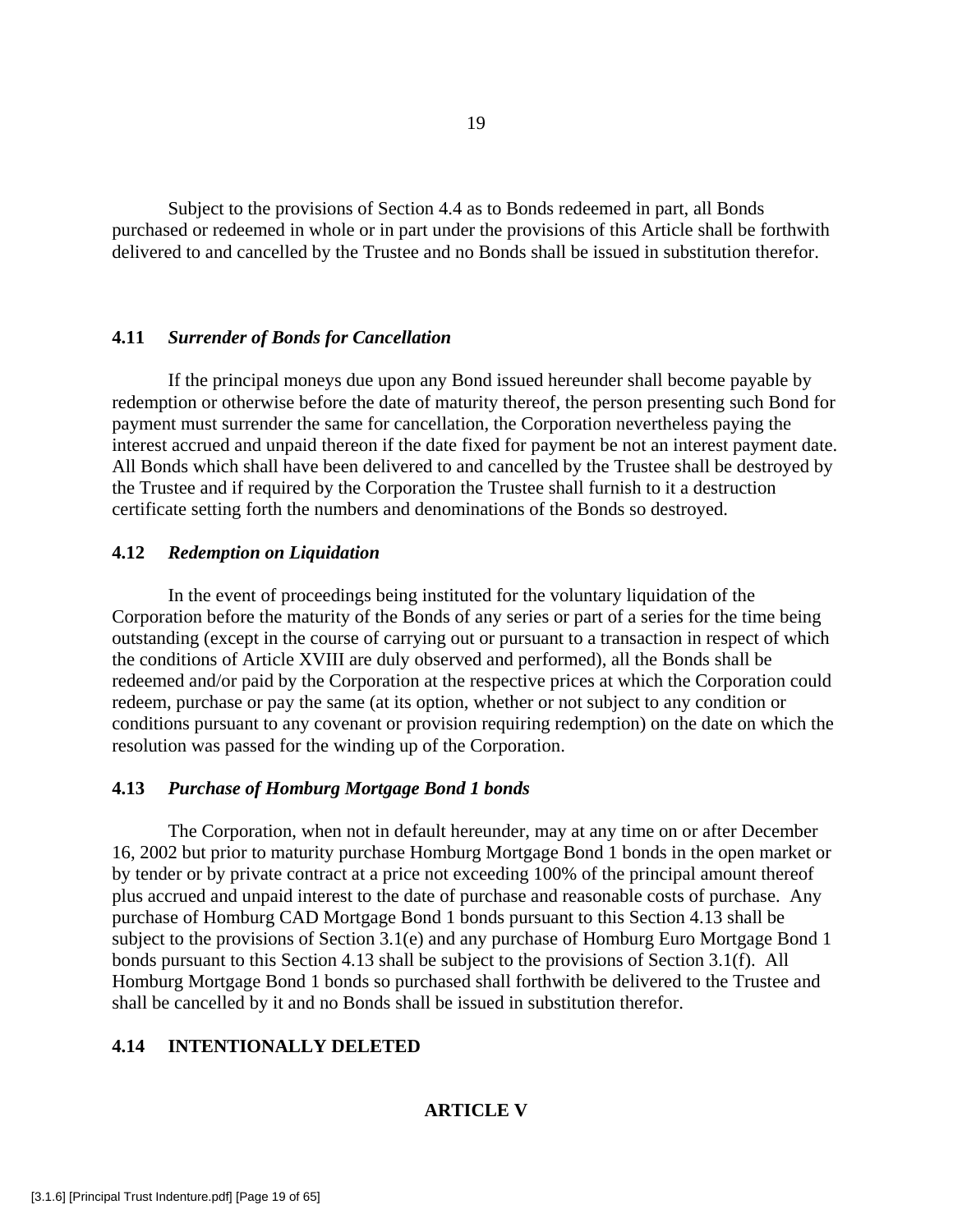Subject to the provisions of Section 4.4 as to Bonds redeemed in part, all Bonds purchased or redeemed in whole or in part under the provisions of this Article shall be forthwith delivered to and cancelled by the Trustee and no Bonds shall be issued in substitution therefor.

## **4.11** *Surrender of Bonds for Cancellation*

 If the principal moneys due upon any Bond issued hereunder shall become payable by redemption or otherwise before the date of maturity thereof, the person presenting such Bond for payment must surrender the same for cancellation, the Corporation nevertheless paying the interest accrued and unpaid thereon if the date fixed for payment be not an interest payment date. All Bonds which shall have been delivered to and cancelled by the Trustee shall be destroyed by the Trustee and if required by the Corporation the Trustee shall furnish to it a destruction certificate setting forth the numbers and denominations of the Bonds so destroyed.

# **4.12** *Redemption on Liquidation*

 In the event of proceedings being instituted for the voluntary liquidation of the Corporation before the maturity of the Bonds of any series or part of a series for the time being outstanding (except in the course of carrying out or pursuant to a transaction in respect of which the conditions of Article XVIII are duly observed and performed), all the Bonds shall be redeemed and/or paid by the Corporation at the respective prices at which the Corporation could redeem, purchase or pay the same (at its option, whether or not subject to any condition or conditions pursuant to any covenant or provision requiring redemption) on the date on which the resolution was passed for the winding up of the Corporation.

## **4.13** *Purchase of Homburg Mortgage Bond 1 bonds*

 The Corporation, when not in default hereunder, may at any time on or after December 16, 2002 but prior to maturity purchase Homburg Mortgage Bond 1 bonds in the open market or by tender or by private contract at a price not exceeding 100% of the principal amount thereof plus accrued and unpaid interest to the date of purchase and reasonable costs of purchase. Any purchase of Homburg CAD Mortgage Bond 1 bonds pursuant to this Section 4.13 shall be subject to the provisions of Section 3.1(e) and any purchase of Homburg Euro Mortgage Bond 1 bonds pursuant to this Section 4.13 shall be subject to the provisions of Section 3.1(f). All Homburg Mortgage Bond 1 bonds so purchased shall forthwith be delivered to the Trustee and shall be cancelled by it and no Bonds shall be issued in substitution therefor.

# **4.14 INTENTIONALLY DELETED**

# **ARTICLE V**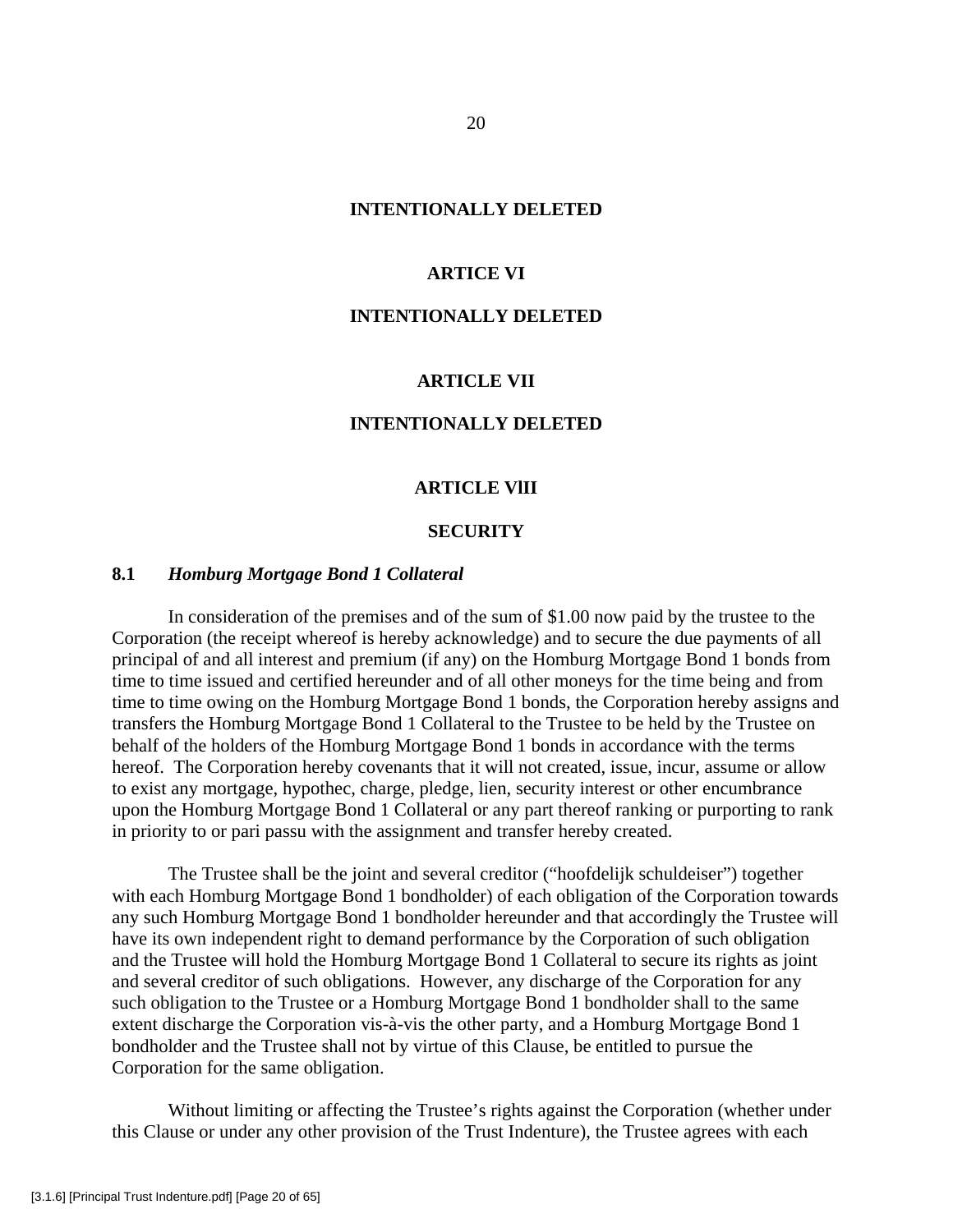#### **INTENTIONALLY DELETED**

## **ARTICE VI**

#### **INTENTIONALLY DELETED**

## **ARTICLE VII**

# **INTENTIONALLY DELETED**

#### **ARTICLE VlII**

## **SECURITY**

## **8.1** *Homburg Mortgage Bond 1 Collateral*

 In consideration of the premises and of the sum of \$1.00 now paid by the trustee to the Corporation (the receipt whereof is hereby acknowledge) and to secure the due payments of all principal of and all interest and premium (if any) on the Homburg Mortgage Bond 1 bonds from time to time issued and certified hereunder and of all other moneys for the time being and from time to time owing on the Homburg Mortgage Bond 1 bonds, the Corporation hereby assigns and transfers the Homburg Mortgage Bond 1 Collateral to the Trustee to be held by the Trustee on behalf of the holders of the Homburg Mortgage Bond 1 bonds in accordance with the terms hereof. The Corporation hereby covenants that it will not created, issue, incur, assume or allow to exist any mortgage, hypothec, charge, pledge, lien, security interest or other encumbrance upon the Homburg Mortgage Bond 1 Collateral or any part thereof ranking or purporting to rank in priority to or pari passu with the assignment and transfer hereby created.

 The Trustee shall be the joint and several creditor ("hoofdelijk schuldeiser") together with each Homburg Mortgage Bond 1 bondholder) of each obligation of the Corporation towards any such Homburg Mortgage Bond 1 bondholder hereunder and that accordingly the Trustee will have its own independent right to demand performance by the Corporation of such obligation and the Trustee will hold the Homburg Mortgage Bond 1 Collateral to secure its rights as joint and several creditor of such obligations. However, any discharge of the Corporation for any such obligation to the Trustee or a Homburg Mortgage Bond 1 bondholder shall to the same extent discharge the Corporation vis-à-vis the other party, and a Homburg Mortgage Bond 1 bondholder and the Trustee shall not by virtue of this Clause, be entitled to pursue the Corporation for the same obligation.

 Without limiting or affecting the Trustee's rights against the Corporation (whether under this Clause or under any other provision of the Trust Indenture), the Trustee agrees with each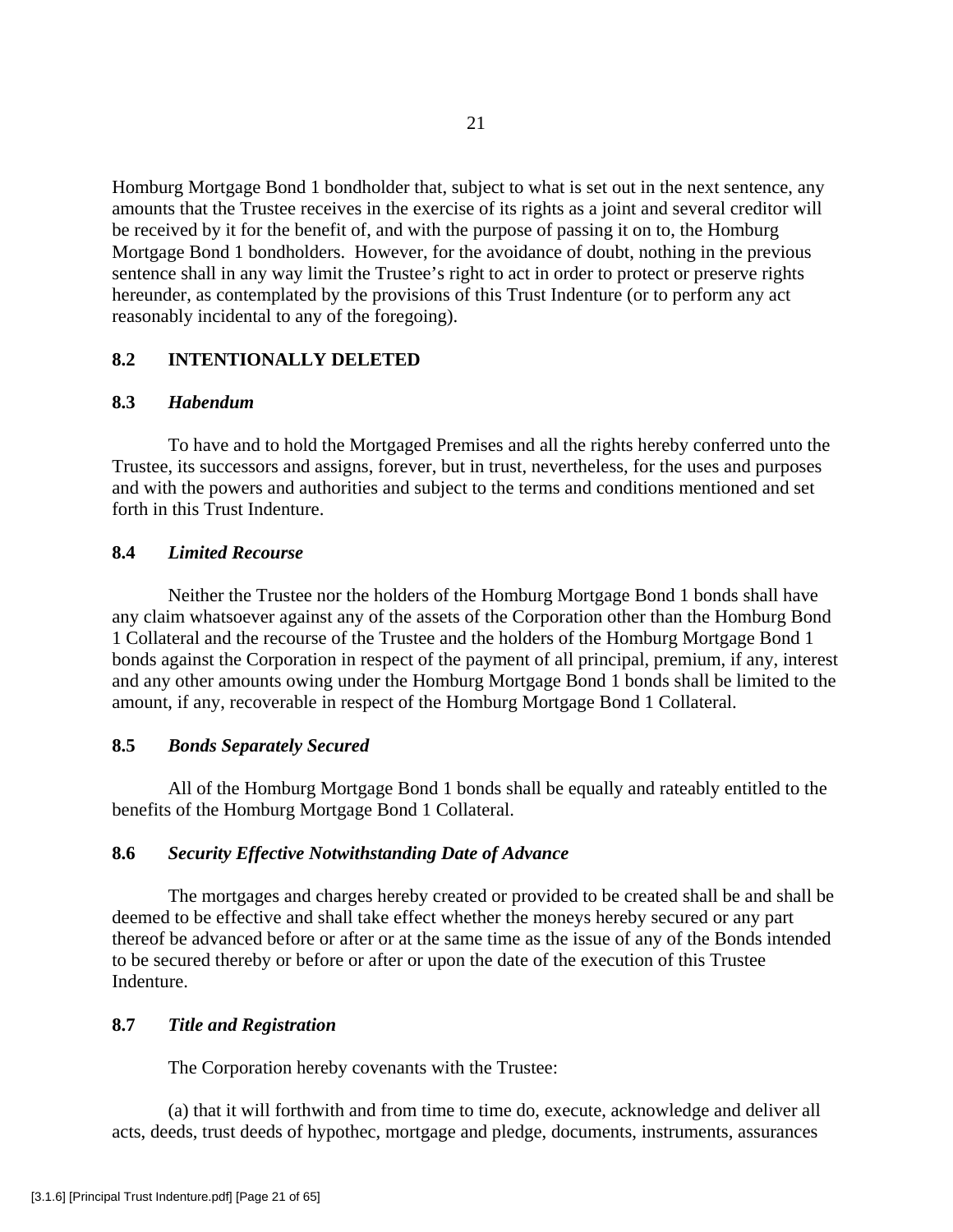Homburg Mortgage Bond 1 bondholder that, subject to what is set out in the next sentence, any amounts that the Trustee receives in the exercise of its rights as a joint and several creditor will be received by it for the benefit of, and with the purpose of passing it on to, the Homburg Mortgage Bond 1 bondholders. However, for the avoidance of doubt, nothing in the previous sentence shall in any way limit the Trustee's right to act in order to protect or preserve rights hereunder, as contemplated by the provisions of this Trust Indenture (or to perform any act reasonably incidental to any of the foregoing).

# **8.2 INTENTIONALLY DELETED**

## **8.3** *Habendum*

 To have and to hold the Mortgaged Premises and all the rights hereby conferred unto the Trustee, its successors and assigns, forever, but in trust, nevertheless, for the uses and purposes and with the powers and authorities and subject to the terms and conditions mentioned and set forth in this Trust Indenture.

## **8.4** *Limited Recourse*

Neither the Trustee nor the holders of the Homburg Mortgage Bond 1 bonds shall have any claim whatsoever against any of the assets of the Corporation other than the Homburg Bond 1 Collateral and the recourse of the Trustee and the holders of the Homburg Mortgage Bond 1 bonds against the Corporation in respect of the payment of all principal, premium, if any, interest and any other amounts owing under the Homburg Mortgage Bond 1 bonds shall be limited to the amount, if any, recoverable in respect of the Homburg Mortgage Bond 1 Collateral.

# **8.5** *Bonds Separately Secured*

 All of the Homburg Mortgage Bond 1 bonds shall be equally and rateably entitled to the benefits of the Homburg Mortgage Bond 1 Collateral.

# **8.6** *Security Effective Notwithstanding Date of Advance*

 The mortgages and charges hereby created or provided to be created shall be and shall be deemed to be effective and shall take effect whether the moneys hereby secured or any part thereof be advanced before or after or at the same time as the issue of any of the Bonds intended to be secured thereby or before or after or upon the date of the execution of this Trustee Indenture.

### **8.7** *Title and Registration*

The Corporation hereby covenants with the Trustee:

 (a) that it will forthwith and from time to time do, execute, acknowledge and deliver all acts, deeds, trust deeds of hypothec, mortgage and pledge, documents, instruments, assurances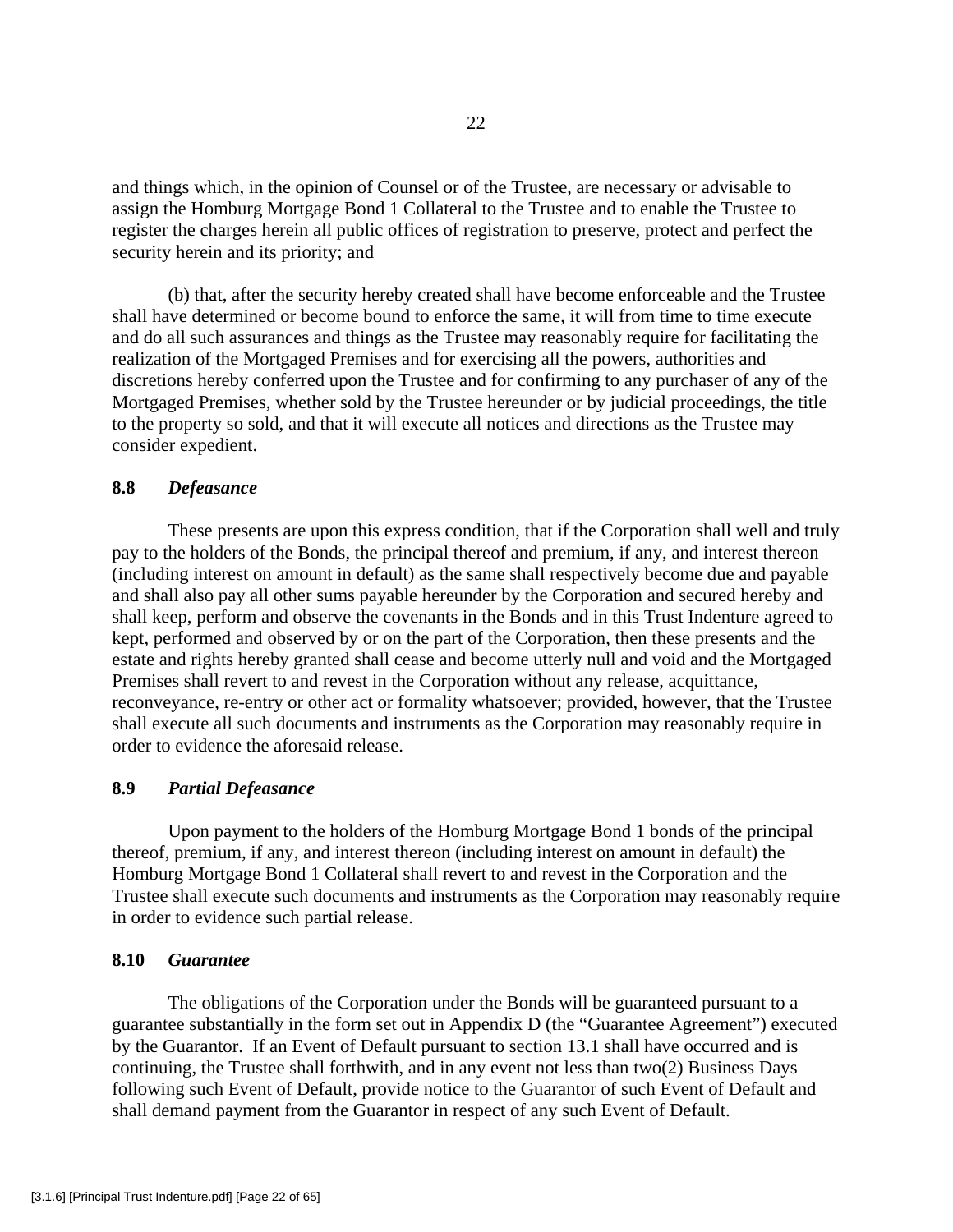and things which, in the opinion of Counsel or of the Trustee, are necessary or advisable to assign the Homburg Mortgage Bond 1 Collateral to the Trustee and to enable the Trustee to register the charges herein all public offices of registration to preserve, protect and perfect the security herein and its priority; and

 (b) that, after the security hereby created shall have become enforceable and the Trustee shall have determined or become bound to enforce the same, it will from time to time execute and do all such assurances and things as the Trustee may reasonably require for facilitating the realization of the Mortgaged Premises and for exercising all the powers, authorities and discretions hereby conferred upon the Trustee and for confirming to any purchaser of any of the Mortgaged Premises, whether sold by the Trustee hereunder or by judicial proceedings, the title to the property so sold, and that it will execute all notices and directions as the Trustee may consider expedient.

## **8.8** *Defeasance*

 These presents are upon this express condition, that if the Corporation shall well and truly pay to the holders of the Bonds, the principal thereof and premium, if any, and interest thereon (including interest on amount in default) as the same shall respectively become due and payable and shall also pay all other sums payable hereunder by the Corporation and secured hereby and shall keep, perform and observe the covenants in the Bonds and in this Trust Indenture agreed to kept, performed and observed by or on the part of the Corporation, then these presents and the estate and rights hereby granted shall cease and become utterly null and void and the Mortgaged Premises shall revert to and revest in the Corporation without any release, acquittance, reconveyance, re-entry or other act or formality whatsoever; provided, however, that the Trustee shall execute all such documents and instruments as the Corporation may reasonably require in order to evidence the aforesaid release.

# **8.9** *Partial Defeasance*

Upon payment to the holders of the Homburg Mortgage Bond 1 bonds of the principal thereof, premium, if any, and interest thereon (including interest on amount in default) the Homburg Mortgage Bond 1 Collateral shall revert to and revest in the Corporation and the Trustee shall execute such documents and instruments as the Corporation may reasonably require in order to evidence such partial release.

## **8.10** *Guarantee*

The obligations of the Corporation under the Bonds will be guaranteed pursuant to a guarantee substantially in the form set out in Appendix D (the "Guarantee Agreement") executed by the Guarantor. If an Event of Default pursuant to section 13.1 shall have occurred and is continuing, the Trustee shall forthwith, and in any event not less than two(2) Business Days following such Event of Default, provide notice to the Guarantor of such Event of Default and shall demand payment from the Guarantor in respect of any such Event of Default.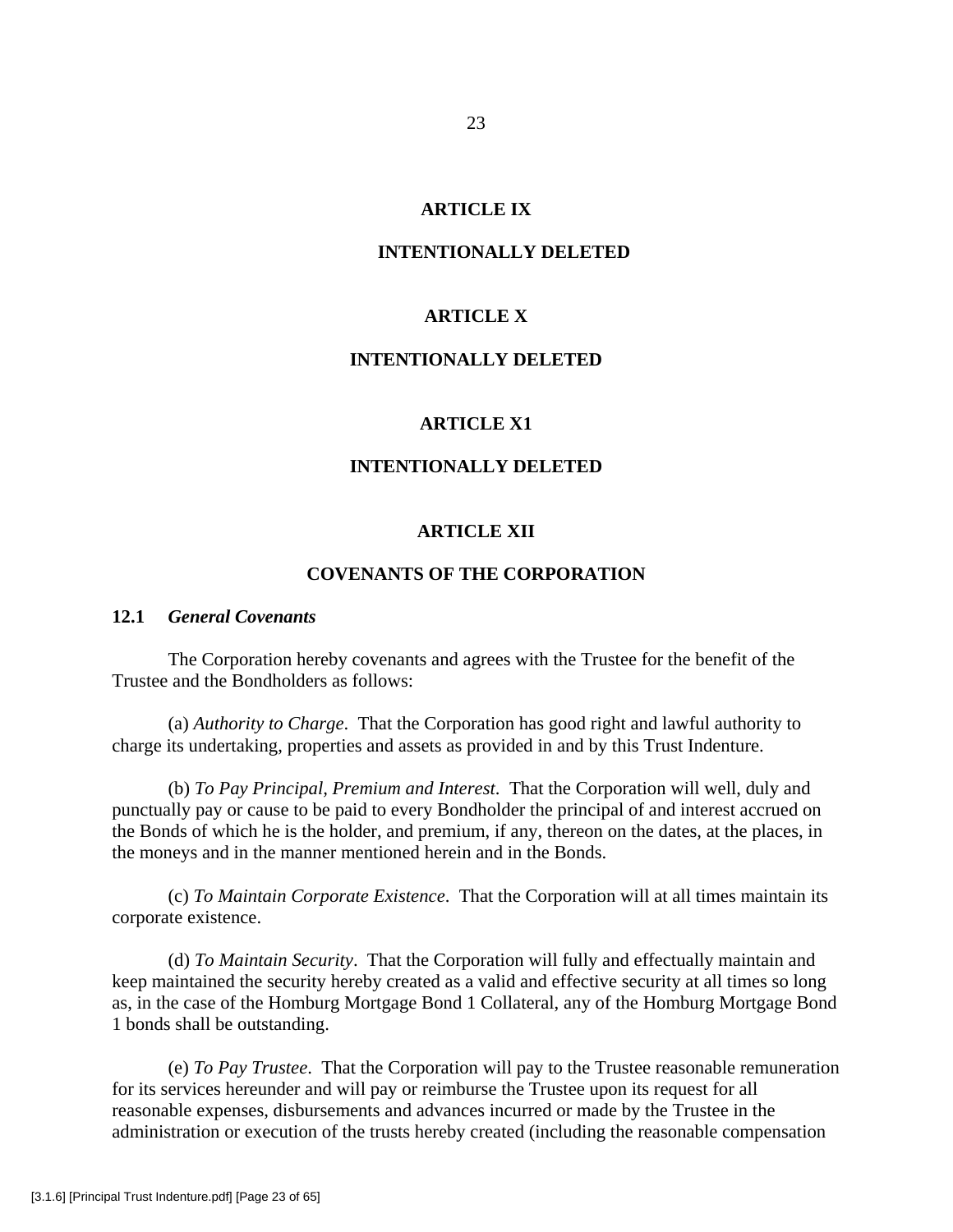## **ARTICLE IX**

## **INTENTIONALLY DELETED**

## **ARTICLE X**

# **INTENTIONALLY DELETED**

## **ARTICLE X1**

## **INTENTIONALLY DELETED**

## **ARTICLE XII**

### **COVENANTS OF THE CORPORATION**

#### **12.1** *General Covenants*

 The Corporation hereby covenants and agrees with the Trustee for the benefit of the Trustee and the Bondholders as follows:

 (a) *Authority to Charge*. That the Corporation has good right and lawful authority to charge its undertaking, properties and assets as provided in and by this Trust Indenture.

 (b) *To Pay Principal, Premium and Interest*. That the Corporation will well, duly and punctually pay or cause to be paid to every Bondholder the principal of and interest accrued on the Bonds of which he is the holder, and premium, if any, thereon on the dates, at the places, in the moneys and in the manner mentioned herein and in the Bonds.

 (c) *To Maintain Corporate Existence*. That the Corporation will at all times maintain its corporate existence.

 (d) *To Maintain Security*. That the Corporation will fully and effectually maintain and keep maintained the security hereby created as a valid and effective security at all times so long as, in the case of the Homburg Mortgage Bond 1 Collateral, any of the Homburg Mortgage Bond 1 bonds shall be outstanding.

 (e) *To Pay Trustee*. That the Corporation will pay to the Trustee reasonable remuneration for its services hereunder and will pay or reimburse the Trustee upon its request for all reasonable expenses, disbursements and advances incurred or made by the Trustee in the administration or execution of the trusts hereby created (including the reasonable compensation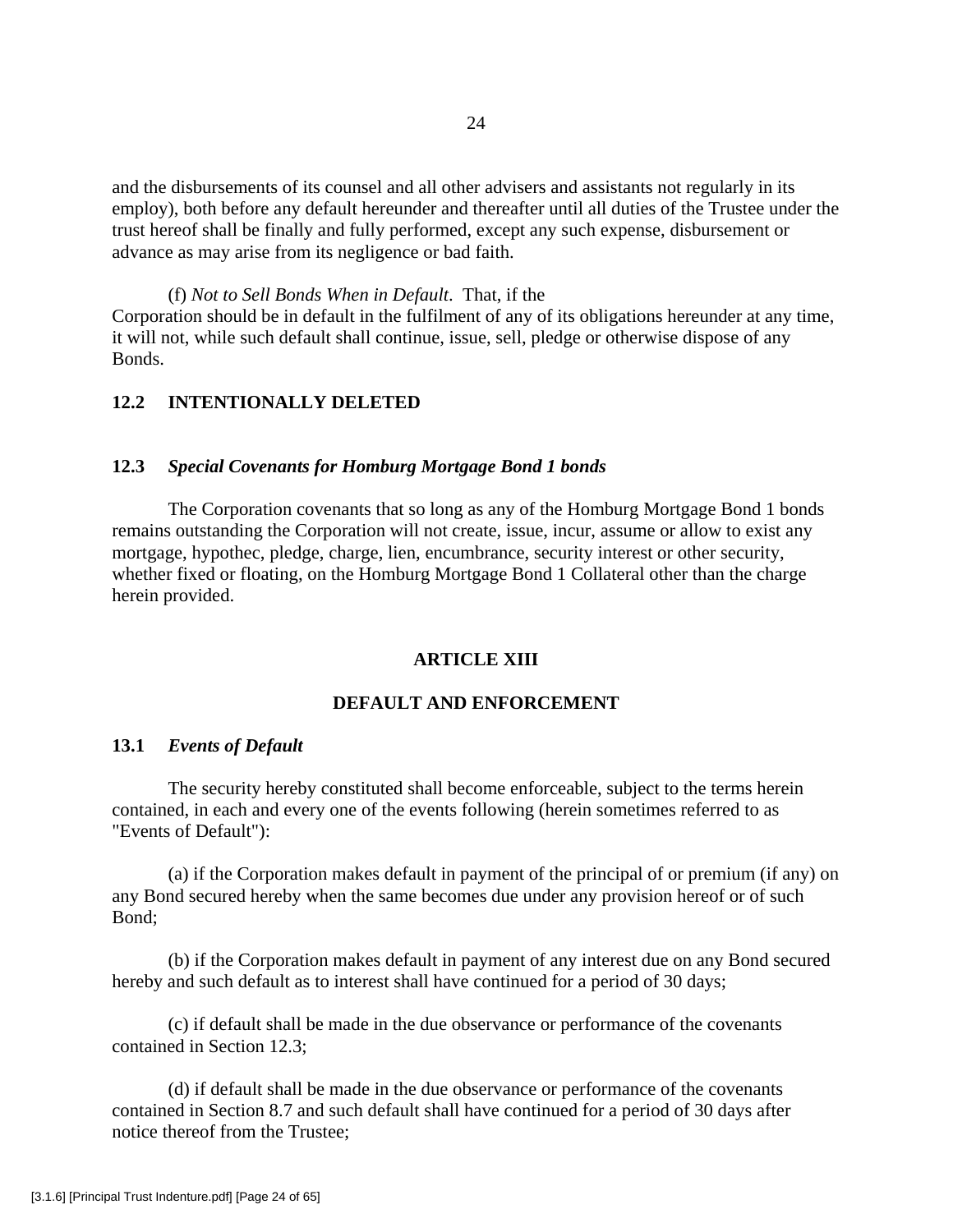and the disbursements of its counsel and all other advisers and assistants not regularly in its employ), both before any default hereunder and thereafter until all duties of the Trustee under the trust hereof shall be finally and fully performed, except any such expense, disbursement or advance as may arise from its negligence or bad faith.

(f) *Not to Sell Bonds When in Default*. That, if the Corporation should be in default in the fulfilment of any of its obligations hereunder at any time, it will not, while such default shall continue, issue, sell, pledge or otherwise dispose of any Bonds.

# **12.2 INTENTIONALLY DELETED**

# **12.3** *Special Covenants for Homburg Mortgage Bond 1 bonds*

The Corporation covenants that so long as any of the Homburg Mortgage Bond 1 bonds remains outstanding the Corporation will not create, issue, incur, assume or allow to exist any mortgage, hypothec, pledge, charge, lien, encumbrance, security interest or other security, whether fixed or floating, on the Homburg Mortgage Bond 1 Collateral other than the charge herein provided.

#### **ARTICLE XIII**

# **DEFAULT AND ENFORCEMENT**

#### **13.1** *Events of Default*

The security hereby constituted shall become enforceable, subject to the terms herein contained, in each and every one of the events following (herein sometimes referred to as "Events of Default"):

(a) if the Corporation makes default in payment of the principal of or premium (if any) on any Bond secured hereby when the same becomes due under any provision hereof or of such Bond;

(b) if the Corporation makes default in payment of any interest due on any Bond secured hereby and such default as to interest shall have continued for a period of 30 days;

(c) if default shall be made in the due observance or performance of the covenants contained in Section 12.3;

(d) if default shall be made in the due observance or performance of the covenants contained in Section 8.7 and such default shall have continued for a period of 30 days after notice thereof from the Trustee;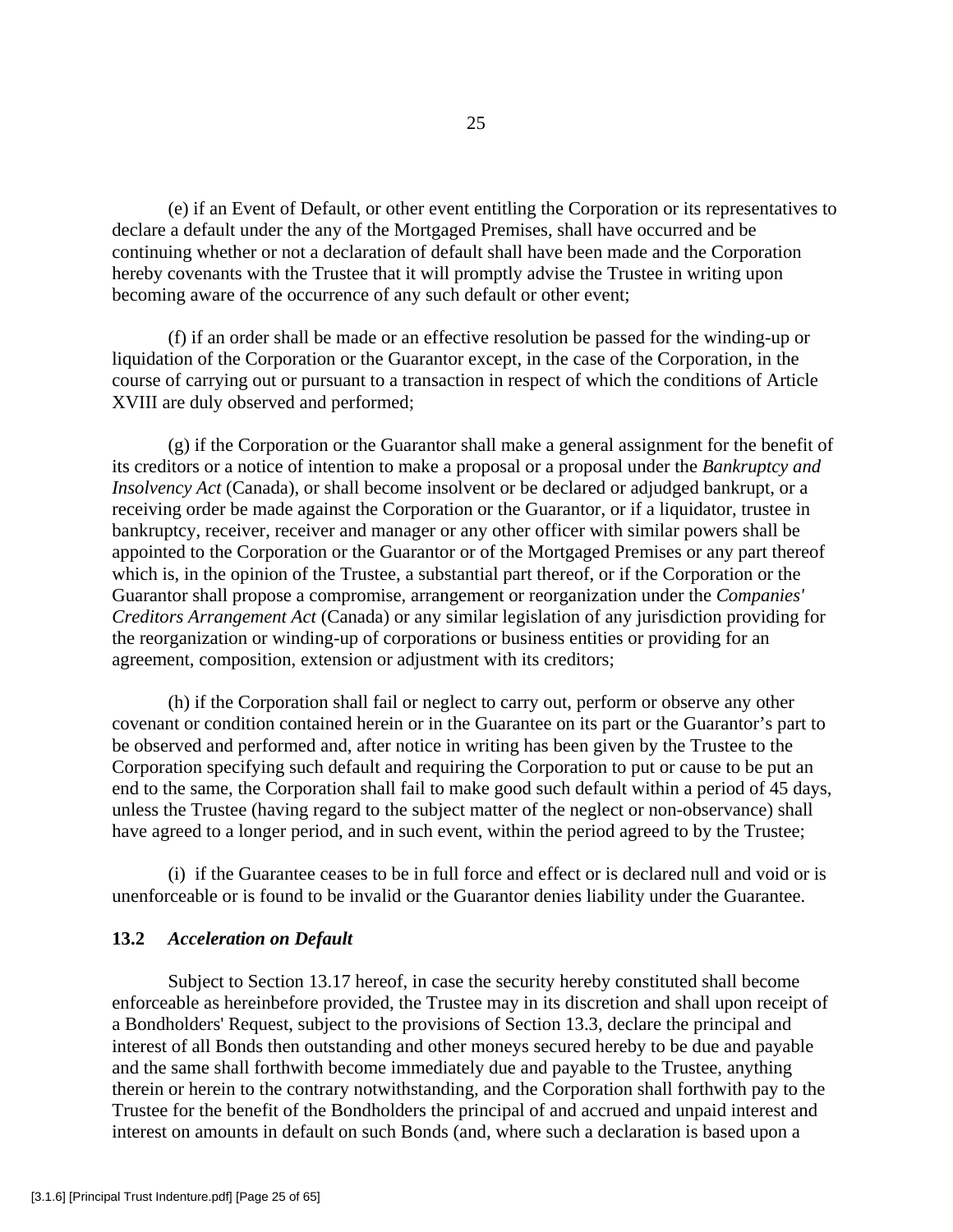(e) if an Event of Default, or other event entitling the Corporation or its representatives to declare a default under the any of the Mortgaged Premises, shall have occurred and be continuing whether or not a declaration of default shall have been made and the Corporation hereby covenants with the Trustee that it will promptly advise the Trustee in writing upon becoming aware of the occurrence of any such default or other event;

(f) if an order shall be made or an effective resolution be passed for the winding-up or liquidation of the Corporation or the Guarantor except, in the case of the Corporation, in the course of carrying out or pursuant to a transaction in respect of which the conditions of Article XVIII are duly observed and performed;

(g) if the Corporation or the Guarantor shall make a general assignment for the benefit of its creditors or a notice of intention to make a proposal or a proposal under the *Bankruptcy and Insolvency Act* (Canada), or shall become insolvent or be declared or adjudged bankrupt, or a receiving order be made against the Corporation or the Guarantor, or if a liquidator, trustee in bankruptcy, receiver, receiver and manager or any other officer with similar powers shall be appointed to the Corporation or the Guarantor or of the Mortgaged Premises or any part thereof which is, in the opinion of the Trustee, a substantial part thereof, or if the Corporation or the Guarantor shall propose a compromise, arrangement or reorganization under the *Companies' Creditors Arrangement Act* (Canada) or any similar legislation of any jurisdiction providing for the reorganization or winding-up of corporations or business entities or providing for an agreement, composition, extension or adjustment with its creditors;

(h) if the Corporation shall fail or neglect to carry out, perform or observe any other covenant or condition contained herein or in the Guarantee on its part or the Guarantor's part to be observed and performed and, after notice in writing has been given by the Trustee to the Corporation specifying such default and requiring the Corporation to put or cause to be put an end to the same, the Corporation shall fail to make good such default within a period of 45 days, unless the Trustee (having regard to the subject matter of the neglect or non-observance) shall have agreed to a longer period, and in such event, within the period agreed to by the Trustee;

(i) if the Guarantee ceases to be in full force and effect or is declared null and void or is unenforceable or is found to be invalid or the Guarantor denies liability under the Guarantee.

# **13.2** *Acceleration on Default*

Subject to Section 13.17 hereof, in case the security hereby constituted shall become enforceable as hereinbefore provided, the Trustee may in its discretion and shall upon receipt of a Bondholders' Request, subject to the provisions of Section 13.3, declare the principal and interest of all Bonds then outstanding and other moneys secured hereby to be due and payable and the same shall forthwith become immediately due and payable to the Trustee, anything therein or herein to the contrary notwithstanding, and the Corporation shall forthwith pay to the Trustee for the benefit of the Bondholders the principal of and accrued and unpaid interest and interest on amounts in default on such Bonds (and, where such a declaration is based upon a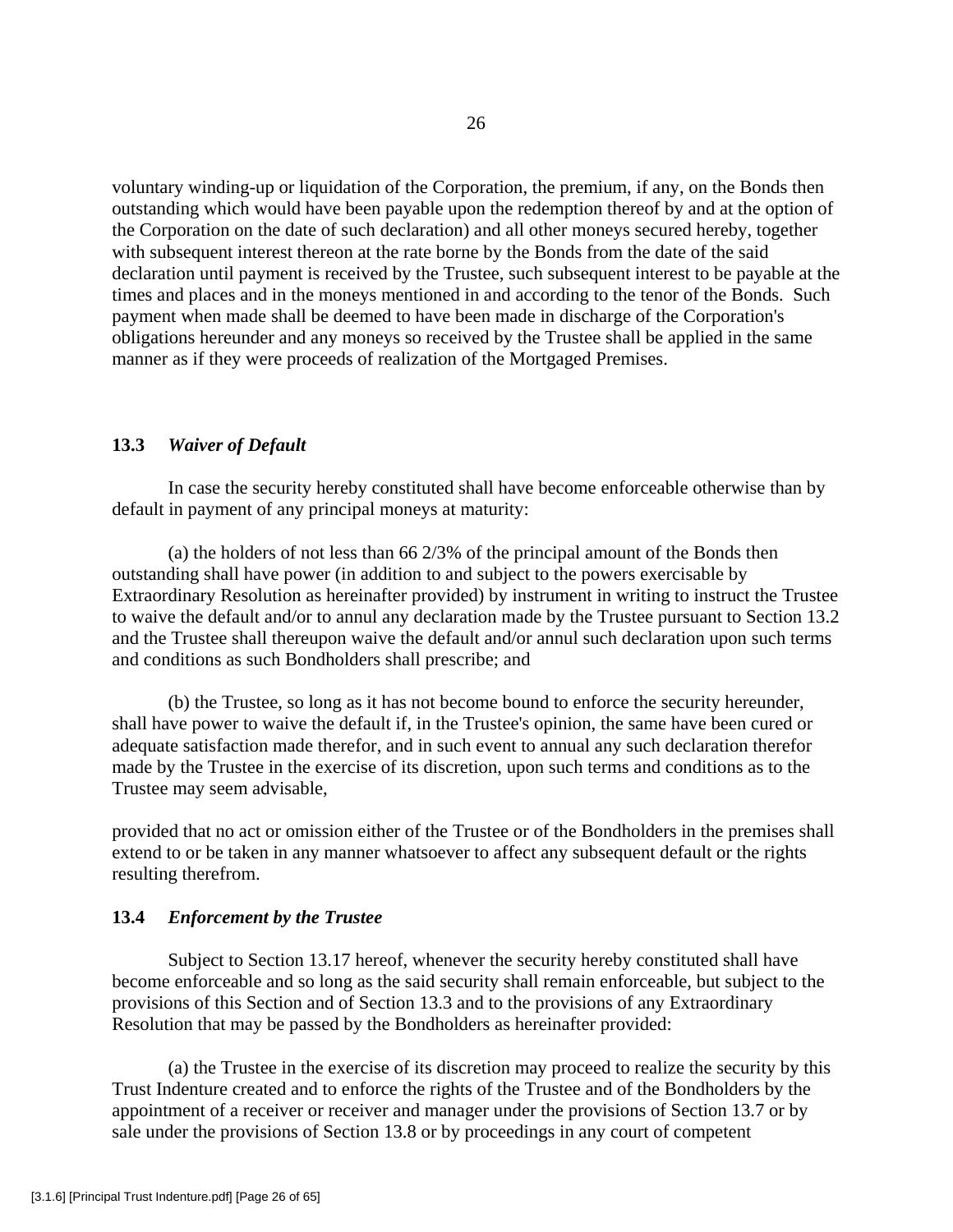voluntary winding-up or liquidation of the Corporation, the premium, if any, on the Bonds then outstanding which would have been payable upon the redemption thereof by and at the option of the Corporation on the date of such declaration) and all other moneys secured hereby, together with subsequent interest thereon at the rate borne by the Bonds from the date of the said declaration until payment is received by the Trustee, such subsequent interest to be payable at the times and places and in the moneys mentioned in and according to the tenor of the Bonds. Such payment when made shall be deemed to have been made in discharge of the Corporation's obligations hereunder and any moneys so received by the Trustee shall be applied in the same manner as if they were proceeds of realization of the Mortgaged Premises.

## **13.3** *Waiver of Default*

In case the security hereby constituted shall have become enforceable otherwise than by default in payment of any principal moneys at maturity:

(a) the holders of not less than  $66\frac{2}{3}\%$  of the principal amount of the Bonds then outstanding shall have power (in addition to and subject to the powers exercisable by Extraordinary Resolution as hereinafter provided) by instrument in writing to instruct the Trustee to waive the default and/or to annul any declaration made by the Trustee pursuant to Section 13.2 and the Trustee shall thereupon waive the default and/or annul such declaration upon such terms and conditions as such Bondholders shall prescribe; and

(b) the Trustee, so long as it has not become bound to enforce the security hereunder, shall have power to waive the default if, in the Trustee's opinion, the same have been cured or adequate satisfaction made therefor, and in such event to annual any such declaration therefor made by the Trustee in the exercise of its discretion, upon such terms and conditions as to the Trustee may seem advisable,

provided that no act or omission either of the Trustee or of the Bondholders in the premises shall extend to or be taken in any manner whatsoever to affect any subsequent default or the rights resulting therefrom.

## **13.4** *Enforcement by the Trustee*

Subject to Section 13.17 hereof, whenever the security hereby constituted shall have become enforceable and so long as the said security shall remain enforceable, but subject to the provisions of this Section and of Section 13.3 and to the provisions of any Extraordinary Resolution that may be passed by the Bondholders as hereinafter provided:

(a) the Trustee in the exercise of its discretion may proceed to realize the security by this Trust Indenture created and to enforce the rights of the Trustee and of the Bondholders by the appointment of a receiver or receiver and manager under the provisions of Section 13.7 or by sale under the provisions of Section 13.8 or by proceedings in any court of competent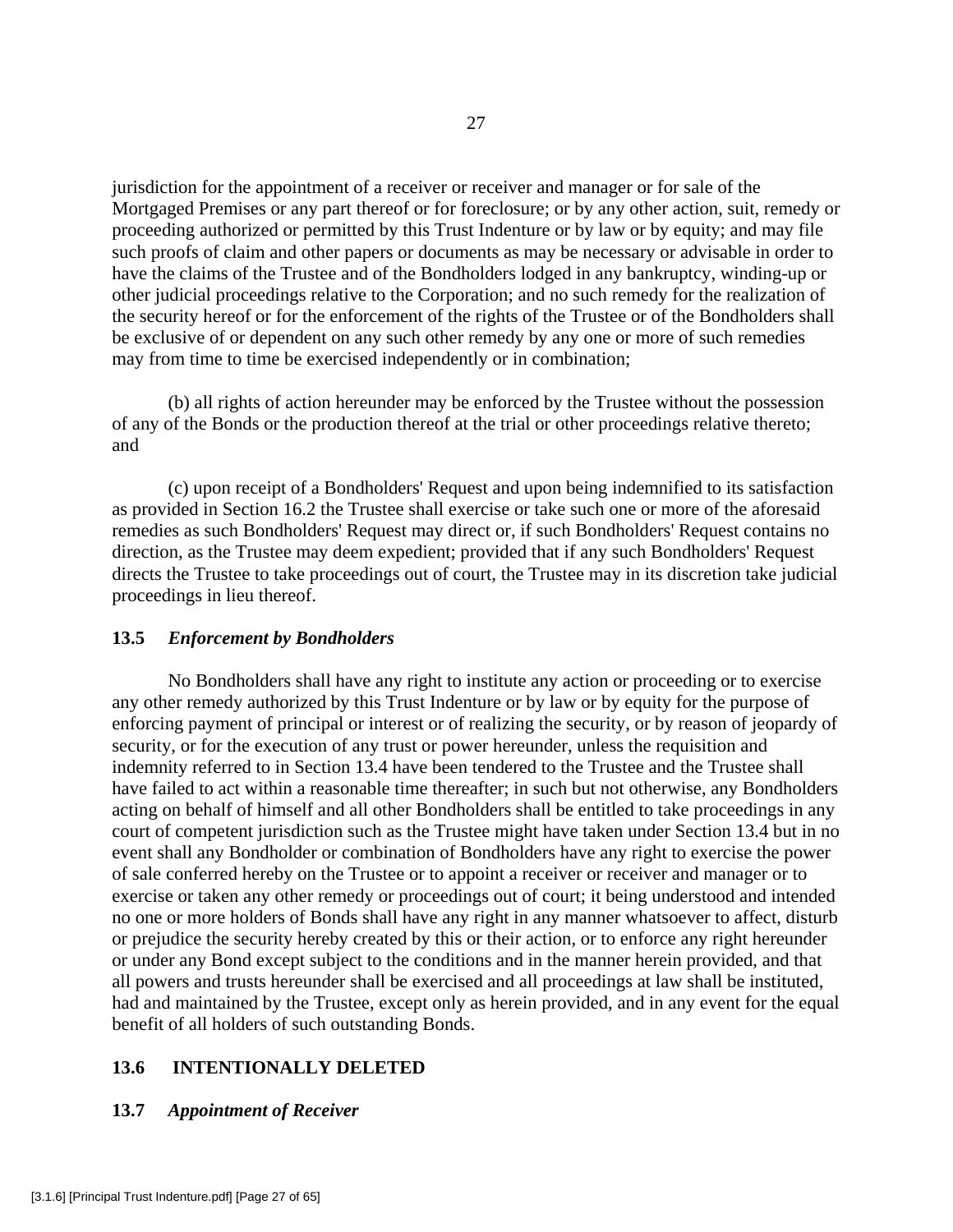jurisdiction for the appointment of a receiver or receiver and manager or for sale of the Mortgaged Premises or any part thereof or for foreclosure; or by any other action, suit, remedy or proceeding authorized or permitted by this Trust Indenture or by law or by equity; and may file such proofs of claim and other papers or documents as may be necessary or advisable in order to have the claims of the Trustee and of the Bondholders lodged in any bankruptcy, winding-up or other judicial proceedings relative to the Corporation; and no such remedy for the realization of the security hereof or for the enforcement of the rights of the Trustee or of the Bondholders shall be exclusive of or dependent on any such other remedy by any one or more of such remedies may from time to time be exercised independently or in combination;

(b) all rights of action hereunder may be enforced by the Trustee without the possession of any of the Bonds or the production thereof at the trial or other proceedings relative thereto; and

(c) upon receipt of a Bondholders' Request and upon being indemnified to its satisfaction as provided in Section 16.2 the Trustee shall exercise or take such one or more of the aforesaid remedies as such Bondholders' Request may direct or, if such Bondholders' Request contains no direction, as the Trustee may deem expedient; provided that if any such Bondholders' Request directs the Trustee to take proceedings out of court, the Trustee may in its discretion take judicial proceedings in lieu thereof.

# **13.5** *Enforcement by Bondholders*

No Bondholders shall have any right to institute any action or proceeding or to exercise any other remedy authorized by this Trust Indenture or by law or by equity for the purpose of enforcing payment of principal or interest or of realizing the security, or by reason of jeopardy of security, or for the execution of any trust or power hereunder, unless the requisition and indemnity referred to in Section 13.4 have been tendered to the Trustee and the Trustee shall have failed to act within a reasonable time thereafter; in such but not otherwise, any Bondholders acting on behalf of himself and all other Bondholders shall be entitled to take proceedings in any court of competent jurisdiction such as the Trustee might have taken under Section 13.4 but in no event shall any Bondholder or combination of Bondholders have any right to exercise the power of sale conferred hereby on the Trustee or to appoint a receiver or receiver and manager or to exercise or taken any other remedy or proceedings out of court; it being understood and intended no one or more holders of Bonds shall have any right in any manner whatsoever to affect, disturb or prejudice the security hereby created by this or their action, or to enforce any right hereunder or under any Bond except subject to the conditions and in the manner herein provided, and that all powers and trusts hereunder shall be exercised and all proceedings at law shall be instituted, had and maintained by the Trustee, except only as herein provided, and in any event for the equal benefit of all holders of such outstanding Bonds.

# **13.6 INTENTIONALLY DELETED**

#### **13.7** *Appointment of Receiver*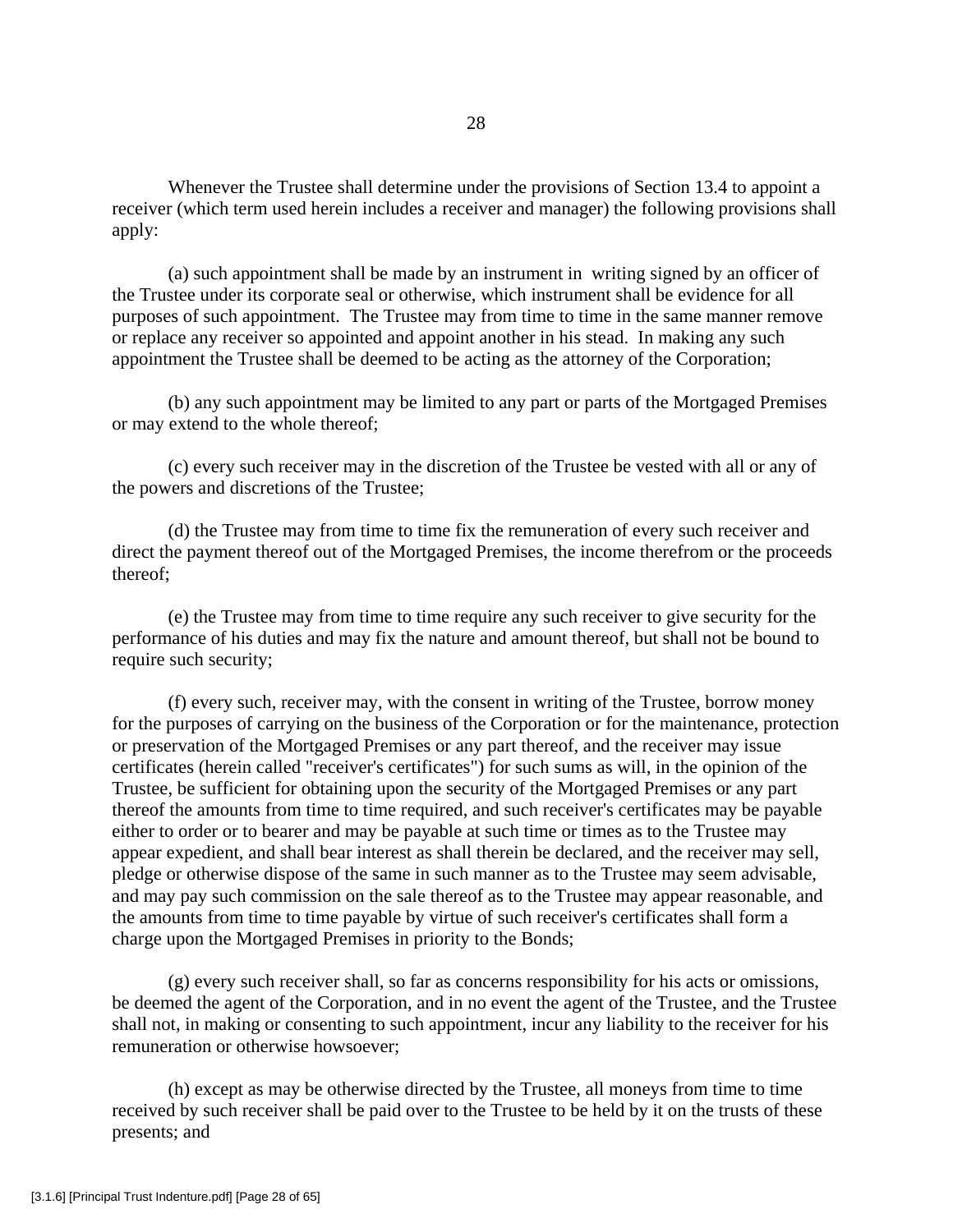Whenever the Trustee shall determine under the provisions of Section 13.4 to appoint a receiver (which term used herein includes a receiver and manager) the following provisions shall apply:

(a) such appointment shall be made by an instrument in writing signed by an officer of the Trustee under its corporate seal or otherwise, which instrument shall be evidence for all purposes of such appointment. The Trustee may from time to time in the same manner remove or replace any receiver so appointed and appoint another in his stead. In making any such appointment the Trustee shall be deemed to be acting as the attorney of the Corporation;

(b) any such appointment may be limited to any part or parts of the Mortgaged Premises or may extend to the whole thereof;

(c) every such receiver may in the discretion of the Trustee be vested with all or any of the powers and discretions of the Trustee;

(d) the Trustee may from time to time fix the remuneration of every such receiver and direct the payment thereof out of the Mortgaged Premises, the income therefrom or the proceeds thereof;

(e) the Trustee may from time to time require any such receiver to give security for the performance of his duties and may fix the nature and amount thereof, but shall not be bound to require such security;

(f) every such, receiver may, with the consent in writing of the Trustee, borrow money for the purposes of carrying on the business of the Corporation or for the maintenance, protection or preservation of the Mortgaged Premises or any part thereof, and the receiver may issue certificates (herein called "receiver's certificates") for such sums as will, in the opinion of the Trustee, be sufficient for obtaining upon the security of the Mortgaged Premises or any part thereof the amounts from time to time required, and such receiver's certificates may be payable either to order or to bearer and may be payable at such time or times as to the Trustee may appear expedient, and shall bear interest as shall therein be declared, and the receiver may sell, pledge or otherwise dispose of the same in such manner as to the Trustee may seem advisable, and may pay such commission on the sale thereof as to the Trustee may appear reasonable, and the amounts from time to time payable by virtue of such receiver's certificates shall form a charge upon the Mortgaged Premises in priority to the Bonds;

(g) every such receiver shall, so far as concerns responsibility for his acts or omissions, be deemed the agent of the Corporation, and in no event the agent of the Trustee, and the Trustee shall not, in making or consenting to such appointment, incur any liability to the receiver for his remuneration or otherwise howsoever;

(h) except as may be otherwise directed by the Trustee, all moneys from time to time received by such receiver shall be paid over to the Trustee to be held by it on the trusts of these presents; and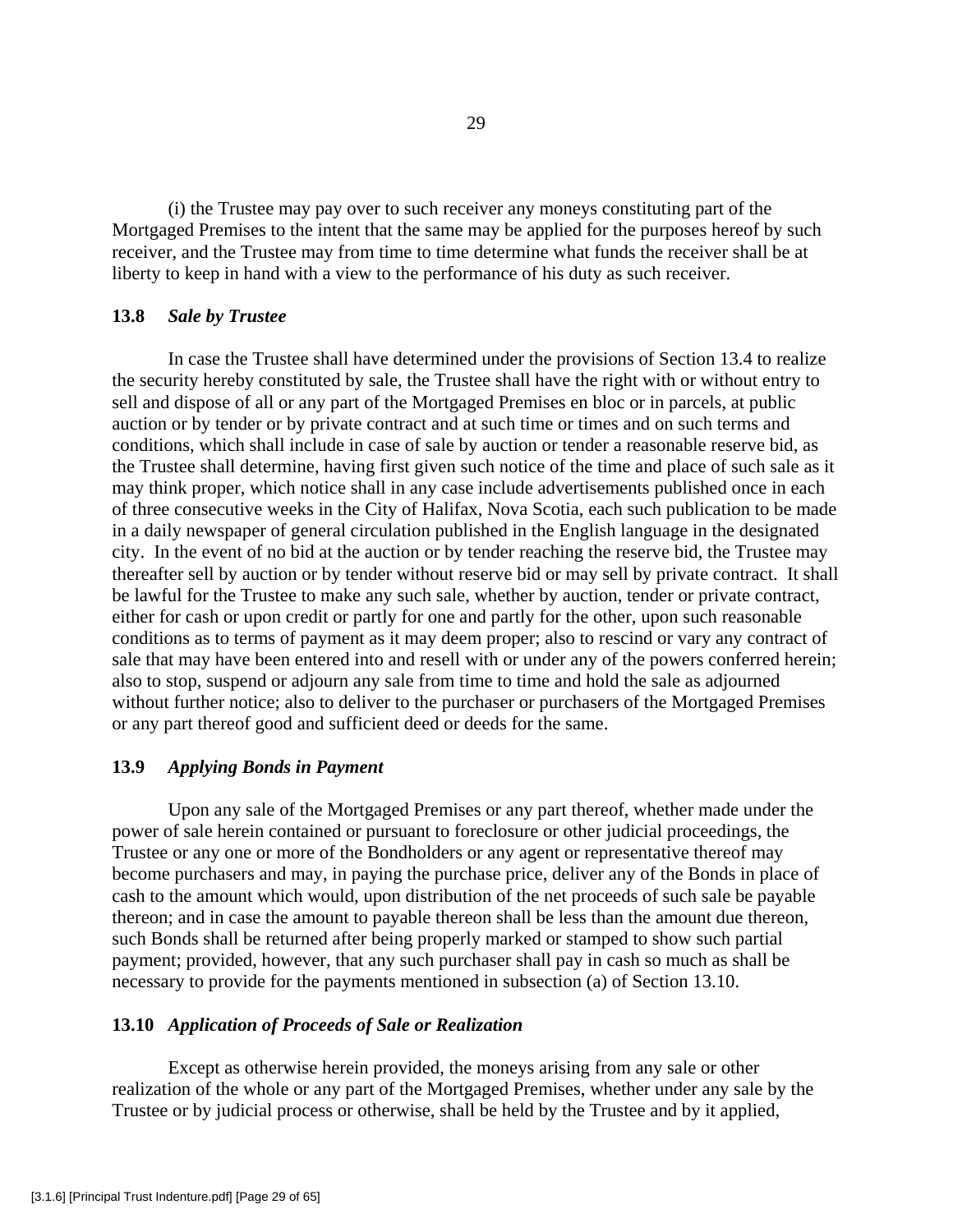(i) the Trustee may pay over to such receiver any moneys constituting part of the Mortgaged Premises to the intent that the same may be applied for the purposes hereof by such receiver, and the Trustee may from time to time determine what funds the receiver shall be at liberty to keep in hand with a view to the performance of his duty as such receiver.

## **13.8** *Sale by Trustee*

In case the Trustee shall have determined under the provisions of Section 13.4 to realize the security hereby constituted by sale, the Trustee shall have the right with or without entry to sell and dispose of all or any part of the Mortgaged Premises en bloc or in parcels, at public auction or by tender or by private contract and at such time or times and on such terms and conditions, which shall include in case of sale by auction or tender a reasonable reserve bid, as the Trustee shall determine, having first given such notice of the time and place of such sale as it may think proper, which notice shall in any case include advertisements published once in each of three consecutive weeks in the City of Halifax, Nova Scotia, each such publication to be made in a daily newspaper of general circulation published in the English language in the designated city. In the event of no bid at the auction or by tender reaching the reserve bid, the Trustee may thereafter sell by auction or by tender without reserve bid or may sell by private contract. It shall be lawful for the Trustee to make any such sale, whether by auction, tender or private contract, either for cash or upon credit or partly for one and partly for the other, upon such reasonable conditions as to terms of payment as it may deem proper; also to rescind or vary any contract of sale that may have been entered into and resell with or under any of the powers conferred herein; also to stop, suspend or adjourn any sale from time to time and hold the sale as adjourned without further notice; also to deliver to the purchaser or purchasers of the Mortgaged Premises or any part thereof good and sufficient deed or deeds for the same.

## **13.9** *Applying Bonds in Payment*

 Upon any sale of the Mortgaged Premises or any part thereof, whether made under the power of sale herein contained or pursuant to foreclosure or other judicial proceedings, the Trustee or any one or more of the Bondholders or any agent or representative thereof may become purchasers and may, in paying the purchase price, deliver any of the Bonds in place of cash to the amount which would, upon distribution of the net proceeds of such sale be payable thereon; and in case the amount to payable thereon shall be less than the amount due thereon, such Bonds shall be returned after being properly marked or stamped to show such partial payment; provided, however, that any such purchaser shall pay in cash so much as shall be necessary to provide for the payments mentioned in subsection (a) of Section 13.10.

#### **13.10** *Application of Proceeds of Sale or Realization*

 Except as otherwise herein provided, the moneys arising from any sale or other realization of the whole or any part of the Mortgaged Premises, whether under any sale by the Trustee or by judicial process or otherwise, shall be held by the Trustee and by it applied,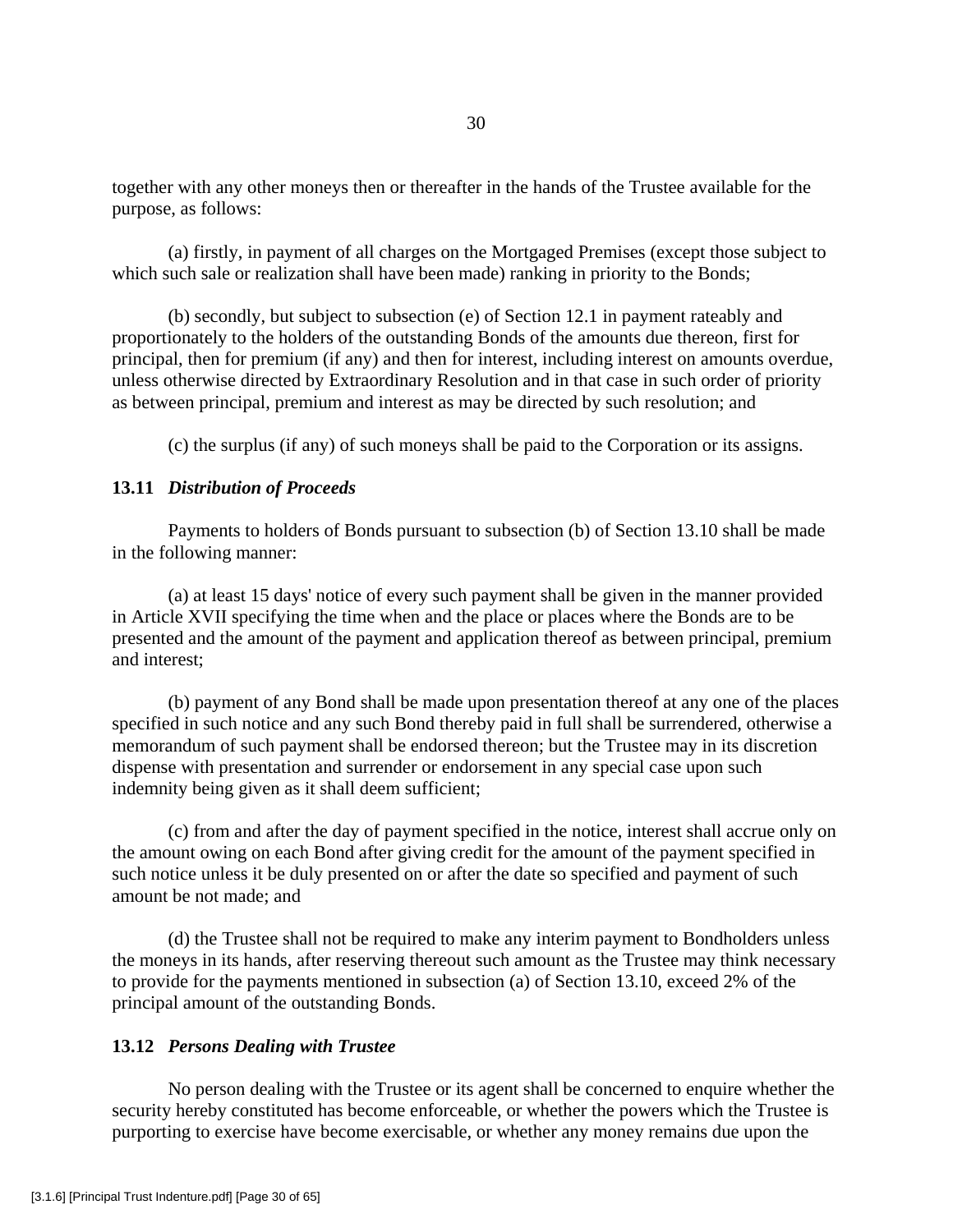together with any other moneys then or thereafter in the hands of the Trustee available for the purpose, as follows:

 (a) firstly, in payment of all charges on the Mortgaged Premises (except those subject to which such sale or realization shall have been made) ranking in priority to the Bonds;

 (b) secondly, but subject to subsection (e) of Section 12.1 in payment rateably and proportionately to the holders of the outstanding Bonds of the amounts due thereon, first for principal, then for premium (if any) and then for interest, including interest on amounts overdue, unless otherwise directed by Extraordinary Resolution and in that case in such order of priority as between principal, premium and interest as may be directed by such resolution; and

(c) the surplus (if any) of such moneys shall be paid to the Corporation or its assigns.

## **13.11** *Distribution of Proceeds*

 Payments to holders of Bonds pursuant to subsection (b) of Section 13.10 shall be made in the following manner:

 (a) at least 15 days' notice of every such payment shall be given in the manner provided in Article XVII specifying the time when and the place or places where the Bonds are to be presented and the amount of the payment and application thereof as between principal, premium and interest;

 (b) payment of any Bond shall be made upon presentation thereof at any one of the places specified in such notice and any such Bond thereby paid in full shall be surrendered, otherwise a memorandum of such payment shall be endorsed thereon; but the Trustee may in its discretion dispense with presentation and surrender or endorsement in any special case upon such indemnity being given as it shall deem sufficient;

 (c) from and after the day of payment specified in the notice, interest shall accrue only on the amount owing on each Bond after giving credit for the amount of the payment specified in such notice unless it be duly presented on or after the date so specified and payment of such amount be not made; and

 (d) the Trustee shall not be required to make any interim payment to Bondholders unless the moneys in its hands, after reserving thereout such amount as the Trustee may think necessary to provide for the payments mentioned in subsection (a) of Section 13.10, exceed 2% of the principal amount of the outstanding Bonds.

## **13.12** *Persons Dealing with Trustee*

 No person dealing with the Trustee or its agent shall be concerned to enquire whether the security hereby constituted has become enforceable, or whether the powers which the Trustee is purporting to exercise have become exercisable, or whether any money remains due upon the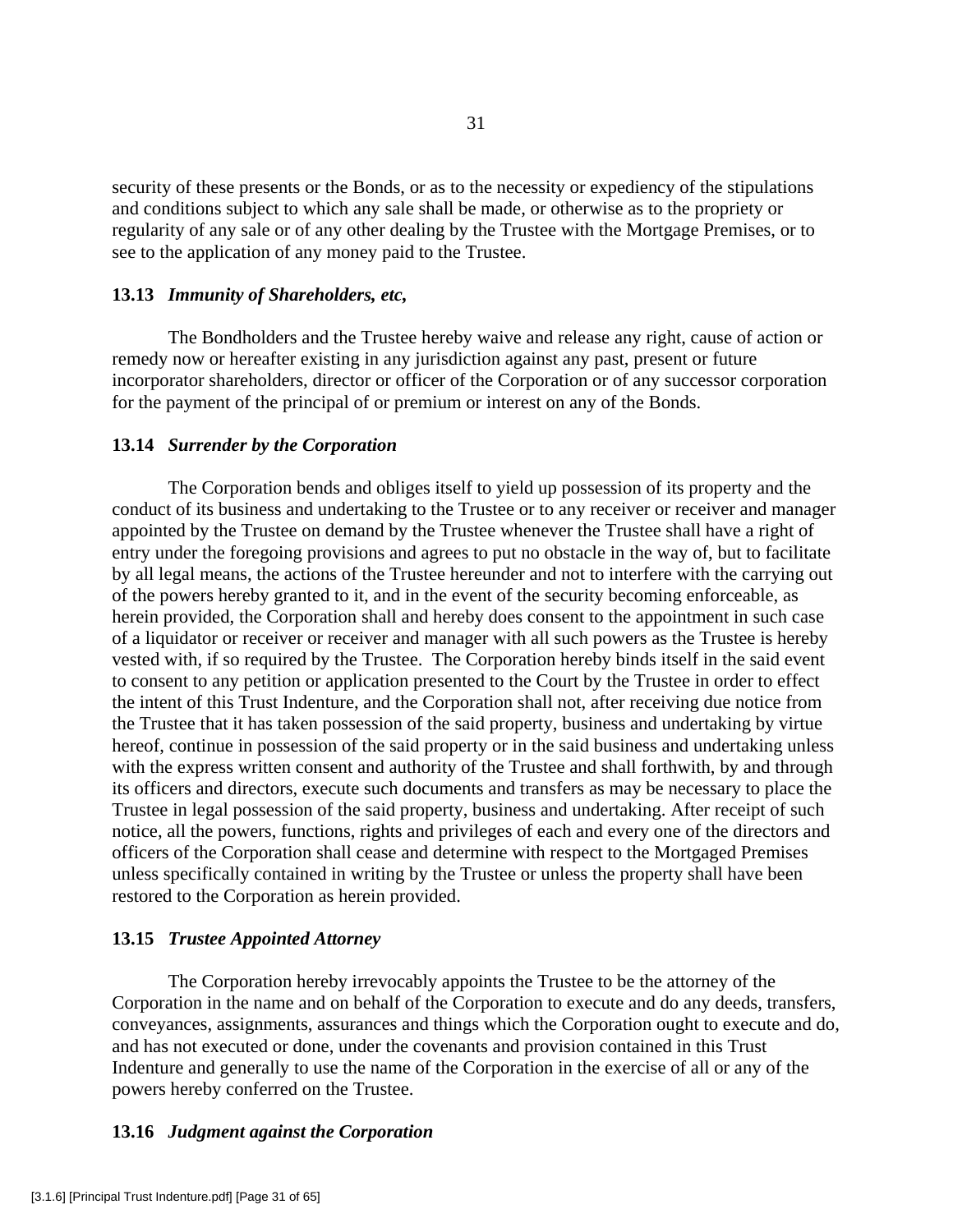security of these presents or the Bonds, or as to the necessity or expediency of the stipulations and conditions subject to which any sale shall be made, or otherwise as to the propriety or regularity of any sale or of any other dealing by the Trustee with the Mortgage Premises, or to see to the application of any money paid to the Trustee.

## **13.13** *Immunity of Shareholders, etc,*

 The Bondholders and the Trustee hereby waive and release any right, cause of action or remedy now or hereafter existing in any jurisdiction against any past, present or future incorporator shareholders, director or officer of the Corporation or of any successor corporation for the payment of the principal of or premium or interest on any of the Bonds.

## **13.14** *Surrender by the Corporation*

 The Corporation bends and obliges itself to yield up possession of its property and the conduct of its business and undertaking to the Trustee or to any receiver or receiver and manager appointed by the Trustee on demand by the Trustee whenever the Trustee shall have a right of entry under the foregoing provisions and agrees to put no obstacle in the way of, but to facilitate by all legal means, the actions of the Trustee hereunder and not to interfere with the carrying out of the powers hereby granted to it, and in the event of the security becoming enforceable, as herein provided, the Corporation shall and hereby does consent to the appointment in such case of a liquidator or receiver or receiver and manager with all such powers as the Trustee is hereby vested with, if so required by the Trustee. The Corporation hereby binds itself in the said event to consent to any petition or application presented to the Court by the Trustee in order to effect the intent of this Trust Indenture, and the Corporation shall not, after receiving due notice from the Trustee that it has taken possession of the said property, business and undertaking by virtue hereof, continue in possession of the said property or in the said business and undertaking unless with the express written consent and authority of the Trustee and shall forthwith, by and through its officers and directors, execute such documents and transfers as may be necessary to place the Trustee in legal possession of the said property, business and undertaking. After receipt of such notice, all the powers, functions, rights and privileges of each and every one of the directors and officers of the Corporation shall cease and determine with respect to the Mortgaged Premises unless specifically contained in writing by the Trustee or unless the property shall have been restored to the Corporation as herein provided.

# **13.15** *Trustee Appointed Attorney*

 The Corporation hereby irrevocably appoints the Trustee to be the attorney of the Corporation in the name and on behalf of the Corporation to execute and do any deeds, transfers, conveyances, assignments, assurances and things which the Corporation ought to execute and do, and has not executed or done, under the covenants and provision contained in this Trust Indenture and generally to use the name of the Corporation in the exercise of all or any of the powers hereby conferred on the Trustee.

# **13.16** *Judgment against the Corporation*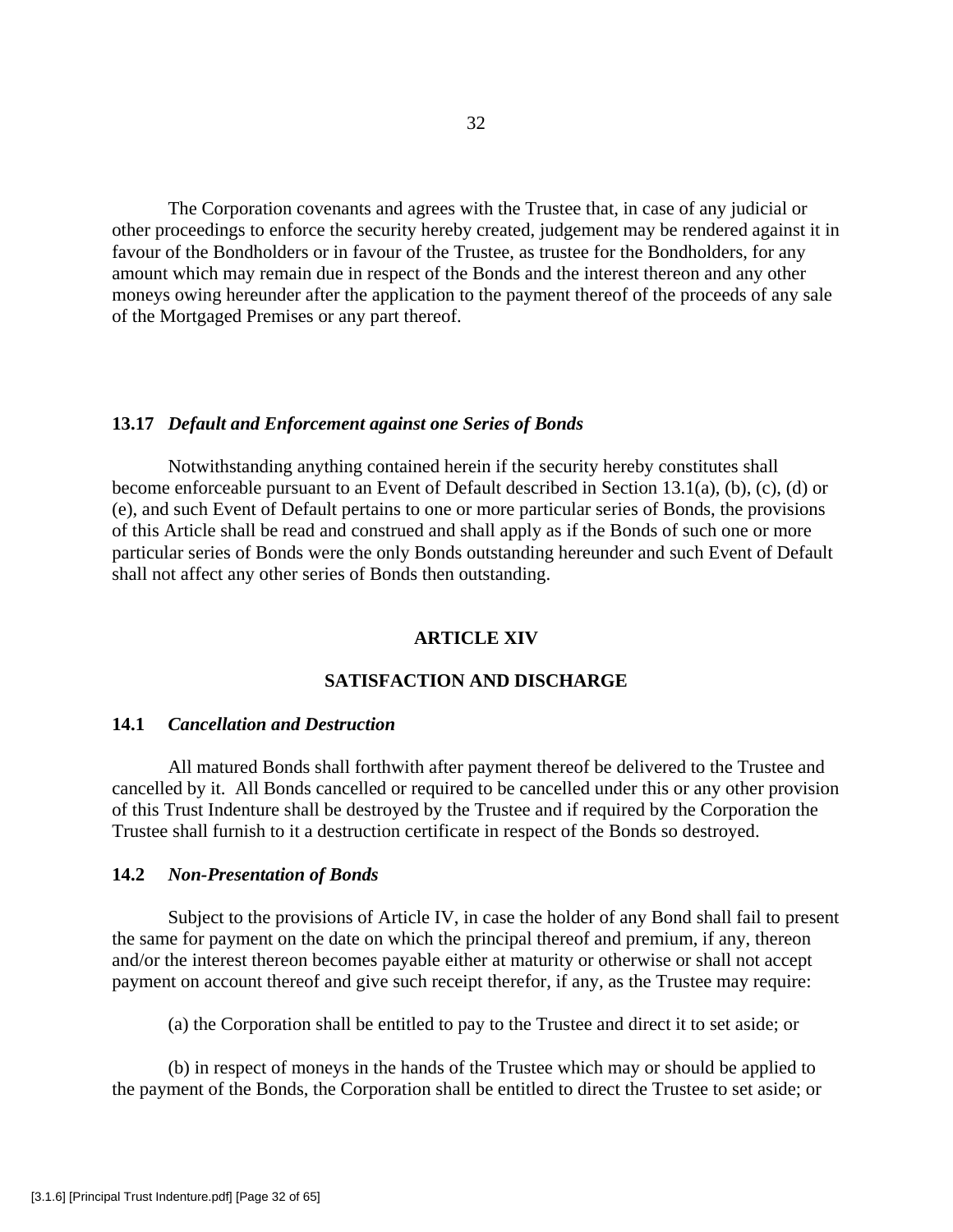The Corporation covenants and agrees with the Trustee that, in case of any judicial or other proceedings to enforce the security hereby created, judgement may be rendered against it in favour of the Bondholders or in favour of the Trustee, as trustee for the Bondholders, for any amount which may remain due in respect of the Bonds and the interest thereon and any other moneys owing hereunder after the application to the payment thereof of the proceeds of any sale of the Mortgaged Premises or any part thereof.

#### **13.17** *Default and Enforcement against one Series of Bonds*

Notwithstanding anything contained herein if the security hereby constitutes shall become enforceable pursuant to an Event of Default described in Section 13.1(a), (b), (c), (d) or (e), and such Event of Default pertains to one or more particular series of Bonds, the provisions of this Article shall be read and construed and shall apply as if the Bonds of such one or more particular series of Bonds were the only Bonds outstanding hereunder and such Event of Default shall not affect any other series of Bonds then outstanding.

## **ARTICLE XIV**

#### **SATISFACTION AND DISCHARGE**

#### **14.1** *Cancellation and Destruction*

 All matured Bonds shall forthwith after payment thereof be delivered to the Trustee and cancelled by it. All Bonds cancelled or required to be cancelled under this or any other provision of this Trust Indenture shall be destroyed by the Trustee and if required by the Corporation the Trustee shall furnish to it a destruction certificate in respect of the Bonds so destroyed.

#### **14.2** *Non-Presentation of Bonds*

 Subject to the provisions of Article IV, in case the holder of any Bond shall fail to present the same for payment on the date on which the principal thereof and premium, if any, thereon and/or the interest thereon becomes payable either at maturity or otherwise or shall not accept payment on account thereof and give such receipt therefor, if any, as the Trustee may require:

(a) the Corporation shall be entitled to pay to the Trustee and direct it to set aside; or

 (b) in respect of moneys in the hands of the Trustee which may or should be applied to the payment of the Bonds, the Corporation shall be entitled to direct the Trustee to set aside; or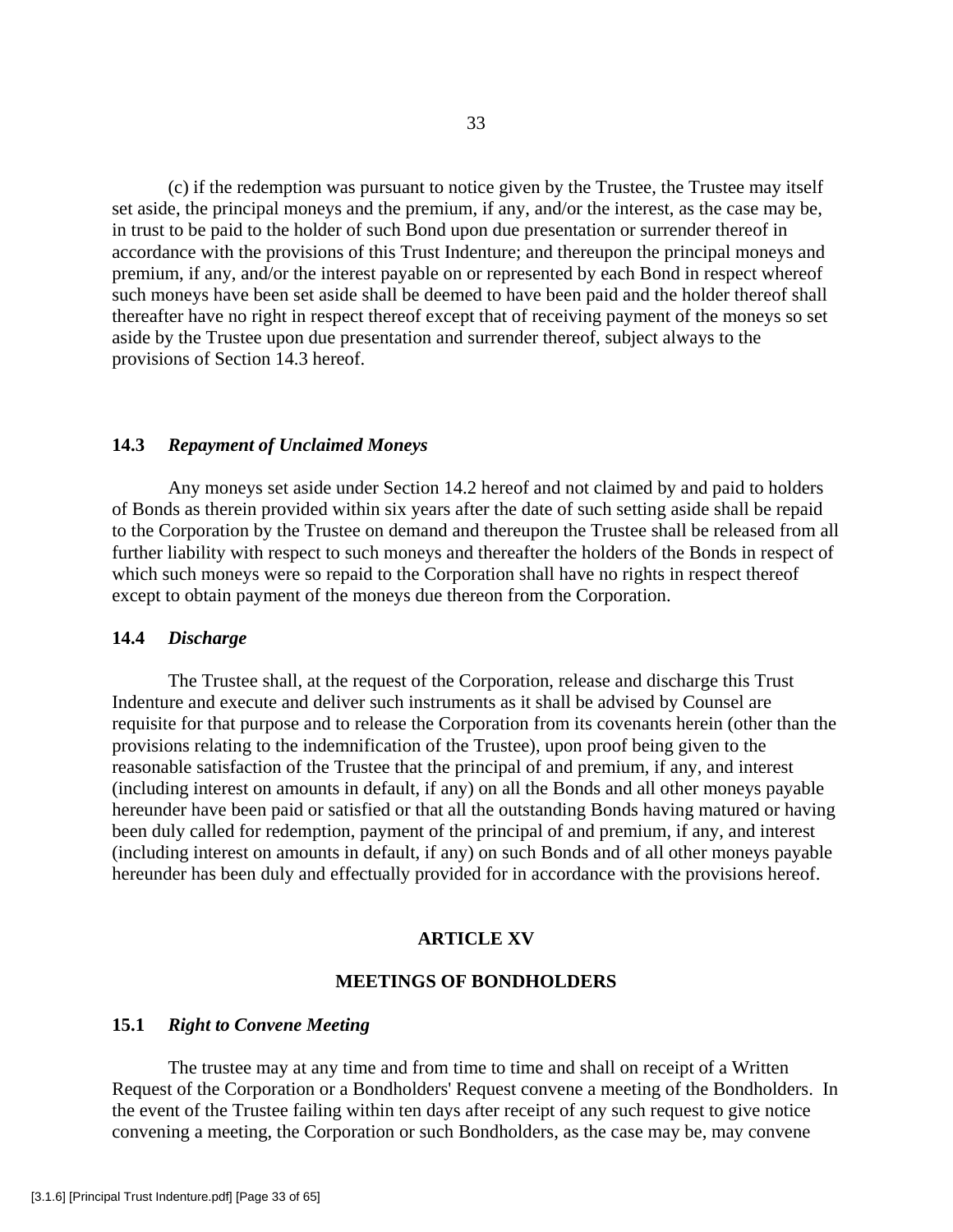(c) if the redemption was pursuant to notice given by the Trustee, the Trustee may itself set aside, the principal moneys and the premium, if any, and/or the interest, as the case may be, in trust to be paid to the holder of such Bond upon due presentation or surrender thereof in accordance with the provisions of this Trust Indenture; and thereupon the principal moneys and premium, if any, and/or the interest payable on or represented by each Bond in respect whereof such moneys have been set aside shall be deemed to have been paid and the holder thereof shall thereafter have no right in respect thereof except that of receiving payment of the moneys so set aside by the Trustee upon due presentation and surrender thereof, subject always to the provisions of Section 14.3 hereof.

## **14.3** *Repayment of Unclaimed Moneys*

 Any moneys set aside under Section 14.2 hereof and not claimed by and paid to holders of Bonds as therein provided within six years after the date of such setting aside shall be repaid to the Corporation by the Trustee on demand and thereupon the Trustee shall be released from all further liability with respect to such moneys and thereafter the holders of the Bonds in respect of which such moneys were so repaid to the Corporation shall have no rights in respect thereof except to obtain payment of the moneys due thereon from the Corporation.

## **14.4** *Discharge*

 The Trustee shall, at the request of the Corporation, release and discharge this Trust Indenture and execute and deliver such instruments as it shall be advised by Counsel are requisite for that purpose and to release the Corporation from its covenants herein (other than the provisions relating to the indemnification of the Trustee), upon proof being given to the reasonable satisfaction of the Trustee that the principal of and premium, if any, and interest (including interest on amounts in default, if any) on all the Bonds and all other moneys payable hereunder have been paid or satisfied or that all the outstanding Bonds having matured or having been duly called for redemption, payment of the principal of and premium, if any, and interest (including interest on amounts in default, if any) on such Bonds and of all other moneys payable hereunder has been duly and effectually provided for in accordance with the provisions hereof.

# **ARTICLE XV**

## **MEETINGS OF BONDHOLDERS**

## **15.1** *Right to Convene Meeting*

 The trustee may at any time and from time to time and shall on receipt of a Written Request of the Corporation or a Bondholders' Request convene a meeting of the Bondholders. In the event of the Trustee failing within ten days after receipt of any such request to give notice convening a meeting, the Corporation or such Bondholders, as the case may be, may convene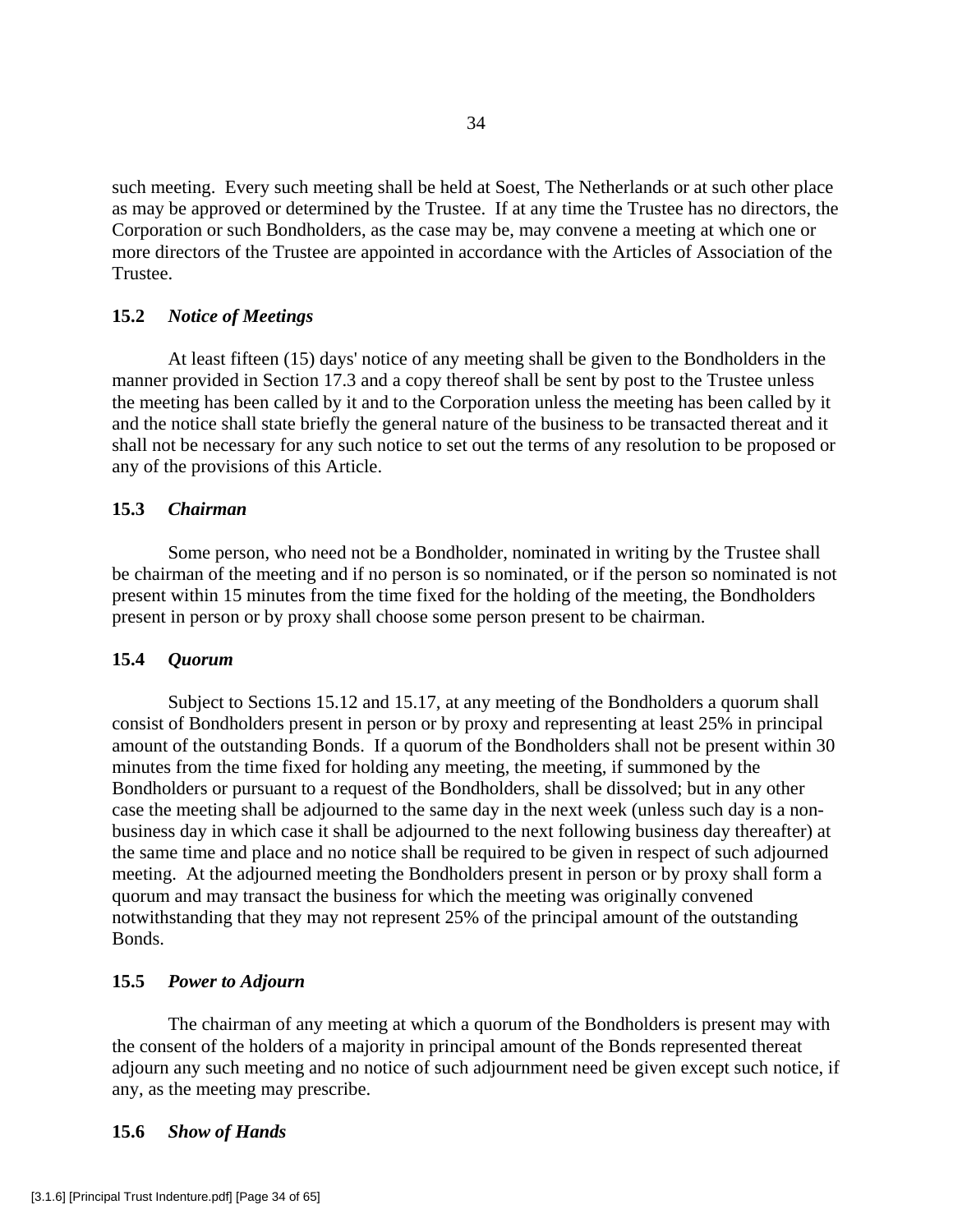such meeting. Every such meeting shall be held at Soest, The Netherlands or at such other place as may be approved or determined by the Trustee. If at any time the Trustee has no directors, the Corporation or such Bondholders, as the case may be, may convene a meeting at which one or more directors of the Trustee are appointed in accordance with the Articles of Association of the Trustee.

# **15.2** *Notice of Meetings*

 At least fifteen (15) days' notice of any meeting shall be given to the Bondholders in the manner provided in Section 17.3 and a copy thereof shall be sent by post to the Trustee unless the meeting has been called by it and to the Corporation unless the meeting has been called by it and the notice shall state briefly the general nature of the business to be transacted thereat and it shall not be necessary for any such notice to set out the terms of any resolution to be proposed or any of the provisions of this Article.

# **15.3** *Chairman*

 Some person, who need not be a Bondholder, nominated in writing by the Trustee shall be chairman of the meeting and if no person is so nominated, or if the person so nominated is not present within 15 minutes from the time fixed for the holding of the meeting, the Bondholders present in person or by proxy shall choose some person present to be chairman.

# **15.4** *Quorum*

 Subject to Sections 15.12 and 15.17, at any meeting of the Bondholders a quorum shall consist of Bondholders present in person or by proxy and representing at least 25% in principal amount of the outstanding Bonds. If a quorum of the Bondholders shall not be present within 30 minutes from the time fixed for holding any meeting, the meeting, if summoned by the Bondholders or pursuant to a request of the Bondholders, shall be dissolved; but in any other case the meeting shall be adjourned to the same day in the next week (unless such day is a nonbusiness day in which case it shall be adjourned to the next following business day thereafter) at the same time and place and no notice shall be required to be given in respect of such adjourned meeting. At the adjourned meeting the Bondholders present in person or by proxy shall form a quorum and may transact the business for which the meeting was originally convened notwithstanding that they may not represent 25% of the principal amount of the outstanding Bonds.

# **15.5** *Power to Adjourn*

 The chairman of any meeting at which a quorum of the Bondholders is present may with the consent of the holders of a majority in principal amount of the Bonds represented thereat adjourn any such meeting and no notice of such adjournment need be given except such notice, if any, as the meeting may prescribe.

# **15.6** *Show of Hands*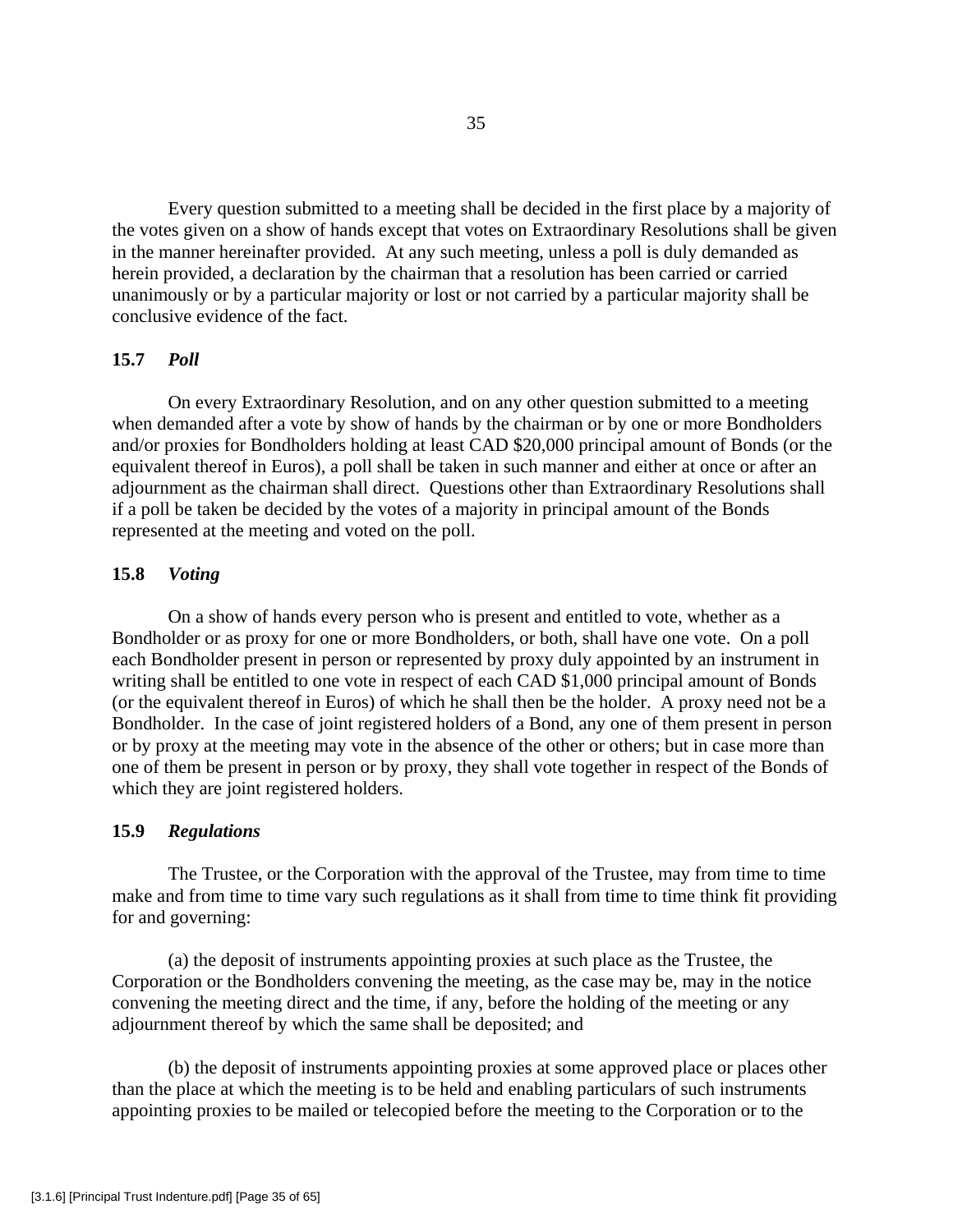Every question submitted to a meeting shall be decided in the first place by a majority of the votes given on a show of hands except that votes on Extraordinary Resolutions shall be given in the manner hereinafter provided. At any such meeting, unless a poll is duly demanded as herein provided, a declaration by the chairman that a resolution has been carried or carried unanimously or by a particular majority or lost or not carried by a particular majority shall be conclusive evidence of the fact.

# **15.7** *Poll*

 On every Extraordinary Resolution, and on any other question submitted to a meeting when demanded after a vote by show of hands by the chairman or by one or more Bondholders and/or proxies for Bondholders holding at least CAD \$20,000 principal amount of Bonds (or the equivalent thereof in Euros), a poll shall be taken in such manner and either at once or after an adjournment as the chairman shall direct. Questions other than Extraordinary Resolutions shall if a poll be taken be decided by the votes of a majority in principal amount of the Bonds represented at the meeting and voted on the poll.

## **15.8** *Voting*

 On a show of hands every person who is present and entitled to vote, whether as a Bondholder or as proxy for one or more Bondholders, or both, shall have one vote. On a poll each Bondholder present in person or represented by proxy duly appointed by an instrument in writing shall be entitled to one vote in respect of each CAD \$1,000 principal amount of Bonds (or the equivalent thereof in Euros) of which he shall then be the holder. A proxy need not be a Bondholder. In the case of joint registered holders of a Bond, any one of them present in person or by proxy at the meeting may vote in the absence of the other or others; but in case more than one of them be present in person or by proxy, they shall vote together in respect of the Bonds of which they are joint registered holders.

## **15.9** *Regulations*

 The Trustee, or the Corporation with the approval of the Trustee, may from time to time make and from time to time vary such regulations as it shall from time to time think fit providing for and governing:

 (a) the deposit of instruments appointing proxies at such place as the Trustee, the Corporation or the Bondholders convening the meeting, as the case may be, may in the notice convening the meeting direct and the time, if any, before the holding of the meeting or any adjournment thereof by which the same shall be deposited; and

 (b) the deposit of instruments appointing proxies at some approved place or places other than the place at which the meeting is to be held and enabling particulars of such instruments appointing proxies to be mailed or telecopied before the meeting to the Corporation or to the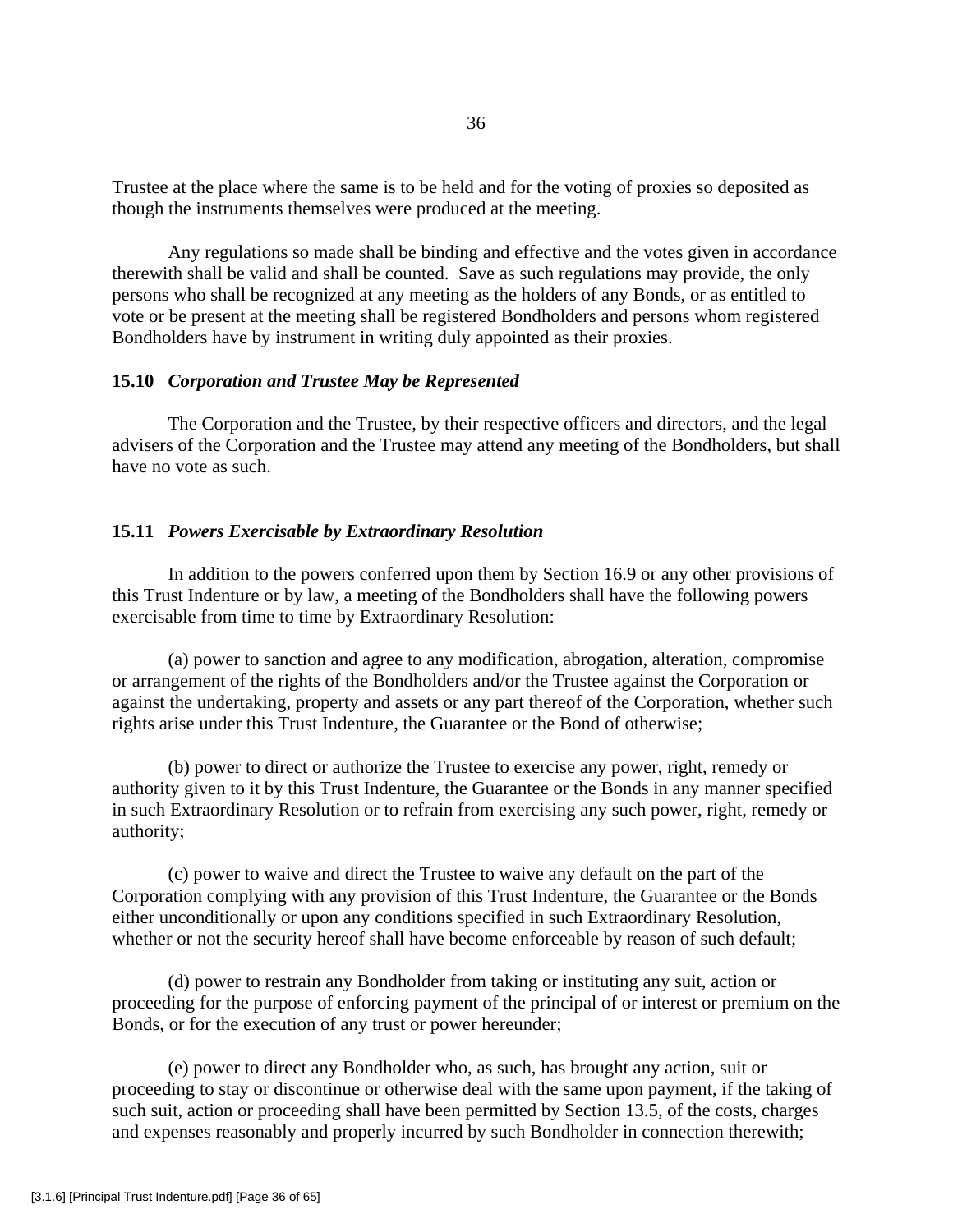Trustee at the place where the same is to be held and for the voting of proxies so deposited as though the instruments themselves were produced at the meeting.

 Any regulations so made shall be binding and effective and the votes given in accordance therewith shall be valid and shall be counted. Save as such regulations may provide, the only persons who shall be recognized at any meeting as the holders of any Bonds, or as entitled to vote or be present at the meeting shall be registered Bondholders and persons whom registered Bondholders have by instrument in writing duly appointed as their proxies.

#### **15.10** *Corporation and Trustee May be Represented*

 The Corporation and the Trustee, by their respective officers and directors, and the legal advisers of the Corporation and the Trustee may attend any meeting of the Bondholders, but shall have no vote as such.

## **15.11** *Powers Exercisable by Extraordinary Resolution*

 In addition to the powers conferred upon them by Section 16.9 or any other provisions of this Trust Indenture or by law, a meeting of the Bondholders shall have the following powers exercisable from time to time by Extraordinary Resolution:

 (a) power to sanction and agree to any modification, abrogation, alteration, compromise or arrangement of the rights of the Bondholders and/or the Trustee against the Corporation or against the undertaking, property and assets or any part thereof of the Corporation, whether such rights arise under this Trust Indenture, the Guarantee or the Bond of otherwise;

(b) power to direct or authorize the Trustee to exercise any power, right, remedy or authority given to it by this Trust Indenture, the Guarantee or the Bonds in any manner specified in such Extraordinary Resolution or to refrain from exercising any such power, right, remedy or authority;

 (c) power to waive and direct the Trustee to waive any default on the part of the Corporation complying with any provision of this Trust Indenture, the Guarantee or the Bonds either unconditionally or upon any conditions specified in such Extraordinary Resolution, whether or not the security hereof shall have become enforceable by reason of such default;

 (d) power to restrain any Bondholder from taking or instituting any suit, action or proceeding for the purpose of enforcing payment of the principal of or interest or premium on the Bonds, or for the execution of any trust or power hereunder;

 (e) power to direct any Bondholder who, as such, has brought any action, suit or proceeding to stay or discontinue or otherwise deal with the same upon payment, if the taking of such suit, action or proceeding shall have been permitted by Section 13.5, of the costs, charges and expenses reasonably and properly incurred by such Bondholder in connection therewith;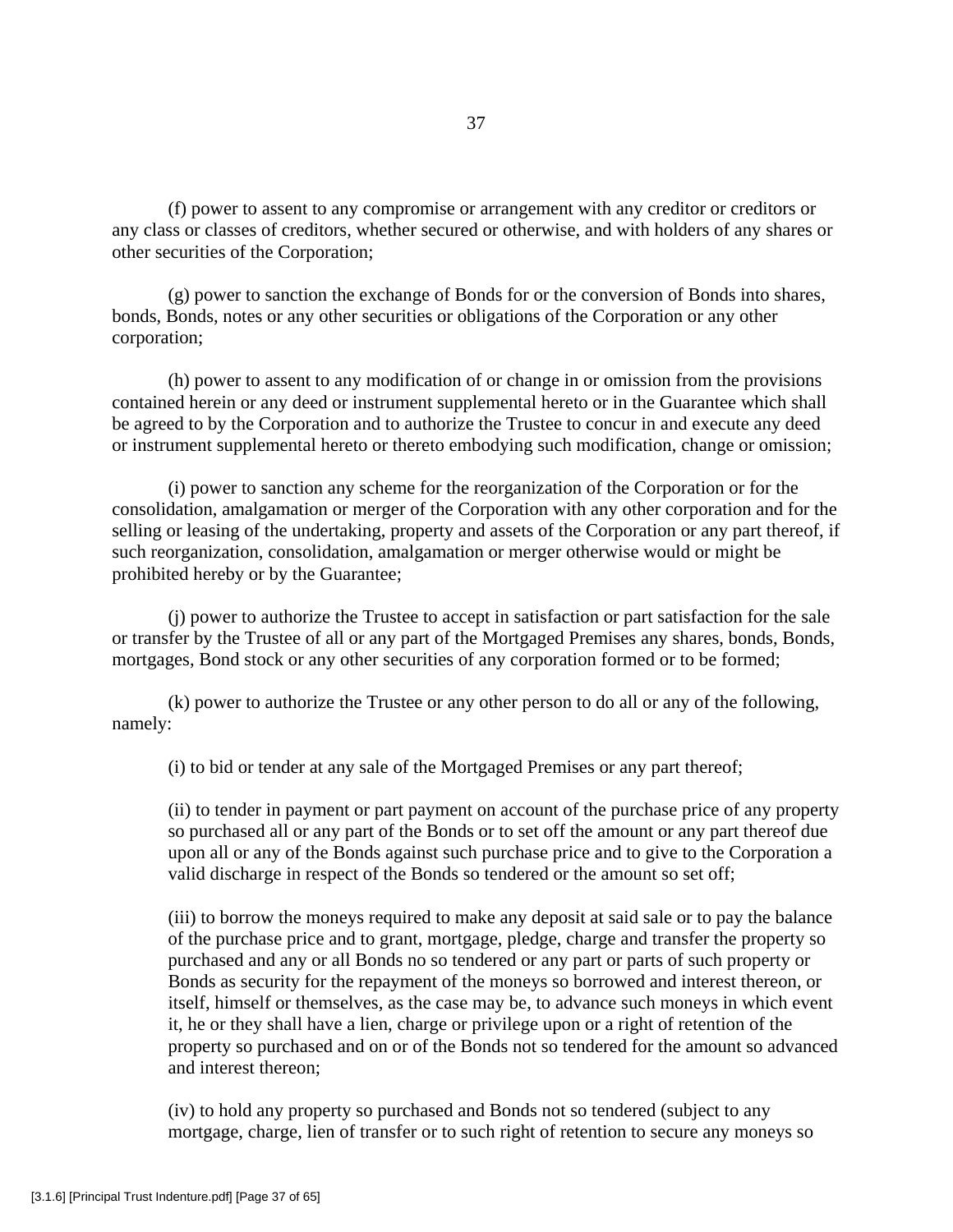(f) power to assent to any compromise or arrangement with any creditor or creditors or any class or classes of creditors, whether secured or otherwise, and with holders of any shares or other securities of the Corporation;

 (g) power to sanction the exchange of Bonds for or the conversion of Bonds into shares, bonds, Bonds, notes or any other securities or obligations of the Corporation or any other corporation;

 (h) power to assent to any modification of or change in or omission from the provisions contained herein or any deed or instrument supplemental hereto or in the Guarantee which shall be agreed to by the Corporation and to authorize the Trustee to concur in and execute any deed or instrument supplemental hereto or thereto embodying such modification, change or omission;

 (i) power to sanction any scheme for the reorganization of the Corporation or for the consolidation, amalgamation or merger of the Corporation with any other corporation and for the selling or leasing of the undertaking, property and assets of the Corporation or any part thereof, if such reorganization, consolidation, amalgamation or merger otherwise would or might be prohibited hereby or by the Guarantee;

 (j) power to authorize the Trustee to accept in satisfaction or part satisfaction for the sale or transfer by the Trustee of all or any part of the Mortgaged Premises any shares, bonds, Bonds, mortgages, Bond stock or any other securities of any corporation formed or to be formed;

 (k) power to authorize the Trustee or any other person to do all or any of the following, namely:

(i) to bid or tender at any sale of the Mortgaged Premises or any part thereof;

(ii) to tender in payment or part payment on account of the purchase price of any property so purchased all or any part of the Bonds or to set off the amount or any part thereof due upon all or any of the Bonds against such purchase price and to give to the Corporation a valid discharge in respect of the Bonds so tendered or the amount so set off;

(iii) to borrow the moneys required to make any deposit at said sale or to pay the balance of the purchase price and to grant, mortgage, pledge, charge and transfer the property so purchased and any or all Bonds no so tendered or any part or parts of such property or Bonds as security for the repayment of the moneys so borrowed and interest thereon, or itself, himself or themselves, as the case may be, to advance such moneys in which event it, he or they shall have a lien, charge or privilege upon or a right of retention of the property so purchased and on or of the Bonds not so tendered for the amount so advanced and interest thereon;

(iv) to hold any property so purchased and Bonds not so tendered (subject to any mortgage, charge, lien of transfer or to such right of retention to secure any moneys so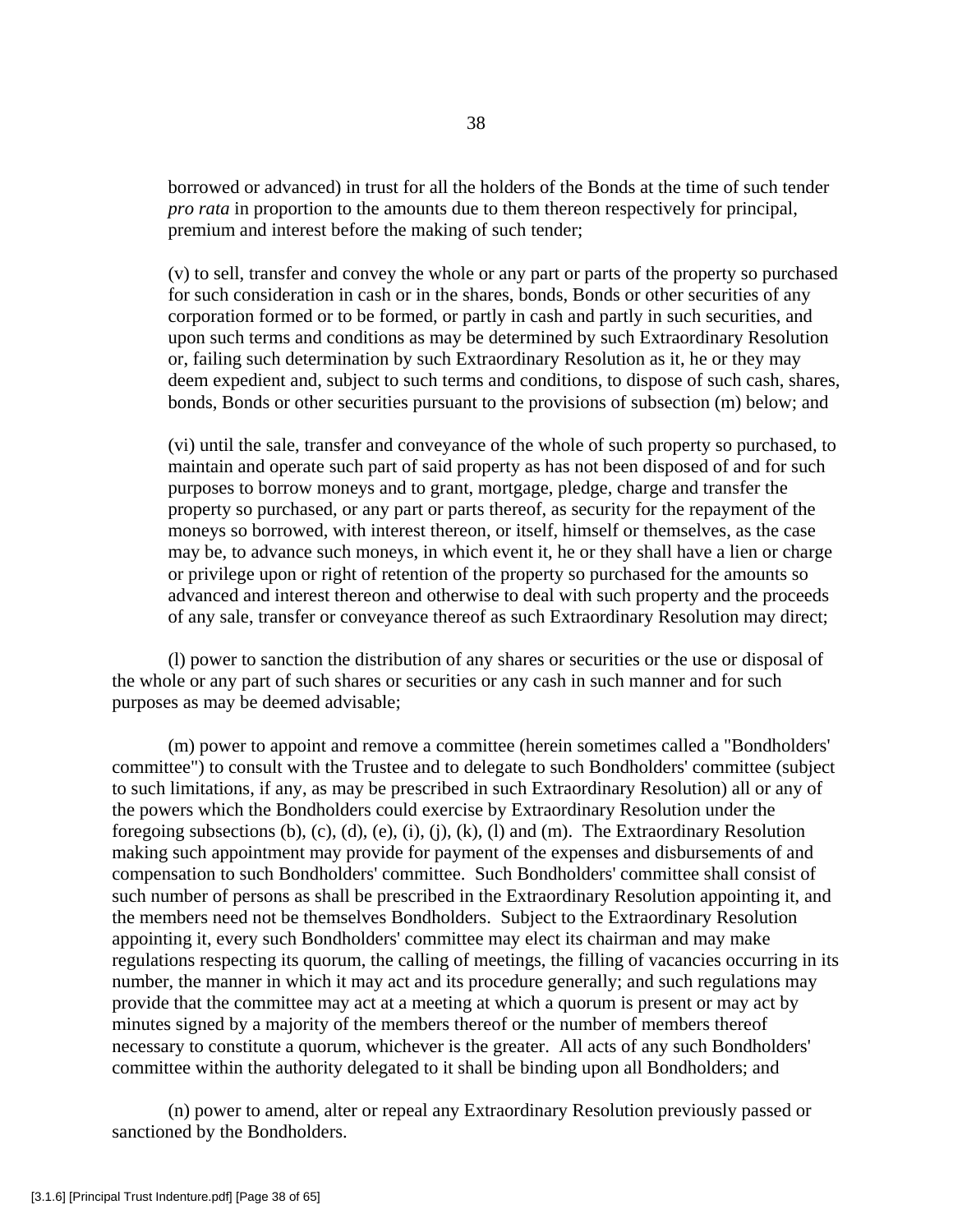borrowed or advanced) in trust for all the holders of the Bonds at the time of such tender *pro rata* in proportion to the amounts due to them thereon respectively for principal, premium and interest before the making of such tender;

(v) to sell, transfer and convey the whole or any part or parts of the property so purchased for such consideration in cash or in the shares, bonds, Bonds or other securities of any corporation formed or to be formed, or partly in cash and partly in such securities, and upon such terms and conditions as may be determined by such Extraordinary Resolution or, failing such determination by such Extraordinary Resolution as it, he or they may deem expedient and, subject to such terms and conditions, to dispose of such cash, shares, bonds, Bonds or other securities pursuant to the provisions of subsection (m) below; and

(vi) until the sale, transfer and conveyance of the whole of such property so purchased, to maintain and operate such part of said property as has not been disposed of and for such purposes to borrow moneys and to grant, mortgage, pledge, charge and transfer the property so purchased, or any part or parts thereof, as security for the repayment of the moneys so borrowed, with interest thereon, or itself, himself or themselves, as the case may be, to advance such moneys, in which event it, he or they shall have a lien or charge or privilege upon or right of retention of the property so purchased for the amounts so advanced and interest thereon and otherwise to deal with such property and the proceeds of any sale, transfer or conveyance thereof as such Extraordinary Resolution may direct;

 (l) power to sanction the distribution of any shares or securities or the use or disposal of the whole or any part of such shares or securities or any cash in such manner and for such purposes as may be deemed advisable;

 (m) power to appoint and remove a committee (herein sometimes called a "Bondholders' committee") to consult with the Trustee and to delegate to such Bondholders' committee (subject to such limitations, if any, as may be prescribed in such Extraordinary Resolution) all or any of the powers which the Bondholders could exercise by Extraordinary Resolution under the foregoing subsections  $(b)$ ,  $(c)$ ,  $(d)$ ,  $(e)$ ,  $(i)$ ,  $(i)$ ,  $(k)$ ,  $(l)$  and  $(m)$ . The Extraordinary Resolution making such appointment may provide for payment of the expenses and disbursements of and compensation to such Bondholders' committee. Such Bondholders' committee shall consist of such number of persons as shall be prescribed in the Extraordinary Resolution appointing it, and the members need not be themselves Bondholders. Subject to the Extraordinary Resolution appointing it, every such Bondholders' committee may elect its chairman and may make regulations respecting its quorum, the calling of meetings, the filling of vacancies occurring in its number, the manner in which it may act and its procedure generally; and such regulations may provide that the committee may act at a meeting at which a quorum is present or may act by minutes signed by a majority of the members thereof or the number of members thereof necessary to constitute a quorum, whichever is the greater. All acts of any such Bondholders' committee within the authority delegated to it shall be binding upon all Bondholders; and

 (n) power to amend, alter or repeal any Extraordinary Resolution previously passed or sanctioned by the Bondholders.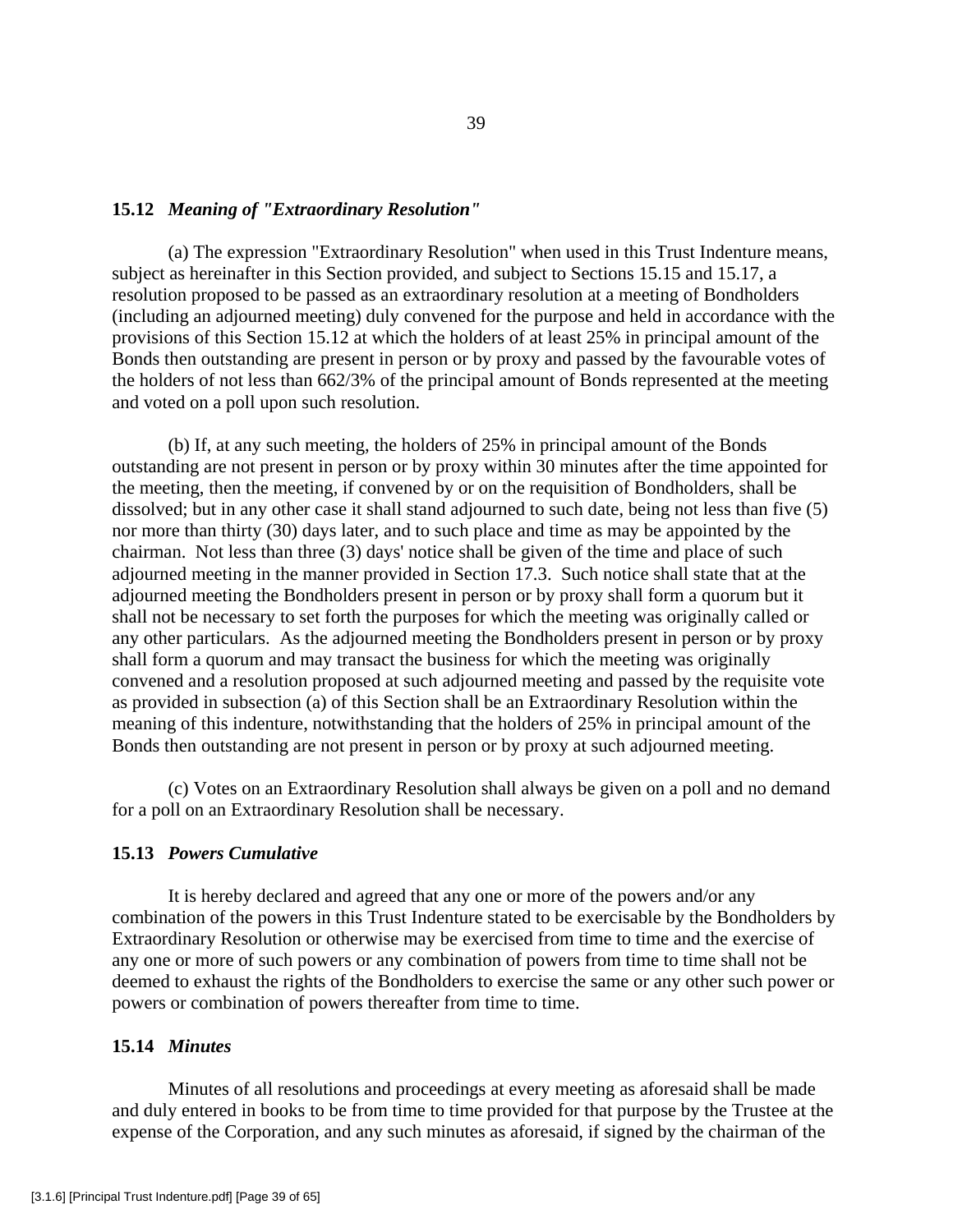#### **15.12** *Meaning of "Extraordinary Resolution"*

 (a) The expression "Extraordinary Resolution" when used in this Trust Indenture means, subject as hereinafter in this Section provided, and subject to Sections 15.15 and 15.17, a resolution proposed to be passed as an extraordinary resolution at a meeting of Bondholders (including an adjourned meeting) duly convened for the purpose and held in accordance with the provisions of this Section 15.12 at which the holders of at least 25% in principal amount of the Bonds then outstanding are present in person or by proxy and passed by the favourable votes of the holders of not less than 662/3% of the principal amount of Bonds represented at the meeting and voted on a poll upon such resolution.

 (b) If, at any such meeting, the holders of 25% in principal amount of the Bonds outstanding are not present in person or by proxy within 30 minutes after the time appointed for the meeting, then the meeting, if convened by or on the requisition of Bondholders, shall be dissolved; but in any other case it shall stand adjourned to such date, being not less than five (5) nor more than thirty (30) days later, and to such place and time as may be appointed by the chairman. Not less than three (3) days' notice shall be given of the time and place of such adjourned meeting in the manner provided in Section 17.3. Such notice shall state that at the adjourned meeting the Bondholders present in person or by proxy shall form a quorum but it shall not be necessary to set forth the purposes for which the meeting was originally called or any other particulars. As the adjourned meeting the Bondholders present in person or by proxy shall form a quorum and may transact the business for which the meeting was originally convened and a resolution proposed at such adjourned meeting and passed by the requisite vote as provided in subsection (a) of this Section shall be an Extraordinary Resolution within the meaning of this indenture, notwithstanding that the holders of 25% in principal amount of the Bonds then outstanding are not present in person or by proxy at such adjourned meeting.

 (c) Votes on an Extraordinary Resolution shall always be given on a poll and no demand for a poll on an Extraordinary Resolution shall be necessary.

## **15.13** *Powers Cumulative*

 It is hereby declared and agreed that any one or more of the powers and/or any combination of the powers in this Trust Indenture stated to be exercisable by the Bondholders by Extraordinary Resolution or otherwise may be exercised from time to time and the exercise of any one or more of such powers or any combination of powers from time to time shall not be deemed to exhaust the rights of the Bondholders to exercise the same or any other such power or powers or combination of powers thereafter from time to time.

## **15.14** *Minutes*

 Minutes of all resolutions and proceedings at every meeting as aforesaid shall be made and duly entered in books to be from time to time provided for that purpose by the Trustee at the expense of the Corporation, and any such minutes as aforesaid, if signed by the chairman of the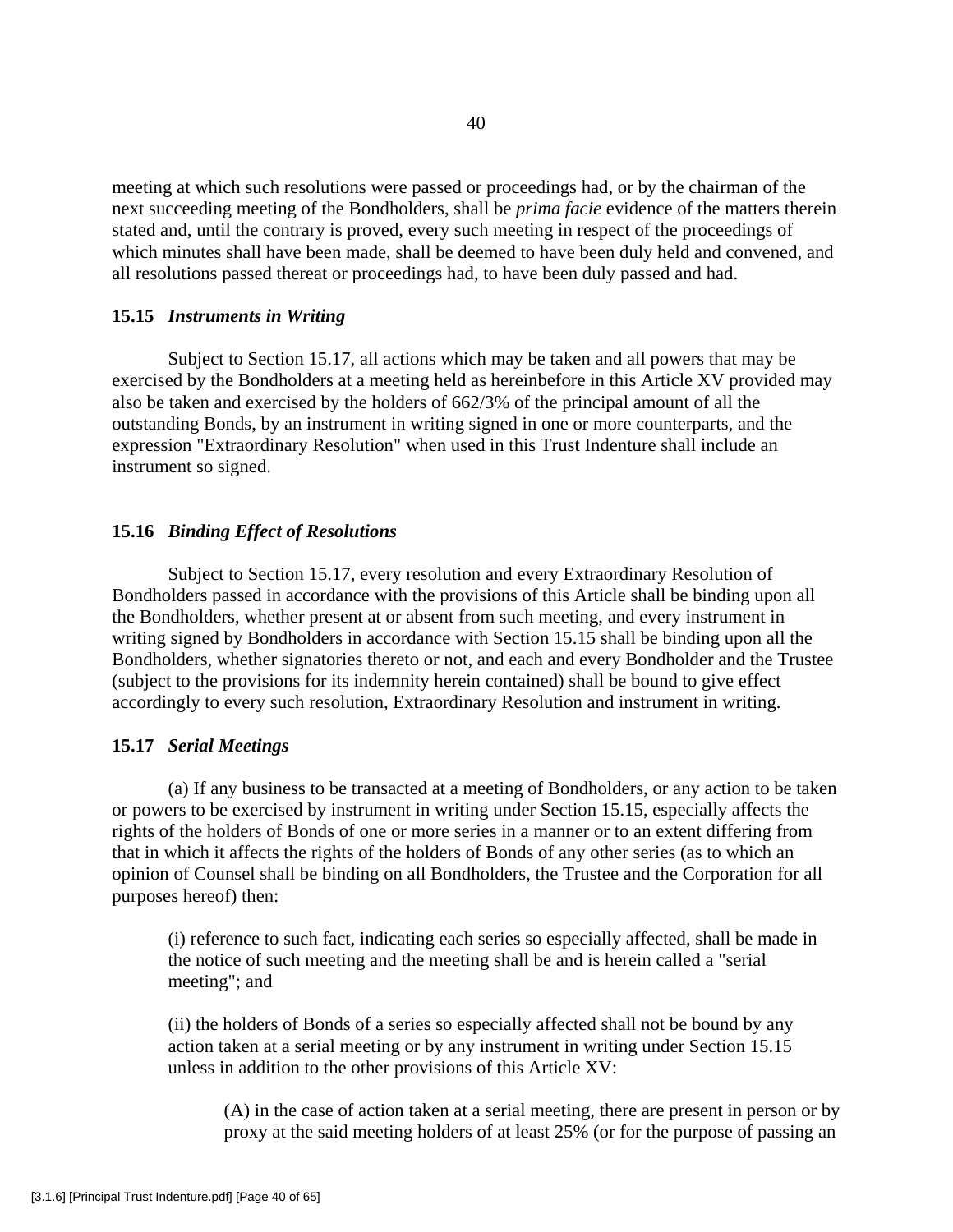meeting at which such resolutions were passed or proceedings had, or by the chairman of the next succeeding meeting of the Bondholders, shall be *prima facie* evidence of the matters therein stated and, until the contrary is proved, every such meeting in respect of the proceedings of which minutes shall have been made, shall be deemed to have been duly held and convened, and all resolutions passed thereat or proceedings had, to have been duly passed and had.

#### **15.15** *Instruments in Writing*

 Subject to Section 15.17, all actions which may be taken and all powers that may be exercised by the Bondholders at a meeting held as hereinbefore in this Article XV provided may also be taken and exercised by the holders of 662/3% of the principal amount of all the outstanding Bonds, by an instrument in writing signed in one or more counterparts, and the expression "Extraordinary Resolution" when used in this Trust Indenture shall include an instrument so signed.

# **15.16** *Binding Effect of Resolutions*

 Subject to Section 15.17, every resolution and every Extraordinary Resolution of Bondholders passed in accordance with the provisions of this Article shall be binding upon all the Bondholders, whether present at or absent from such meeting, and every instrument in writing signed by Bondholders in accordance with Section 15.15 shall be binding upon all the Bondholders, whether signatories thereto or not, and each and every Bondholder and the Trustee (subject to the provisions for its indemnity herein contained) shall be bound to give effect accordingly to every such resolution, Extraordinary Resolution and instrument in writing.

## **15.17** *Serial Meetings*

 (a) If any business to be transacted at a meeting of Bondholders, or any action to be taken or powers to be exercised by instrument in writing under Section 15.15, especially affects the rights of the holders of Bonds of one or more series in a manner or to an extent differing from that in which it affects the rights of the holders of Bonds of any other series (as to which an opinion of Counsel shall be binding on all Bondholders, the Trustee and the Corporation for all purposes hereof) then:

(i) reference to such fact, indicating each series so especially affected, shall be made in the notice of such meeting and the meeting shall be and is herein called a "serial meeting"; and

(ii) the holders of Bonds of a series so especially affected shall not be bound by any action taken at a serial meeting or by any instrument in writing under Section 15.15 unless in addition to the other provisions of this Article XV:

(A) in the case of action taken at a serial meeting, there are present in person or by proxy at the said meeting holders of at least 25% (or for the purpose of passing an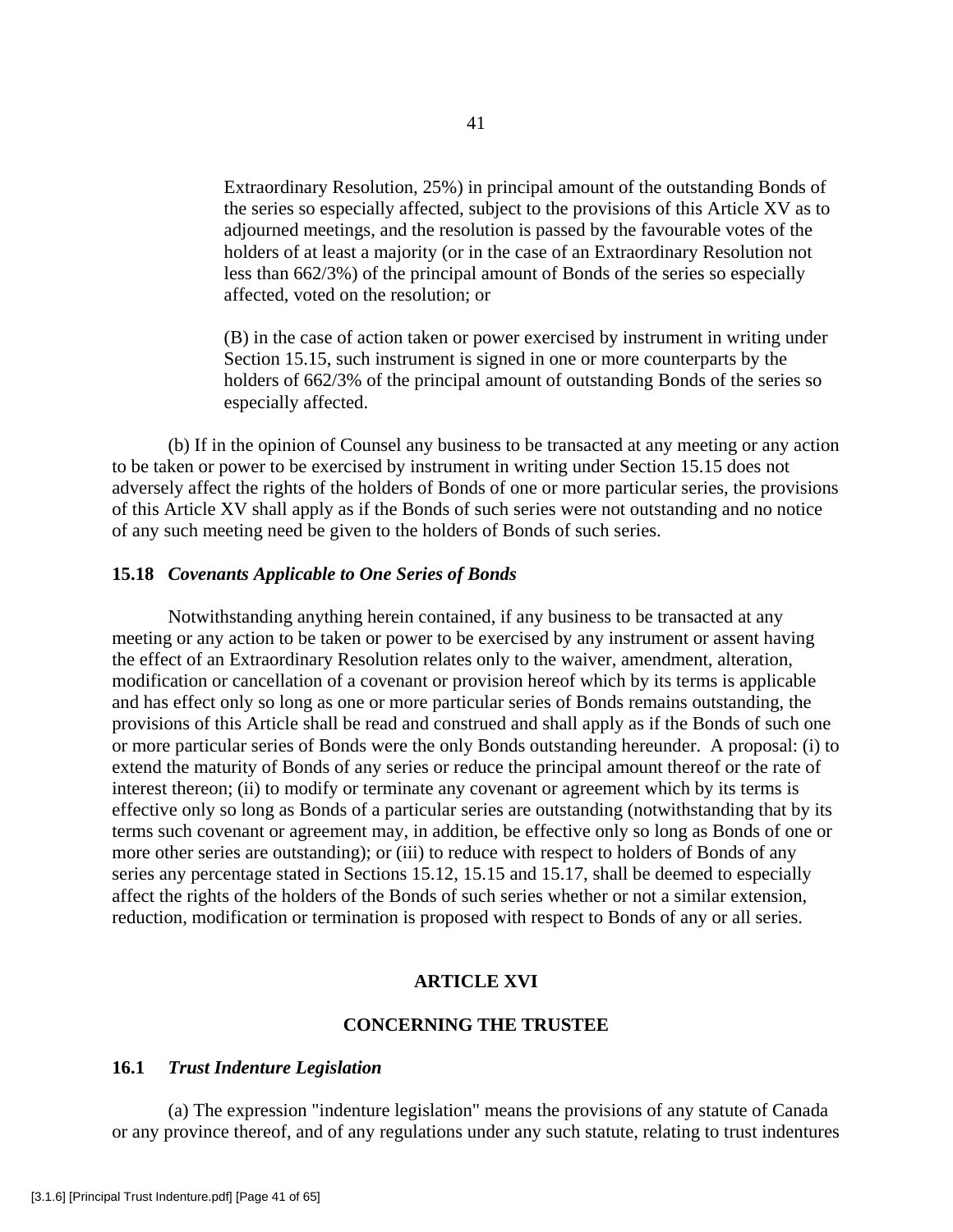Extraordinary Resolution, 25%) in principal amount of the outstanding Bonds of the series so especially affected, subject to the provisions of this Article XV as to adjourned meetings, and the resolution is passed by the favourable votes of the holders of at least a majority (or in the case of an Extraordinary Resolution not less than 662/3%) of the principal amount of Bonds of the series so especially affected, voted on the resolution; or

(B) in the case of action taken or power exercised by instrument in writing under Section 15.15, such instrument is signed in one or more counterparts by the holders of 662/3% of the principal amount of outstanding Bonds of the series so especially affected.

 (b) If in the opinion of Counsel any business to be transacted at any meeting or any action to be taken or power to be exercised by instrument in writing under Section 15.15 does not adversely affect the rights of the holders of Bonds of one or more particular series, the provisions of this Article XV shall apply as if the Bonds of such series were not outstanding and no notice of any such meeting need be given to the holders of Bonds of such series.

#### **15.18** *Covenants Applicable to One Series of Bonds*

 Notwithstanding anything herein contained, if any business to be transacted at any meeting or any action to be taken or power to be exercised by any instrument or assent having the effect of an Extraordinary Resolution relates only to the waiver, amendment, alteration, modification or cancellation of a covenant or provision hereof which by its terms is applicable and has effect only so long as one or more particular series of Bonds remains outstanding, the provisions of this Article shall be read and construed and shall apply as if the Bonds of such one or more particular series of Bonds were the only Bonds outstanding hereunder. A proposal: (i) to extend the maturity of Bonds of any series or reduce the principal amount thereof or the rate of interest thereon; (ii) to modify or terminate any covenant or agreement which by its terms is effective only so long as Bonds of a particular series are outstanding (notwithstanding that by its terms such covenant or agreement may, in addition, be effective only so long as Bonds of one or more other series are outstanding); or (iii) to reduce with respect to holders of Bonds of any series any percentage stated in Sections 15.12, 15.15 and 15.17, shall be deemed to especially affect the rights of the holders of the Bonds of such series whether or not a similar extension, reduction, modification or termination is proposed with respect to Bonds of any or all series.

#### **ARTICLE XVI**

### **CONCERNING THE TRUSTEE**

## **16.1** *Trust Indenture Legislation*

 (a) The expression "indenture legislation" means the provisions of any statute of Canada or any province thereof, and of any regulations under any such statute, relating to trust indentures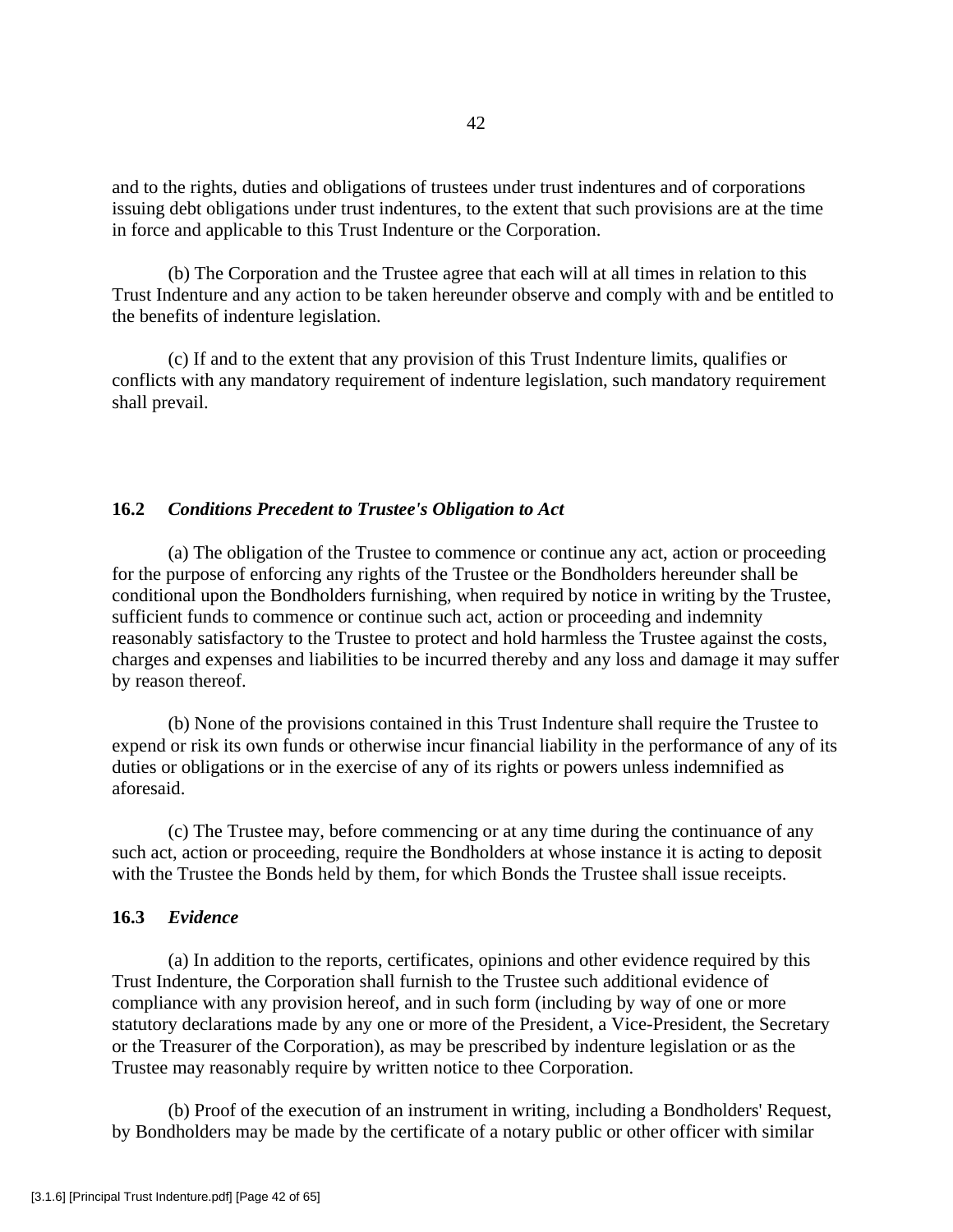and to the rights, duties and obligations of trustees under trust indentures and of corporations issuing debt obligations under trust indentures, to the extent that such provisions are at the time in force and applicable to this Trust Indenture or the Corporation.

 (b) The Corporation and the Trustee agree that each will at all times in relation to this Trust Indenture and any action to be taken hereunder observe and comply with and be entitled to the benefits of indenture legislation.

 (c) If and to the extent that any provision of this Trust Indenture limits, qualifies or conflicts with any mandatory requirement of indenture legislation, such mandatory requirement shall prevail.

# **16.2** *Conditions Precedent to Trustee's Obligation to Act*

 (a) The obligation of the Trustee to commence or continue any act, action or proceeding for the purpose of enforcing any rights of the Trustee or the Bondholders hereunder shall be conditional upon the Bondholders furnishing, when required by notice in writing by the Trustee, sufficient funds to commence or continue such act, action or proceeding and indemnity reasonably satisfactory to the Trustee to protect and hold harmless the Trustee against the costs, charges and expenses and liabilities to be incurred thereby and any loss and damage it may suffer by reason thereof.

 (b) None of the provisions contained in this Trust Indenture shall require the Trustee to expend or risk its own funds or otherwise incur financial liability in the performance of any of its duties or obligations or in the exercise of any of its rights or powers unless indemnified as aforesaid.

 (c) The Trustee may, before commencing or at any time during the continuance of any such act, action or proceeding, require the Bondholders at whose instance it is acting to deposit with the Trustee the Bonds held by them, for which Bonds the Trustee shall issue receipts.

### **16.3** *Evidence*

 (a) In addition to the reports, certificates, opinions and other evidence required by this Trust Indenture, the Corporation shall furnish to the Trustee such additional evidence of compliance with any provision hereof, and in such form (including by way of one or more statutory declarations made by any one or more of the President, a Vice-President, the Secretary or the Treasurer of the Corporation), as may be prescribed by indenture legislation or as the Trustee may reasonably require by written notice to thee Corporation.

 (b) Proof of the execution of an instrument in writing, including a Bondholders' Request, by Bondholders may be made by the certificate of a notary public or other officer with similar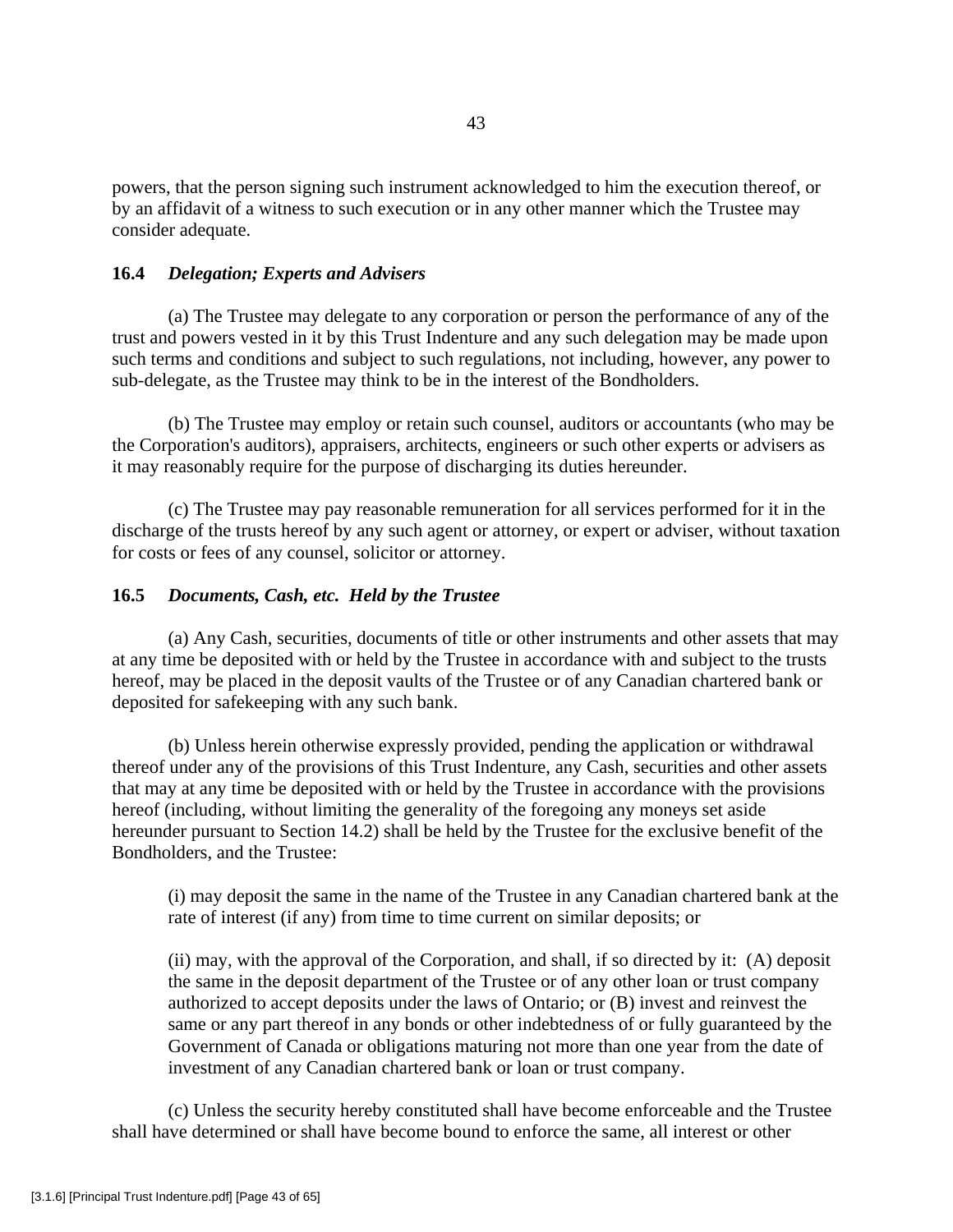powers, that the person signing such instrument acknowledged to him the execution thereof, or by an affidavit of a witness to such execution or in any other manner which the Trustee may consider adequate.

## **16.4** *Delegation; Experts and Advisers*

 (a) The Trustee may delegate to any corporation or person the performance of any of the trust and powers vested in it by this Trust Indenture and any such delegation may be made upon such terms and conditions and subject to such regulations, not including, however, any power to sub-delegate, as the Trustee may think to be in the interest of the Bondholders.

 (b) The Trustee may employ or retain such counsel, auditors or accountants (who may be the Corporation's auditors), appraisers, architects, engineers or such other experts or advisers as it may reasonably require for the purpose of discharging its duties hereunder.

 (c) The Trustee may pay reasonable remuneration for all services performed for it in the discharge of the trusts hereof by any such agent or attorney, or expert or adviser, without taxation for costs or fees of any counsel, solicitor or attorney.

### **16.5** *Documents, Cash, etc. Held by the Trustee*

 (a) Any Cash, securities, documents of title or other instruments and other assets that may at any time be deposited with or held by the Trustee in accordance with and subject to the trusts hereof, may be placed in the deposit vaults of the Trustee or of any Canadian chartered bank or deposited for safekeeping with any such bank.

 (b) Unless herein otherwise expressly provided, pending the application or withdrawal thereof under any of the provisions of this Trust Indenture, any Cash, securities and other assets that may at any time be deposited with or held by the Trustee in accordance with the provisions hereof (including, without limiting the generality of the foregoing any moneys set aside hereunder pursuant to Section 14.2) shall be held by the Trustee for the exclusive benefit of the Bondholders, and the Trustee:

(i) may deposit the same in the name of the Trustee in any Canadian chartered bank at the rate of interest (if any) from time to time current on similar deposits; or

(ii) may, with the approval of the Corporation, and shall, if so directed by it: (A) deposit the same in the deposit department of the Trustee or of any other loan or trust company authorized to accept deposits under the laws of Ontario; or (B) invest and reinvest the same or any part thereof in any bonds or other indebtedness of or fully guaranteed by the Government of Canada or obligations maturing not more than one year from the date of investment of any Canadian chartered bank or loan or trust company.

 (c) Unless the security hereby constituted shall have become enforceable and the Trustee shall have determined or shall have become bound to enforce the same, all interest or other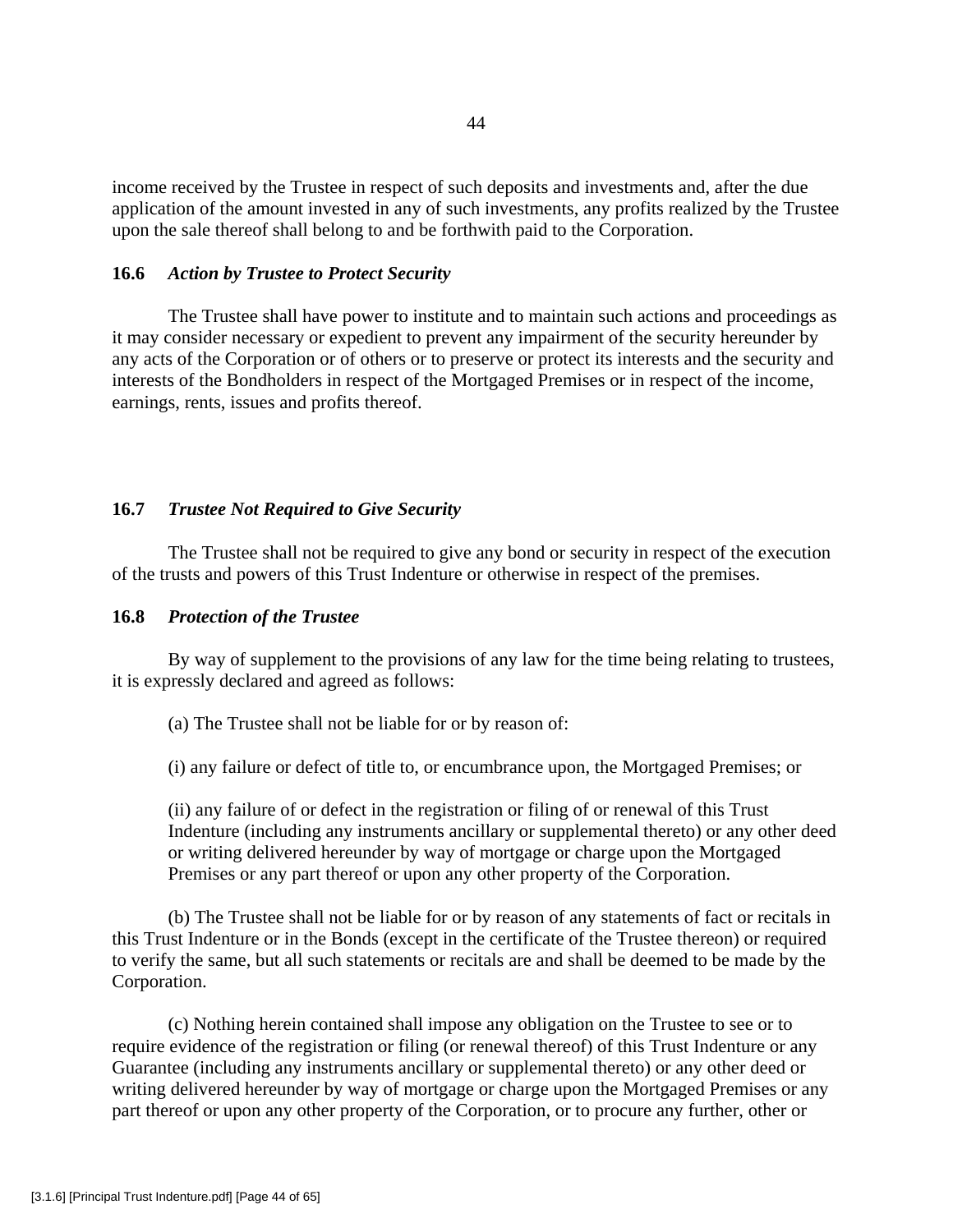income received by the Trustee in respect of such deposits and investments and, after the due application of the amount invested in any of such investments, any profits realized by the Trustee upon the sale thereof shall belong to and be forthwith paid to the Corporation.

## **16.6** *Action by Trustee to Protect Security*

 The Trustee shall have power to institute and to maintain such actions and proceedings as it may consider necessary or expedient to prevent any impairment of the security hereunder by any acts of the Corporation or of others or to preserve or protect its interests and the security and interests of the Bondholders in respect of the Mortgaged Premises or in respect of the income, earnings, rents, issues and profits thereof.

# **16.7** *Trustee Not Required to Give Security*

 The Trustee shall not be required to give any bond or security in respect of the execution of the trusts and powers of this Trust Indenture or otherwise in respect of the premises.

#### **16.8** *Protection of the Trustee*

 By way of supplement to the provisions of any law for the time being relating to trustees, it is expressly declared and agreed as follows:

(a) The Trustee shall not be liable for or by reason of:

(i) any failure or defect of title to, or encumbrance upon, the Mortgaged Premises; or

(ii) any failure of or defect in the registration or filing of or renewal of this Trust Indenture (including any instruments ancillary or supplemental thereto) or any other deed or writing delivered hereunder by way of mortgage or charge upon the Mortgaged Premises or any part thereof or upon any other property of the Corporation.

 (b) The Trustee shall not be liable for or by reason of any statements of fact or recitals in this Trust Indenture or in the Bonds (except in the certificate of the Trustee thereon) or required to verify the same, but all such statements or recitals are and shall be deemed to be made by the Corporation.

 (c) Nothing herein contained shall impose any obligation on the Trustee to see or to require evidence of the registration or filing (or renewal thereof) of this Trust Indenture or any Guarantee (including any instruments ancillary or supplemental thereto) or any other deed or writing delivered hereunder by way of mortgage or charge upon the Mortgaged Premises or any part thereof or upon any other property of the Corporation, or to procure any further, other or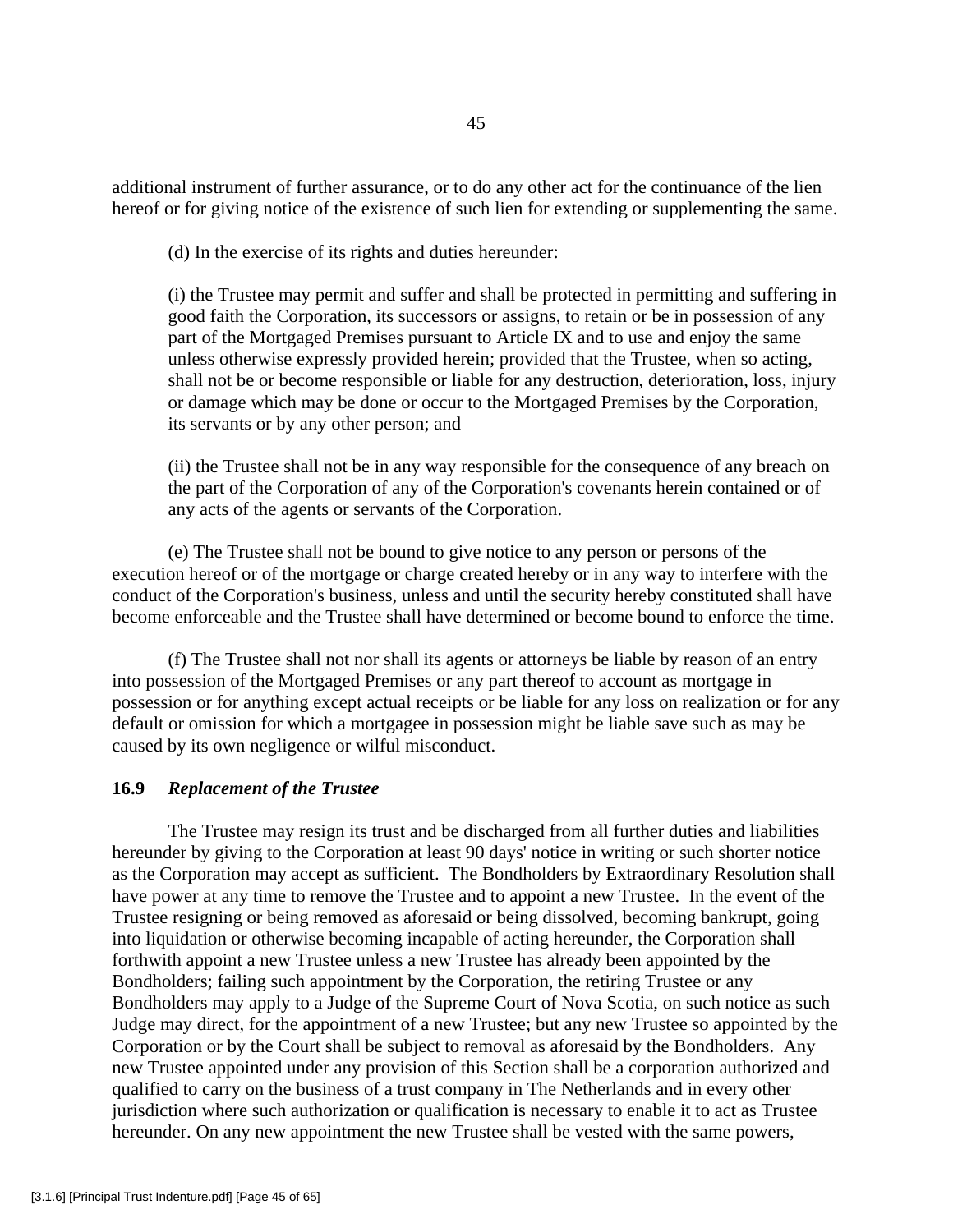additional instrument of further assurance, or to do any other act for the continuance of the lien hereof or for giving notice of the existence of such lien for extending or supplementing the same.

(d) In the exercise of its rights and duties hereunder:

(i) the Trustee may permit and suffer and shall be protected in permitting and suffering in good faith the Corporation, its successors or assigns, to retain or be in possession of any part of the Mortgaged Premises pursuant to Article IX and to use and enjoy the same unless otherwise expressly provided herein; provided that the Trustee, when so acting, shall not be or become responsible or liable for any destruction, deterioration, loss, injury or damage which may be done or occur to the Mortgaged Premises by the Corporation, its servants or by any other person; and

(ii) the Trustee shall not be in any way responsible for the consequence of any breach on the part of the Corporation of any of the Corporation's covenants herein contained or of any acts of the agents or servants of the Corporation.

 (e) The Trustee shall not be bound to give notice to any person or persons of the execution hereof or of the mortgage or charge created hereby or in any way to interfere with the conduct of the Corporation's business, unless and until the security hereby constituted shall have become enforceable and the Trustee shall have determined or become bound to enforce the time.

 (f) The Trustee shall not nor shall its agents or attorneys be liable by reason of an entry into possession of the Mortgaged Premises or any part thereof to account as mortgage in possession or for anything except actual receipts or be liable for any loss on realization or for any default or omission for which a mortgagee in possession might be liable save such as may be caused by its own negligence or wilful misconduct.

## **16.9** *Replacement of the Trustee*

 The Trustee may resign its trust and be discharged from all further duties and liabilities hereunder by giving to the Corporation at least 90 days' notice in writing or such shorter notice as the Corporation may accept as sufficient. The Bondholders by Extraordinary Resolution shall have power at any time to remove the Trustee and to appoint a new Trustee. In the event of the Trustee resigning or being removed as aforesaid or being dissolved, becoming bankrupt, going into liquidation or otherwise becoming incapable of acting hereunder, the Corporation shall forthwith appoint a new Trustee unless a new Trustee has already been appointed by the Bondholders; failing such appointment by the Corporation, the retiring Trustee or any Bondholders may apply to a Judge of the Supreme Court of Nova Scotia, on such notice as such Judge may direct, for the appointment of a new Trustee; but any new Trustee so appointed by the Corporation or by the Court shall be subject to removal as aforesaid by the Bondholders. Any new Trustee appointed under any provision of this Section shall be a corporation authorized and qualified to carry on the business of a trust company in The Netherlands and in every other jurisdiction where such authorization or qualification is necessary to enable it to act as Trustee hereunder. On any new appointment the new Trustee shall be vested with the same powers,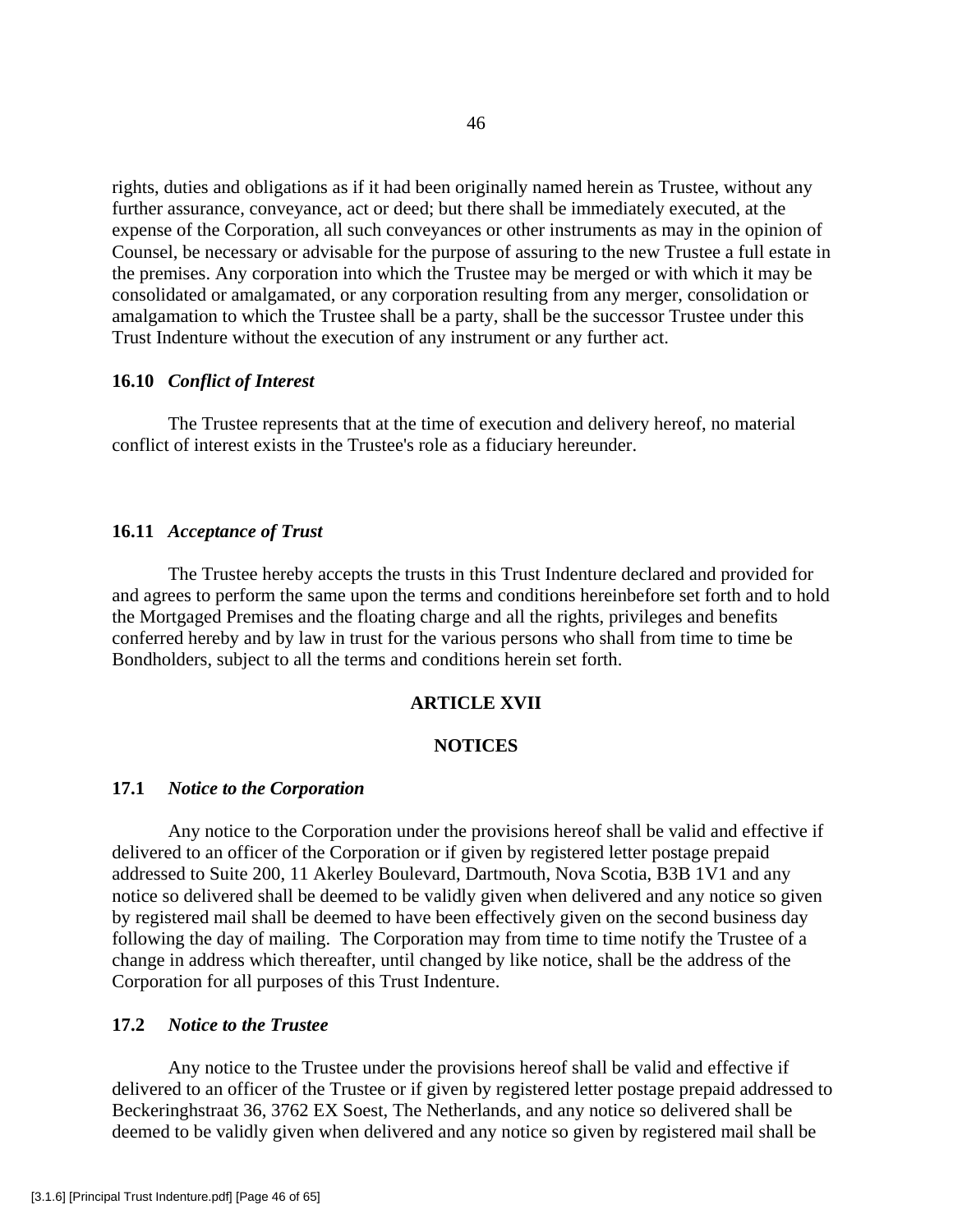rights, duties and obligations as if it had been originally named herein as Trustee, without any further assurance, conveyance, act or deed; but there shall be immediately executed, at the expense of the Corporation, all such conveyances or other instruments as may in the opinion of Counsel, be necessary or advisable for the purpose of assuring to the new Trustee a full estate in the premises. Any corporation into which the Trustee may be merged or with which it may be consolidated or amalgamated, or any corporation resulting from any merger, consolidation or amalgamation to which the Trustee shall be a party, shall be the successor Trustee under this Trust Indenture without the execution of any instrument or any further act.

#### **16.10** *Conflict of Interest*

 The Trustee represents that at the time of execution and delivery hereof, no material conflict of interest exists in the Trustee's role as a fiduciary hereunder.

## **16.11** *Acceptance of Trust*

 The Trustee hereby accepts the trusts in this Trust Indenture declared and provided for and agrees to perform the same upon the terms and conditions hereinbefore set forth and to hold the Mortgaged Premises and the floating charge and all the rights, privileges and benefits conferred hereby and by law in trust for the various persons who shall from time to time be Bondholders, subject to all the terms and conditions herein set forth.

#### **ARTICLE XVII**

## **NOTICES**

#### **17.1** *Notice to the Corporation*

 Any notice to the Corporation under the provisions hereof shall be valid and effective if delivered to an officer of the Corporation or if given by registered letter postage prepaid addressed to Suite 200, 11 Akerley Boulevard, Dartmouth, Nova Scotia, B3B 1V1 and any notice so delivered shall be deemed to be validly given when delivered and any notice so given by registered mail shall be deemed to have been effectively given on the second business day following the day of mailing. The Corporation may from time to time notify the Trustee of a change in address which thereafter, until changed by like notice, shall be the address of the Corporation for all purposes of this Trust Indenture.

## **17.2** *Notice to the Trustee*

 Any notice to the Trustee under the provisions hereof shall be valid and effective if delivered to an officer of the Trustee or if given by registered letter postage prepaid addressed to Beckeringhstraat 36, 3762 EX Soest, The Netherlands, and any notice so delivered shall be deemed to be validly given when delivered and any notice so given by registered mail shall be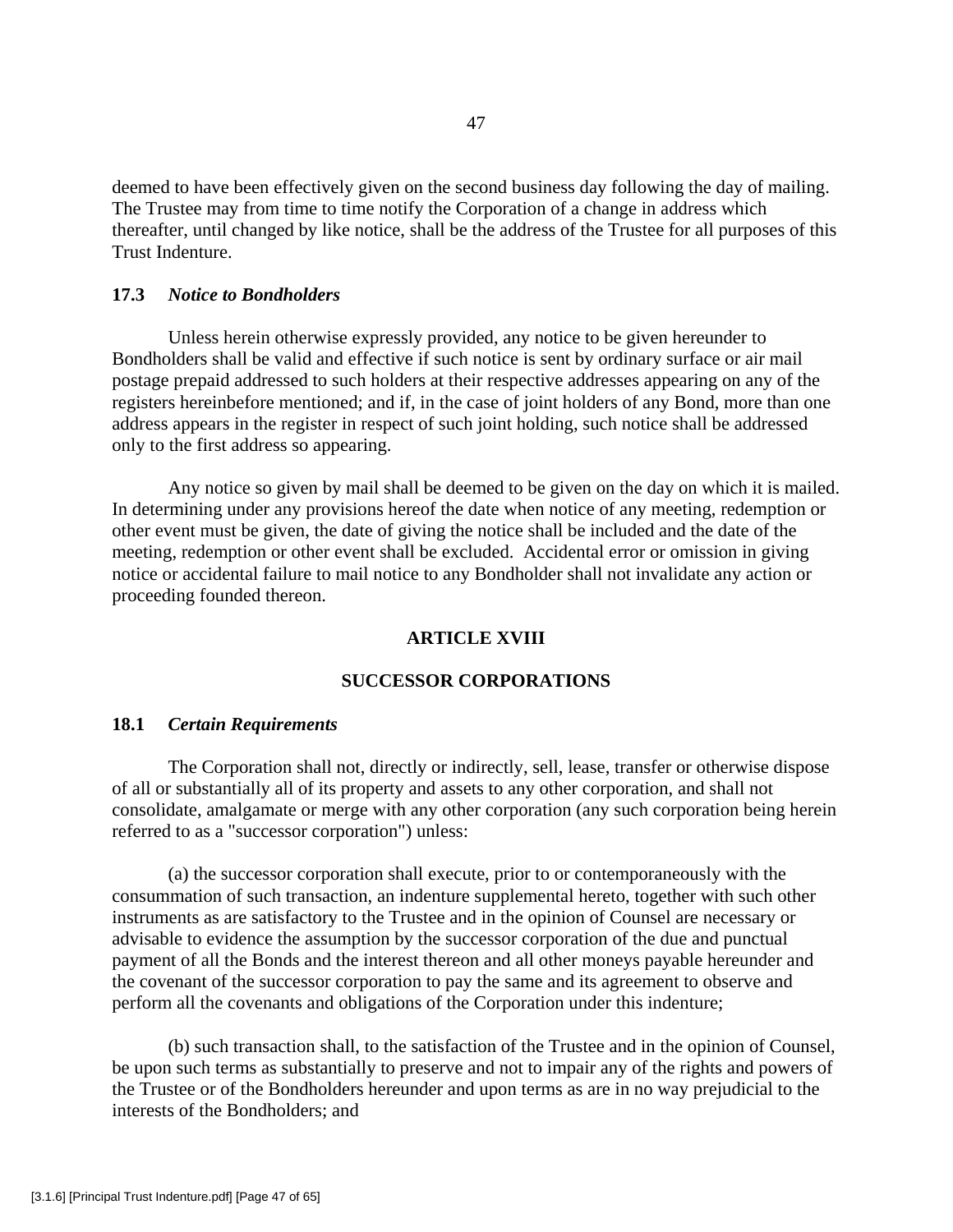deemed to have been effectively given on the second business day following the day of mailing. The Trustee may from time to time notify the Corporation of a change in address which thereafter, until changed by like notice, shall be the address of the Trustee for all purposes of this Trust Indenture.

# **17.3** *Notice to Bondholders*

 Unless herein otherwise expressly provided, any notice to be given hereunder to Bondholders shall be valid and effective if such notice is sent by ordinary surface or air mail postage prepaid addressed to such holders at their respective addresses appearing on any of the registers hereinbefore mentioned; and if, in the case of joint holders of any Bond, more than one address appears in the register in respect of such joint holding, such notice shall be addressed only to the first address so appearing.

 Any notice so given by mail shall be deemed to be given on the day on which it is mailed. In determining under any provisions hereof the date when notice of any meeting, redemption or other event must be given, the date of giving the notice shall be included and the date of the meeting, redemption or other event shall be excluded. Accidental error or omission in giving notice or accidental failure to mail notice to any Bondholder shall not invalidate any action or proceeding founded thereon.

# **ARTICLE XVIII**

## **SUCCESSOR CORPORATIONS**

#### **18.1** *Certain Requirements*

 The Corporation shall not, directly or indirectly, sell, lease, transfer or otherwise dispose of all or substantially all of its property and assets to any other corporation, and shall not consolidate, amalgamate or merge with any other corporation (any such corporation being herein referred to as a "successor corporation") unless:

 (a) the successor corporation shall execute, prior to or contemporaneously with the consummation of such transaction, an indenture supplemental hereto, together with such other instruments as are satisfactory to the Trustee and in the opinion of Counsel are necessary or advisable to evidence the assumption by the successor corporation of the due and punctual payment of all the Bonds and the interest thereon and all other moneys payable hereunder and the covenant of the successor corporation to pay the same and its agreement to observe and perform all the covenants and obligations of the Corporation under this indenture;

 (b) such transaction shall, to the satisfaction of the Trustee and in the opinion of Counsel, be upon such terms as substantially to preserve and not to impair any of the rights and powers of the Trustee or of the Bondholders hereunder and upon terms as are in no way prejudicial to the interests of the Bondholders; and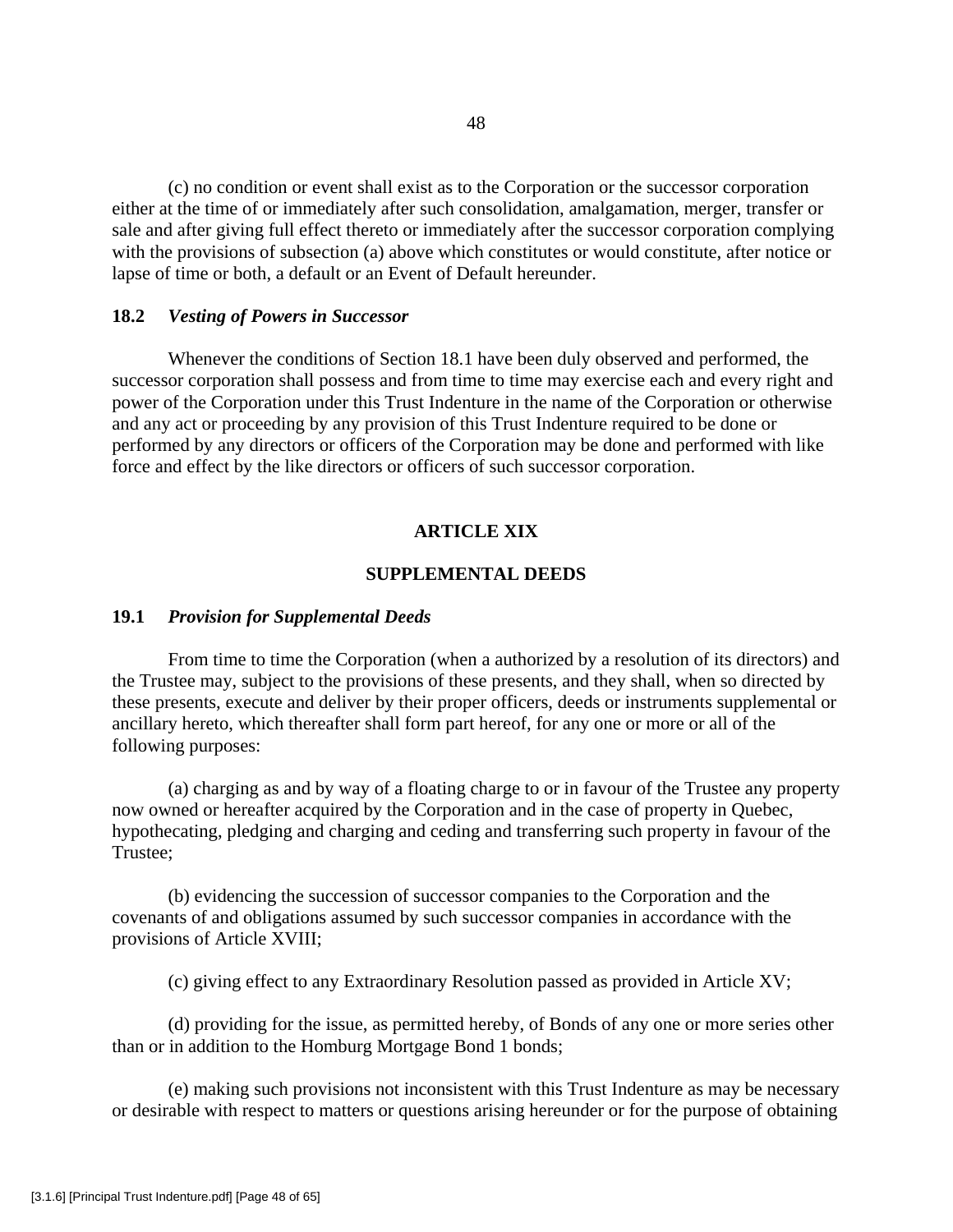(c) no condition or event shall exist as to the Corporation or the successor corporation either at the time of or immediately after such consolidation, amalgamation, merger, transfer or sale and after giving full effect thereto or immediately after the successor corporation complying with the provisions of subsection (a) above which constitutes or would constitute, after notice or lapse of time or both, a default or an Event of Default hereunder.

## **18.2** *Vesting of Powers in Successor*

 Whenever the conditions of Section 18.1 have been duly observed and performed, the successor corporation shall possess and from time to time may exercise each and every right and power of the Corporation under this Trust Indenture in the name of the Corporation or otherwise and any act or proceeding by any provision of this Trust Indenture required to be done or performed by any directors or officers of the Corporation may be done and performed with like force and effect by the like directors or officers of such successor corporation.

## **ARTICLE XIX**

### **SUPPLEMENTAL DEEDS**

#### **19.1** *Provision for Supplemental Deeds*

 From time to time the Corporation (when a authorized by a resolution of its directors) and the Trustee may, subject to the provisions of these presents, and they shall, when so directed by these presents, execute and deliver by their proper officers, deeds or instruments supplemental or ancillary hereto, which thereafter shall form part hereof, for any one or more or all of the following purposes:

 (a) charging as and by way of a floating charge to or in favour of the Trustee any property now owned or hereafter acquired by the Corporation and in the case of property in Quebec, hypothecating, pledging and charging and ceding and transferring such property in favour of the Trustee;

 (b) evidencing the succession of successor companies to the Corporation and the covenants of and obligations assumed by such successor companies in accordance with the provisions of Article XVIII;

(c) giving effect to any Extraordinary Resolution passed as provided in Article XV;

 (d) providing for the issue, as permitted hereby, of Bonds of any one or more series other than or in addition to the Homburg Mortgage Bond 1 bonds;

 (e) making such provisions not inconsistent with this Trust Indenture as may be necessary or desirable with respect to matters or questions arising hereunder or for the purpose of obtaining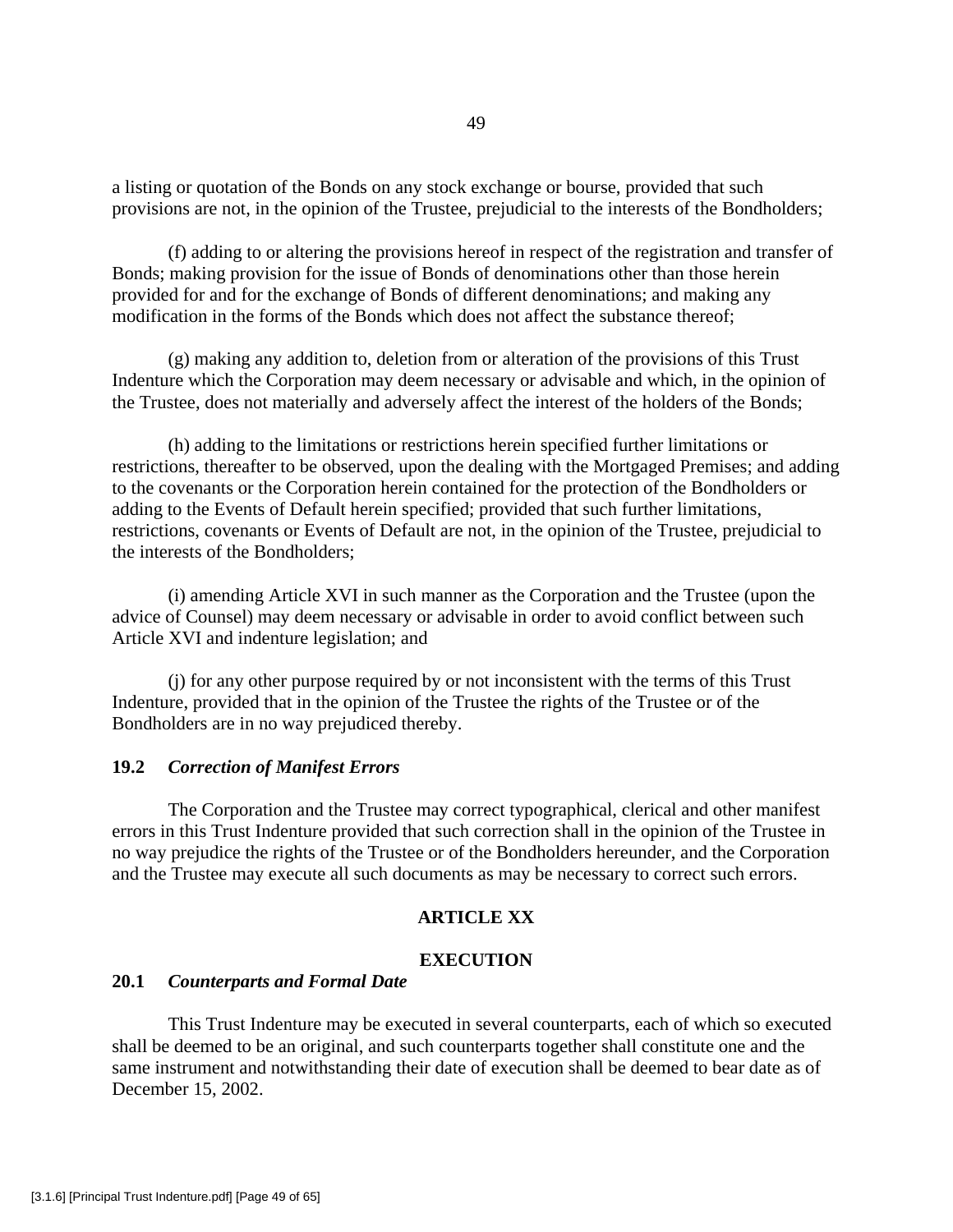a listing or quotation of the Bonds on any stock exchange or bourse, provided that such provisions are not, in the opinion of the Trustee, prejudicial to the interests of the Bondholders;

 (f) adding to or altering the provisions hereof in respect of the registration and transfer of Bonds; making provision for the issue of Bonds of denominations other than those herein provided for and for the exchange of Bonds of different denominations; and making any modification in the forms of the Bonds which does not affect the substance thereof;

 (g) making any addition to, deletion from or alteration of the provisions of this Trust Indenture which the Corporation may deem necessary or advisable and which, in the opinion of the Trustee, does not materially and adversely affect the interest of the holders of the Bonds;

 (h) adding to the limitations or restrictions herein specified further limitations or restrictions, thereafter to be observed, upon the dealing with the Mortgaged Premises; and adding to the covenants or the Corporation herein contained for the protection of the Bondholders or adding to the Events of Default herein specified; provided that such further limitations, restrictions, covenants or Events of Default are not, in the opinion of the Trustee, prejudicial to the interests of the Bondholders;

 (i) amending Article XVI in such manner as the Corporation and the Trustee (upon the advice of Counsel) may deem necessary or advisable in order to avoid conflict between such Article XVI and indenture legislation; and

 (j) for any other purpose required by or not inconsistent with the terms of this Trust Indenture, provided that in the opinion of the Trustee the rights of the Trustee or of the Bondholders are in no way prejudiced thereby.

### **19.2** *Correction of Manifest Errors*

 The Corporation and the Trustee may correct typographical, clerical and other manifest errors in this Trust Indenture provided that such correction shall in the opinion of the Trustee in no way prejudice the rights of the Trustee or of the Bondholders hereunder, and the Corporation and the Trustee may execute all such documents as may be necessary to correct such errors.

# **ARTICLE XX**

## **EXECUTION**

# **20.1** *Counterparts and Formal Date*

 This Trust Indenture may be executed in several counterparts, each of which so executed shall be deemed to be an original, and such counterparts together shall constitute one and the same instrument and notwithstanding their date of execution shall be deemed to bear date as of December 15, 2002.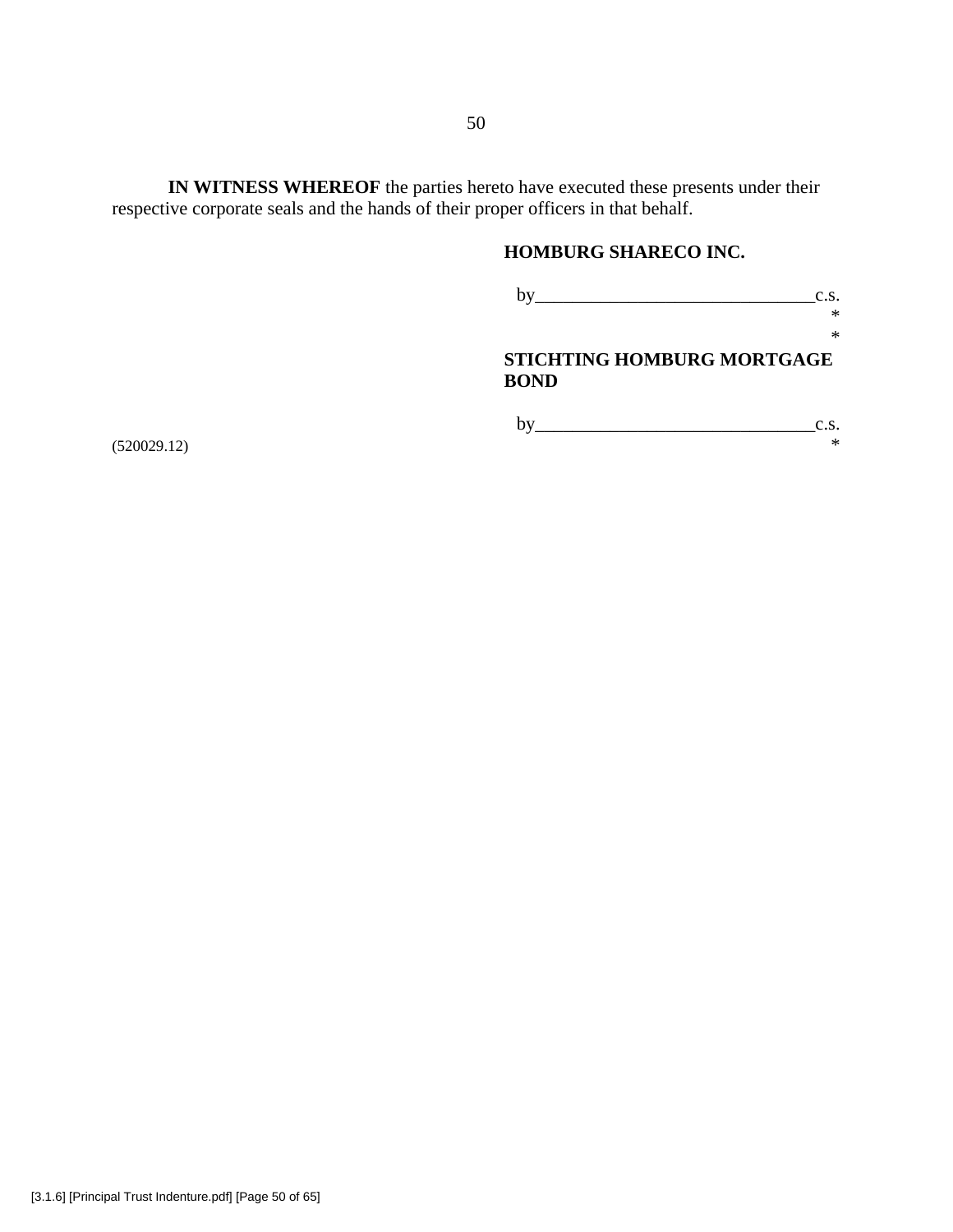**IN WITNESS WHEREOF** the parties hereto have executed these presents under their respective corporate seals and the hands of their proper officers in that behalf.

# **HOMBURG SHARECO INC.**

 by\_\_\_\_\_\_\_\_\_\_\_\_\_\_\_\_\_\_\_\_\_\_\_\_\_\_\_\_\_\_c.s.  $*$ 

\*

# **STICHTING HOMBURG MORTGAGE BOND**

 $(*520029.12)$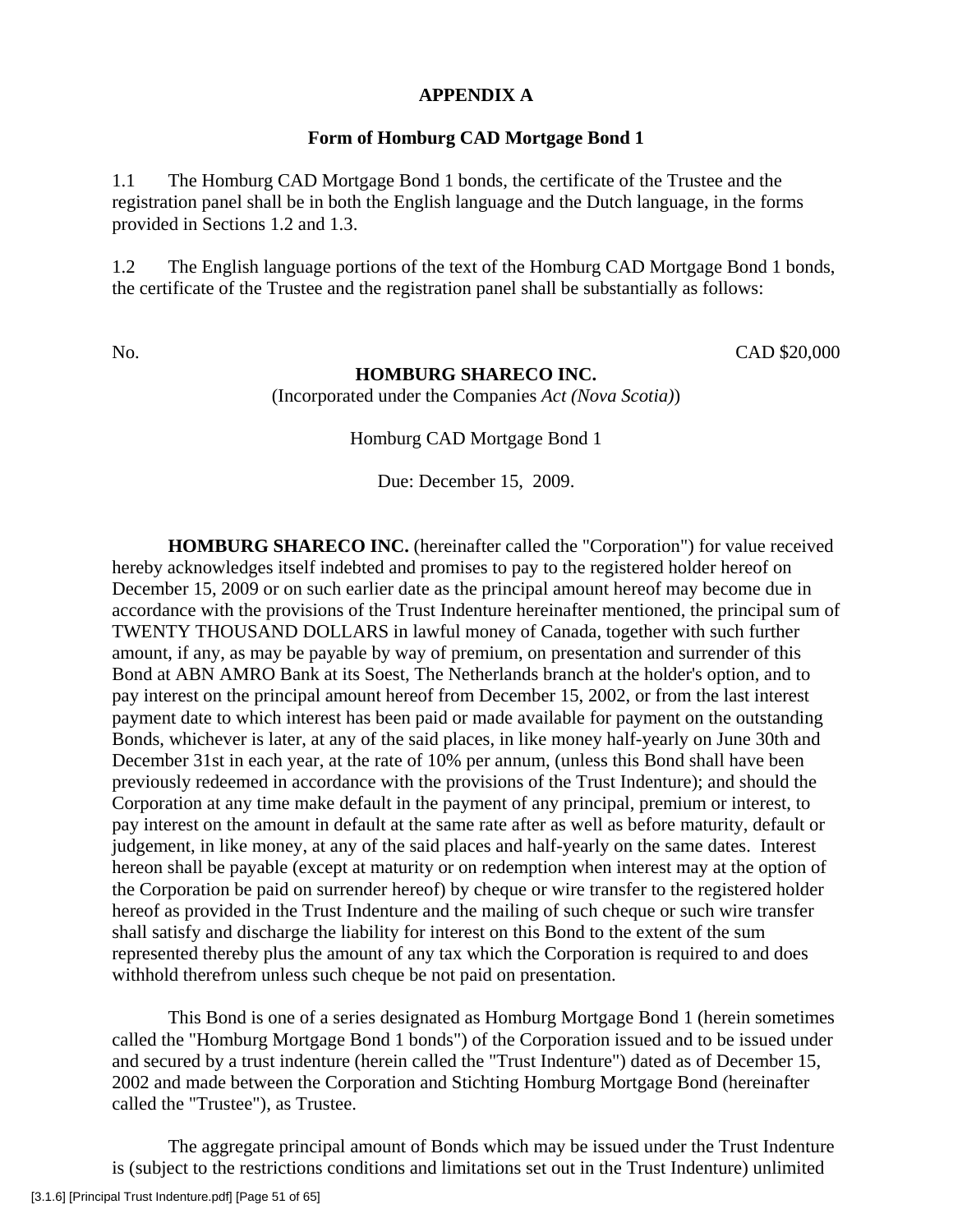# **APPENDIX A**

# **Form of Homburg CAD Mortgage Bond 1**

1.1 The Homburg CAD Mortgage Bond 1 bonds, the certificate of the Trustee and the registration panel shall be in both the English language and the Dutch language, in the forms provided in Sections 1.2 and 1.3.

1.2 The English language portions of the text of the Homburg CAD Mortgage Bond 1 bonds, the certificate of the Trustee and the registration panel shall be substantially as follows:

# No. CAD \$20,000

## **HOMBURG SHARECO INC.**

(Incorporated under the Companies *Act (Nova Scotia)*)

Homburg CAD Mortgage Bond 1

Due: December 15, 2009.

**HOMBURG SHARECO INC.** (hereinafter called the "Corporation") for value received hereby acknowledges itself indebted and promises to pay to the registered holder hereof on December 15, 2009 or on such earlier date as the principal amount hereof may become due in accordance with the provisions of the Trust Indenture hereinafter mentioned, the principal sum of TWENTY THOUSAND DOLLARS in lawful money of Canada, together with such further amount, if any, as may be payable by way of premium, on presentation and surrender of this Bond at ABN AMRO Bank at its Soest, The Netherlands branch at the holder's option, and to pay interest on the principal amount hereof from December 15, 2002, or from the last interest payment date to which interest has been paid or made available for payment on the outstanding Bonds, whichever is later, at any of the said places, in like money half-yearly on June 30th and December 31st in each year, at the rate of 10% per annum, (unless this Bond shall have been previously redeemed in accordance with the provisions of the Trust Indenture); and should the Corporation at any time make default in the payment of any principal, premium or interest, to pay interest on the amount in default at the same rate after as well as before maturity, default or judgement, in like money, at any of the said places and half-yearly on the same dates. Interest hereon shall be payable (except at maturity or on redemption when interest may at the option of the Corporation be paid on surrender hereof) by cheque or wire transfer to the registered holder hereof as provided in the Trust Indenture and the mailing of such cheque or such wire transfer shall satisfy and discharge the liability for interest on this Bond to the extent of the sum represented thereby plus the amount of any tax which the Corporation is required to and does withhold therefrom unless such cheque be not paid on presentation.

 This Bond is one of a series designated as Homburg Mortgage Bond 1 (herein sometimes called the "Homburg Mortgage Bond 1 bonds") of the Corporation issued and to be issued under and secured by a trust indenture (herein called the "Trust Indenture") dated as of December 15, 2002 and made between the Corporation and Stichting Homburg Mortgage Bond (hereinafter called the "Trustee"), as Trustee.

 The aggregate principal amount of Bonds which may be issued under the Trust Indenture is (subject to the restrictions conditions and limitations set out in the Trust Indenture) unlimited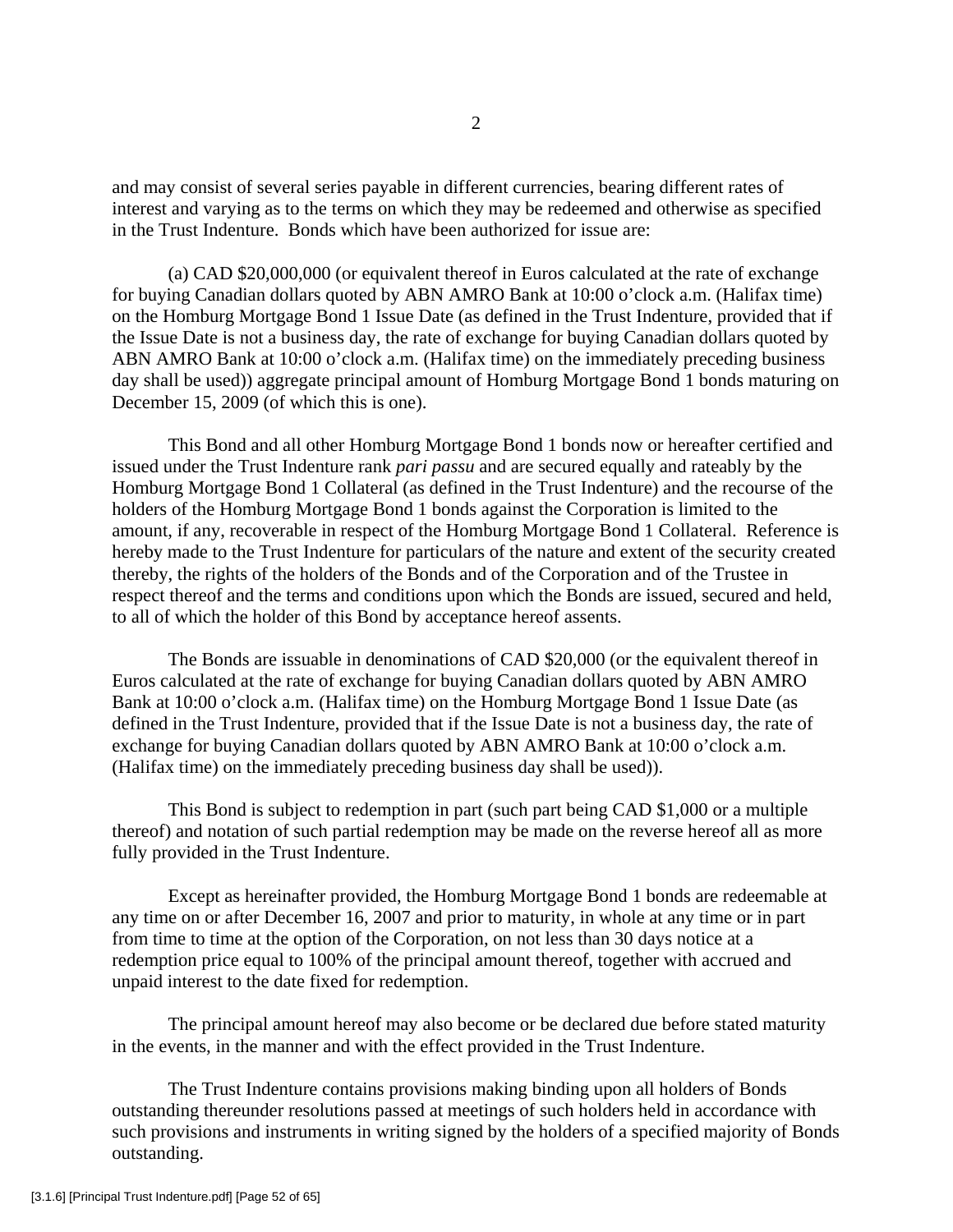and may consist of several series payable in different currencies, bearing different rates of interest and varying as to the terms on which they may be redeemed and otherwise as specified in the Trust Indenture. Bonds which have been authorized for issue are:

 (a) CAD \$20,000,000 (or equivalent thereof in Euros calculated at the rate of exchange for buying Canadian dollars quoted by ABN AMRO Bank at 10:00 o'clock a.m. (Halifax time) on the Homburg Mortgage Bond 1 Issue Date (as defined in the Trust Indenture, provided that if the Issue Date is not a business day, the rate of exchange for buying Canadian dollars quoted by ABN AMRO Bank at 10:00 o'clock a.m. (Halifax time) on the immediately preceding business day shall be used)) aggregate principal amount of Homburg Mortgage Bond 1 bonds maturing on December 15, 2009 (of which this is one).

 This Bond and all other Homburg Mortgage Bond 1 bonds now or hereafter certified and issued under the Trust Indenture rank *pari passu* and are secured equally and rateably by the Homburg Mortgage Bond 1 Collateral (as defined in the Trust Indenture) and the recourse of the holders of the Homburg Mortgage Bond 1 bonds against the Corporation is limited to the amount, if any, recoverable in respect of the Homburg Mortgage Bond 1 Collateral. Reference is hereby made to the Trust Indenture for particulars of the nature and extent of the security created thereby, the rights of the holders of the Bonds and of the Corporation and of the Trustee in respect thereof and the terms and conditions upon which the Bonds are issued, secured and held, to all of which the holder of this Bond by acceptance hereof assents.

 The Bonds are issuable in denominations of CAD \$20,000 (or the equivalent thereof in Euros calculated at the rate of exchange for buying Canadian dollars quoted by ABN AMRO Bank at 10:00 o'clock a.m. (Halifax time) on the Homburg Mortgage Bond 1 Issue Date (as defined in the Trust Indenture, provided that if the Issue Date is not a business day, the rate of exchange for buying Canadian dollars quoted by ABN AMRO Bank at 10:00 o'clock a.m. (Halifax time) on the immediately preceding business day shall be used)).

 This Bond is subject to redemption in part (such part being CAD \$1,000 or a multiple thereof) and notation of such partial redemption may be made on the reverse hereof all as more fully provided in the Trust Indenture.

 Except as hereinafter provided, the Homburg Mortgage Bond 1 bonds are redeemable at any time on or after December 16, 2007 and prior to maturity, in whole at any time or in part from time to time at the option of the Corporation, on not less than 30 days notice at a redemption price equal to 100% of the principal amount thereof, together with accrued and unpaid interest to the date fixed for redemption.

 The principal amount hereof may also become or be declared due before stated maturity in the events, in the manner and with the effect provided in the Trust Indenture.

 The Trust Indenture contains provisions making binding upon all holders of Bonds outstanding thereunder resolutions passed at meetings of such holders held in accordance with such provisions and instruments in writing signed by the holders of a specified majority of Bonds outstanding.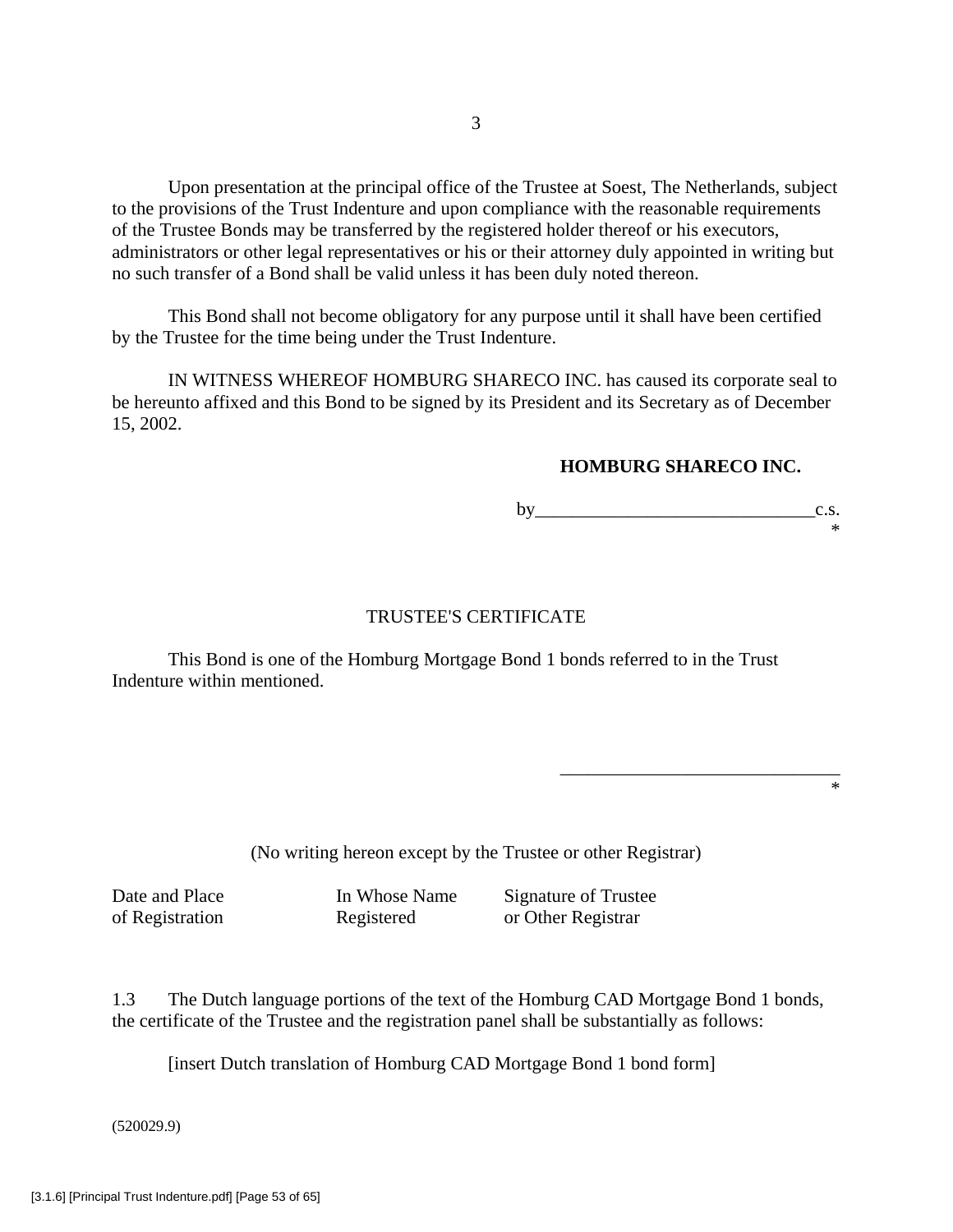Upon presentation at the principal office of the Trustee at Soest, The Netherlands, subject to the provisions of the Trust Indenture and upon compliance with the reasonable requirements of the Trustee Bonds may be transferred by the registered holder thereof or his executors, administrators or other legal representatives or his or their attorney duly appointed in writing but no such transfer of a Bond shall be valid unless it has been duly noted thereon.

 This Bond shall not become obligatory for any purpose until it shall have been certified by the Trustee for the time being under the Trust Indenture.

 IN WITNESS WHEREOF HOMBURG SHARECO INC. has caused its corporate seal to be hereunto affixed and this Bond to be signed by its President and its Secretary as of December 15, 2002.

# **HOMBURG SHARECO INC.**

by  $c.s.$ \*

# TRUSTEE'S CERTIFICATE

 This Bond is one of the Homburg Mortgage Bond 1 bonds referred to in the Trust Indenture within mentioned.

 $\overline{\phantom{a}}$  , which is a constant of the constant of the constant of the constant of the constant of the constant of the constant of the constant of the constant of the constant of the constant of the constant of the cons \*

(No writing hereon except by the Trustee or other Registrar)

Date and Place In Whose Name Signature of Trustee of Registration Registered or Other Registrar

1.3 The Dutch language portions of the text of the Homburg CAD Mortgage Bond 1 bonds, the certificate of the Trustee and the registration panel shall be substantially as follows:

[insert Dutch translation of Homburg CAD Mortgage Bond 1 bond form]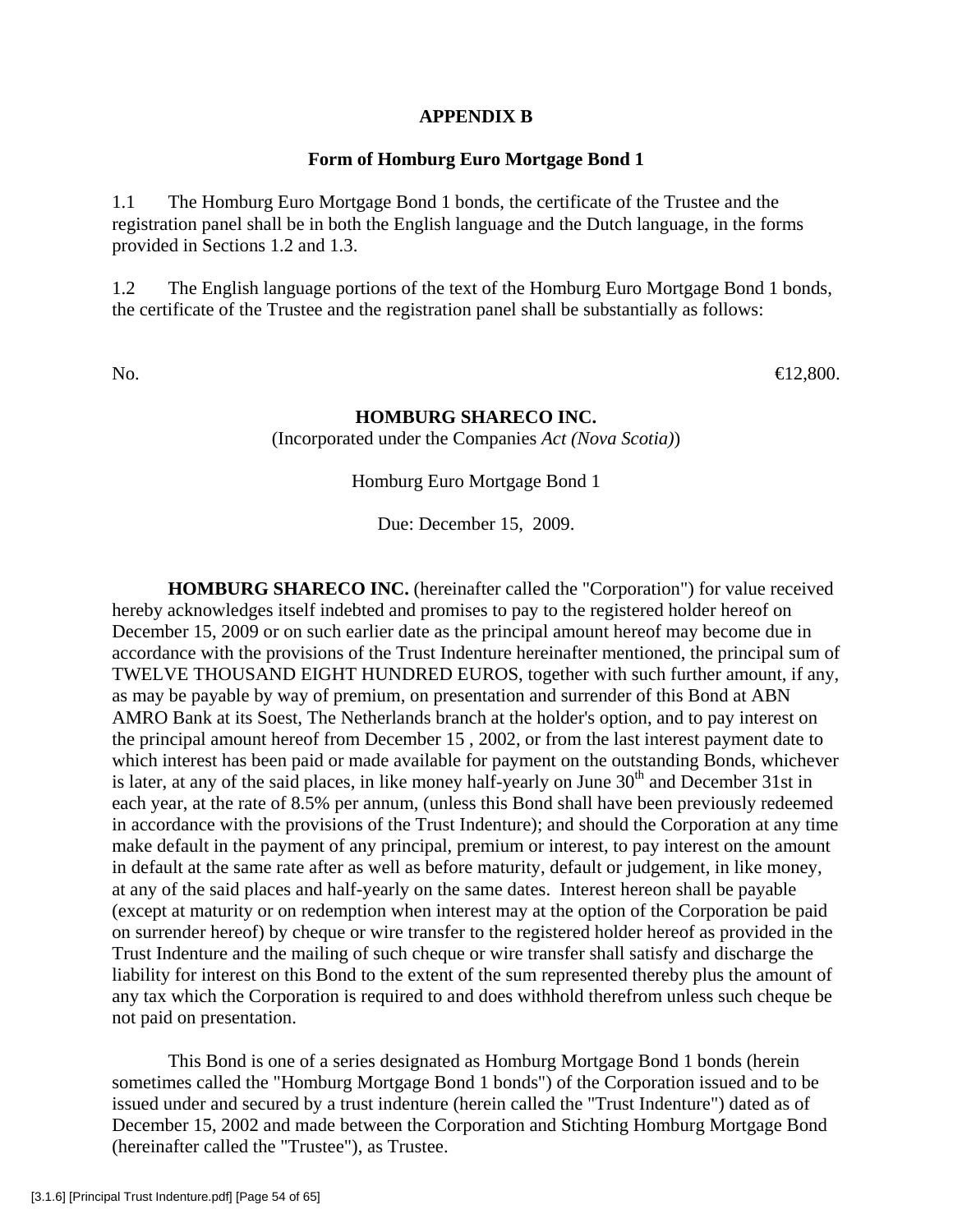# **APPENDIX B**

### **Form of Homburg Euro Mortgage Bond 1**

1.1 The Homburg Euro Mortgage Bond 1 bonds, the certificate of the Trustee and the registration panel shall be in both the English language and the Dutch language, in the forms provided in Sections 1.2 and 1.3.

1.2 The English language portions of the text of the Homburg Euro Mortgage Bond 1 bonds, the certificate of the Trustee and the registration panel shall be substantially as follows:

No.  $\bigoplus 2,800$ .

## **HOMBURG SHARECO INC.**

(Incorporated under the Companies *Act (Nova Scotia)*)

Homburg Euro Mortgage Bond 1

Due: December 15, 2009.

**HOMBURG SHARECO INC.** (hereinafter called the "Corporation") for value received hereby acknowledges itself indebted and promises to pay to the registered holder hereof on December 15, 2009 or on such earlier date as the principal amount hereof may become due in accordance with the provisions of the Trust Indenture hereinafter mentioned, the principal sum of TWELVE THOUSAND EIGHT HUNDRED EUROS, together with such further amount, if any, as may be payable by way of premium, on presentation and surrender of this Bond at ABN AMRO Bank at its Soest, The Netherlands branch at the holder's option, and to pay interest on the principal amount hereof from December 15 , 2002, or from the last interest payment date to which interest has been paid or made available for payment on the outstanding Bonds, whichever is later, at any of the said places, in like money half-yearly on June 30<sup>th</sup> and December 31st in each year, at the rate of 8.5% per annum, (unless this Bond shall have been previously redeemed in accordance with the provisions of the Trust Indenture); and should the Corporation at any time make default in the payment of any principal, premium or interest, to pay interest on the amount in default at the same rate after as well as before maturity, default or judgement, in like money, at any of the said places and half-yearly on the same dates. Interest hereon shall be payable (except at maturity or on redemption when interest may at the option of the Corporation be paid on surrender hereof) by cheque or wire transfer to the registered holder hereof as provided in the Trust Indenture and the mailing of such cheque or wire transfer shall satisfy and discharge the liability for interest on this Bond to the extent of the sum represented thereby plus the amount of any tax which the Corporation is required to and does withhold therefrom unless such cheque be not paid on presentation.

 This Bond is one of a series designated as Homburg Mortgage Bond 1 bonds (herein sometimes called the "Homburg Mortgage Bond 1 bonds") of the Corporation issued and to be issued under and secured by a trust indenture (herein called the "Trust Indenture") dated as of December 15, 2002 and made between the Corporation and Stichting Homburg Mortgage Bond (hereinafter called the "Trustee"), as Trustee.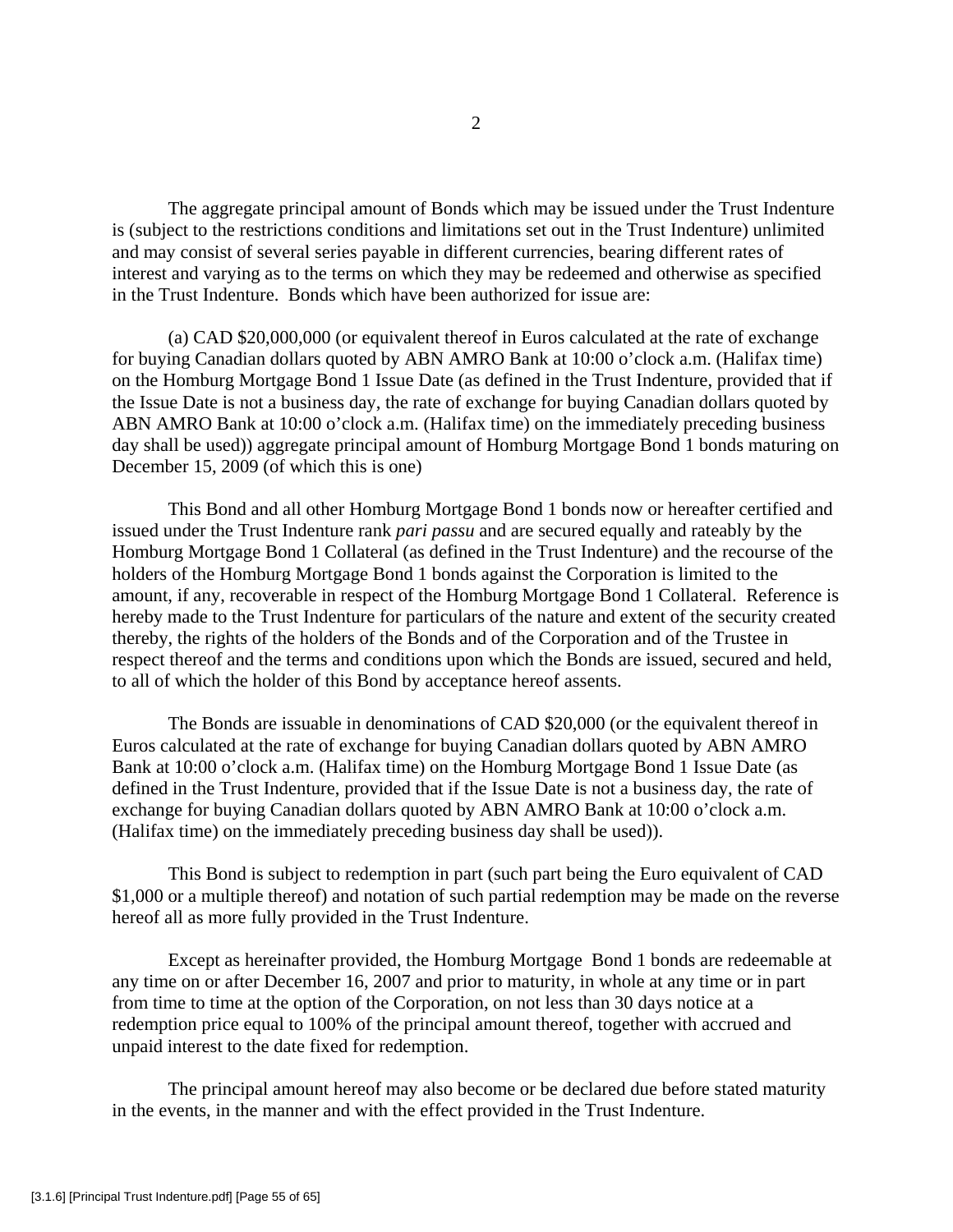The aggregate principal amount of Bonds which may be issued under the Trust Indenture is (subject to the restrictions conditions and limitations set out in the Trust Indenture) unlimited and may consist of several series payable in different currencies, bearing different rates of interest and varying as to the terms on which they may be redeemed and otherwise as specified in the Trust Indenture. Bonds which have been authorized for issue are:

 (a) CAD \$20,000,000 (or equivalent thereof in Euros calculated at the rate of exchange for buying Canadian dollars quoted by ABN AMRO Bank at 10:00 o'clock a.m. (Halifax time) on the Homburg Mortgage Bond 1 Issue Date (as defined in the Trust Indenture, provided that if the Issue Date is not a business day, the rate of exchange for buying Canadian dollars quoted by ABN AMRO Bank at 10:00 o'clock a.m. (Halifax time) on the immediately preceding business day shall be used)) aggregate principal amount of Homburg Mortgage Bond 1 bonds maturing on December 15, 2009 (of which this is one)

 This Bond and all other Homburg Mortgage Bond 1 bonds now or hereafter certified and issued under the Trust Indenture rank *pari passu* and are secured equally and rateably by the Homburg Mortgage Bond 1 Collateral (as defined in the Trust Indenture) and the recourse of the holders of the Homburg Mortgage Bond 1 bonds against the Corporation is limited to the amount, if any, recoverable in respect of the Homburg Mortgage Bond 1 Collateral. Reference is hereby made to the Trust Indenture for particulars of the nature and extent of the security created thereby, the rights of the holders of the Bonds and of the Corporation and of the Trustee in respect thereof and the terms and conditions upon which the Bonds are issued, secured and held, to all of which the holder of this Bond by acceptance hereof assents.

 The Bonds are issuable in denominations of CAD \$20,000 (or the equivalent thereof in Euros calculated at the rate of exchange for buying Canadian dollars quoted by ABN AMRO Bank at 10:00 o'clock a.m. (Halifax time) on the Homburg Mortgage Bond 1 Issue Date (as defined in the Trust Indenture, provided that if the Issue Date is not a business day, the rate of exchange for buying Canadian dollars quoted by ABN AMRO Bank at 10:00 o'clock a.m. (Halifax time) on the immediately preceding business day shall be used)).

 This Bond is subject to redemption in part (such part being the Euro equivalent of CAD \$1,000 or a multiple thereof) and notation of such partial redemption may be made on the reverse hereof all as more fully provided in the Trust Indenture.

 Except as hereinafter provided, the Homburg Mortgage Bond 1 bonds are redeemable at any time on or after December 16, 2007 and prior to maturity, in whole at any time or in part from time to time at the option of the Corporation, on not less than 30 days notice at a redemption price equal to 100% of the principal amount thereof, together with accrued and unpaid interest to the date fixed for redemption.

 The principal amount hereof may also become or be declared due before stated maturity in the events, in the manner and with the effect provided in the Trust Indenture.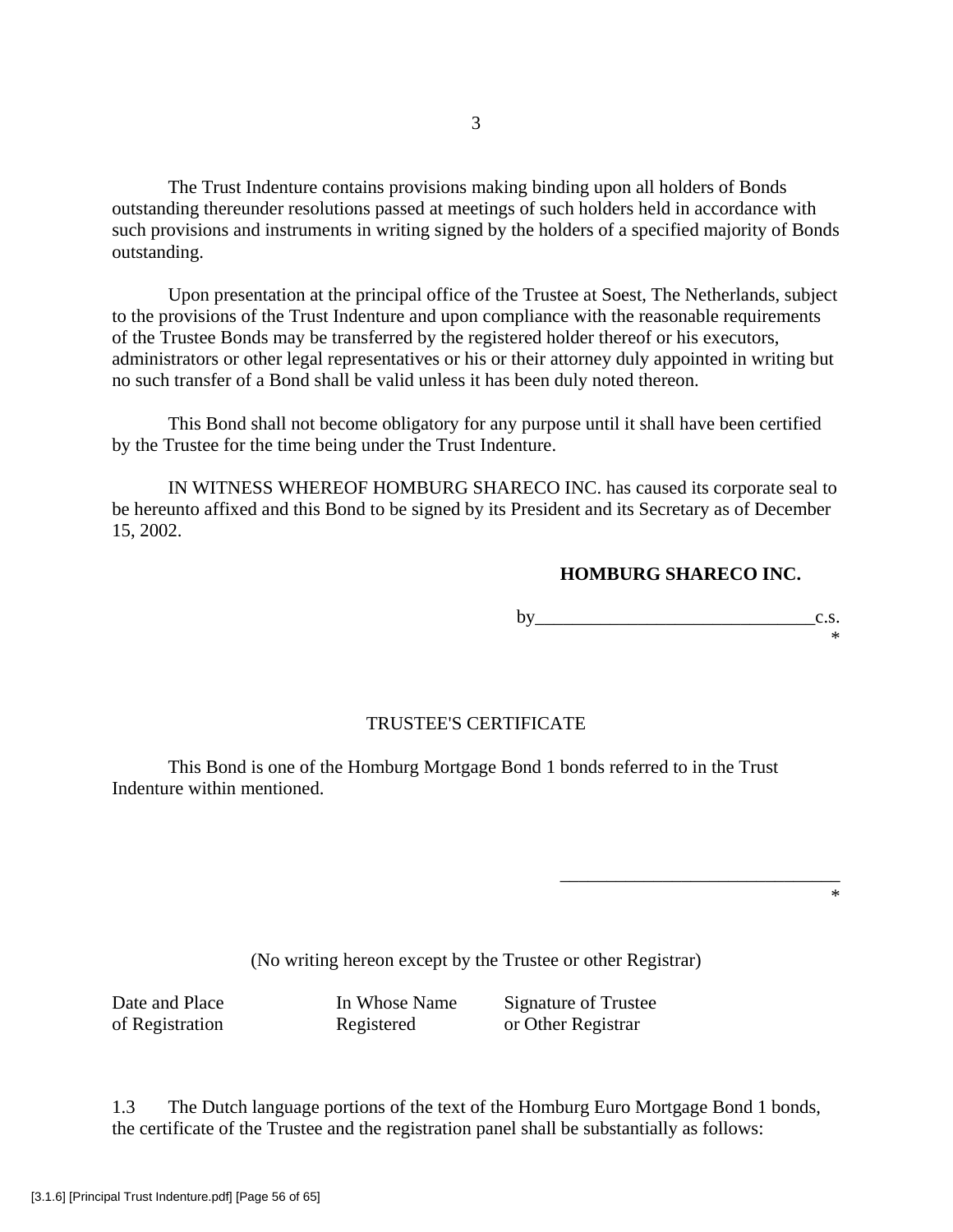The Trust Indenture contains provisions making binding upon all holders of Bonds outstanding thereunder resolutions passed at meetings of such holders held in accordance with such provisions and instruments in writing signed by the holders of a specified majority of Bonds outstanding.

 Upon presentation at the principal office of the Trustee at Soest, The Netherlands, subject to the provisions of the Trust Indenture and upon compliance with the reasonable requirements of the Trustee Bonds may be transferred by the registered holder thereof or his executors, administrators or other legal representatives or his or their attorney duly appointed in writing but no such transfer of a Bond shall be valid unless it has been duly noted thereon.

 This Bond shall not become obligatory for any purpose until it shall have been certified by the Trustee for the time being under the Trust Indenture.

 IN WITNESS WHEREOF HOMBURG SHARECO INC. has caused its corporate seal to be hereunto affixed and this Bond to be signed by its President and its Secretary as of December 15, 2002.

# **HOMBURG SHARECO INC.**

by  $\qquad c.s.$ \*

# TRUSTEE'S CERTIFICATE

 This Bond is one of the Homburg Mortgage Bond 1 bonds referred to in the Trust Indenture within mentioned.

\*

(No writing hereon except by the Trustee or other Registrar)

 $\overline{\phantom{a}}$  , which is a constant of the constant of the constant of the constant of the constant of the constant of the constant of the constant of the constant of the constant of the constant of the constant of the cons

Date and Place In Whose Name Signature of Trustee of Registration Registered or Other Registrar

1.3 The Dutch language portions of the text of the Homburg Euro Mortgage Bond 1 bonds, the certificate of the Trustee and the registration panel shall be substantially as follows: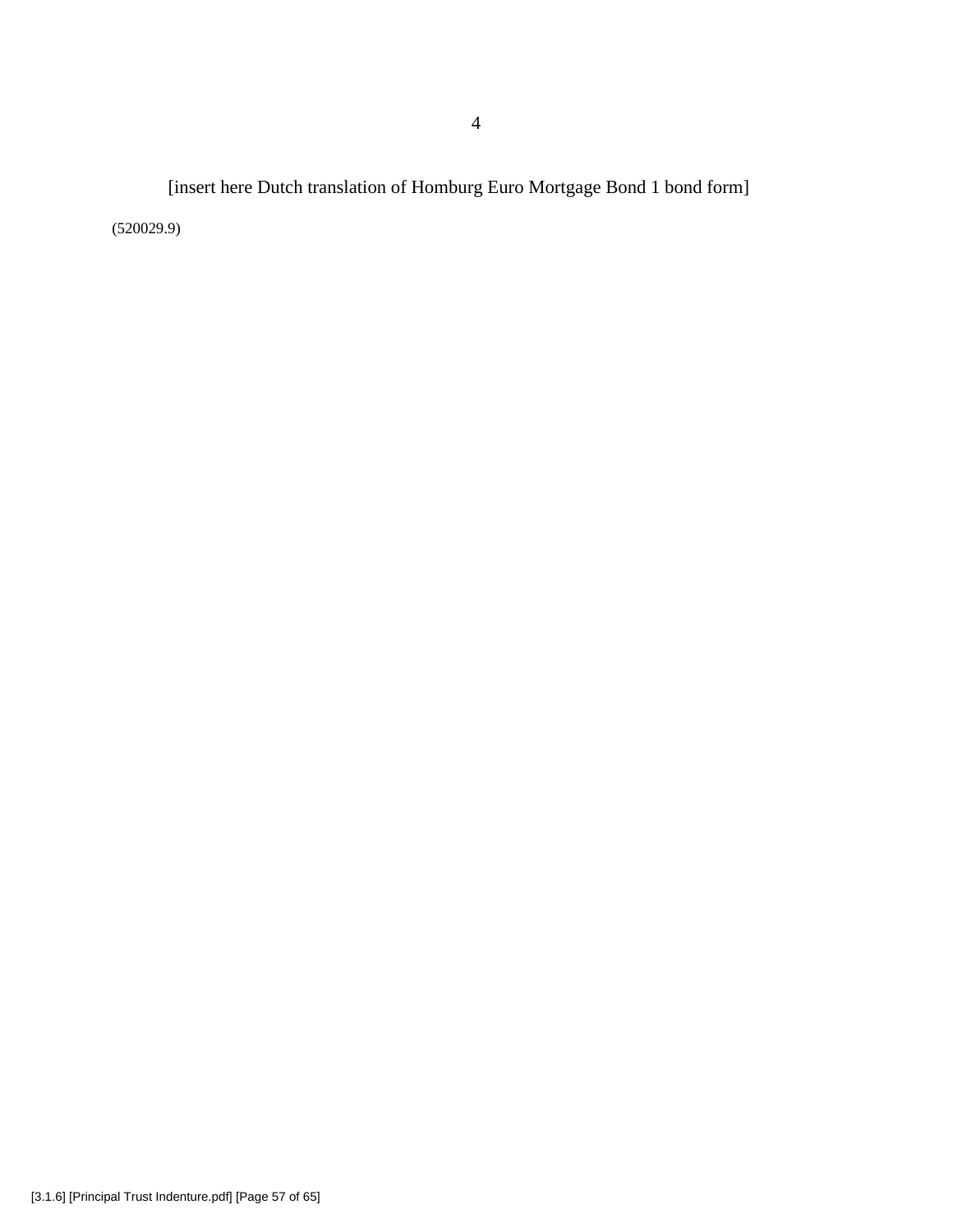[insert here Dutch translation of Homburg Euro Mortgage Bond 1 bond form] (520029.9)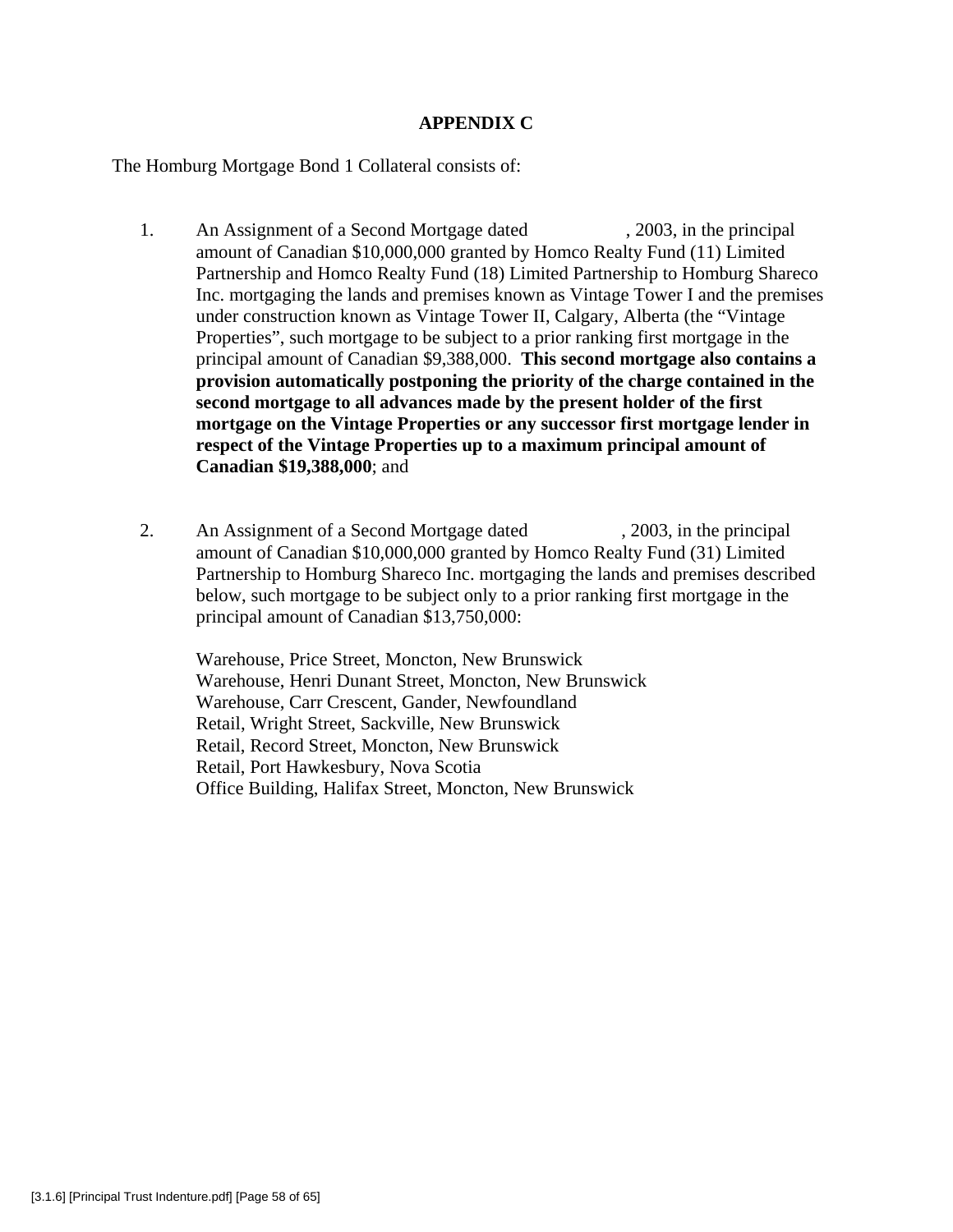# **APPENDIX C**

The Homburg Mortgage Bond 1 Collateral consists of:

- 1. An Assignment of a Second Mortgage dated . 2003, in the principal amount of Canadian \$10,000,000 granted by Homco Realty Fund (11) Limited Partnership and Homco Realty Fund (18) Limited Partnership to Homburg Shareco Inc. mortgaging the lands and premises known as Vintage Tower I and the premises under construction known as Vintage Tower II, Calgary, Alberta (the "Vintage Properties", such mortgage to be subject to a prior ranking first mortgage in the principal amount of Canadian \$9,388,000. **This second mortgage also contains a provision automatically postponing the priority of the charge contained in the second mortgage to all advances made by the present holder of the first mortgage on the Vintage Properties or any successor first mortgage lender in respect of the Vintage Properties up to a maximum principal amount of Canadian \$19,388,000**; and
- 2. An Assignment of a Second Mortgage dated , 2003, in the principal amount of Canadian \$10,000,000 granted by Homco Realty Fund (31) Limited Partnership to Homburg Shareco Inc. mortgaging the lands and premises described below, such mortgage to be subject only to a prior ranking first mortgage in the principal amount of Canadian \$13,750,000:

Warehouse, Price Street, Moncton, New Brunswick Warehouse, Henri Dunant Street, Moncton, New Brunswick Warehouse, Carr Crescent, Gander, Newfoundland Retail, Wright Street, Sackville, New Brunswick Retail, Record Street, Moncton, New Brunswick Retail, Port Hawkesbury, Nova Scotia Office Building, Halifax Street, Moncton, New Brunswick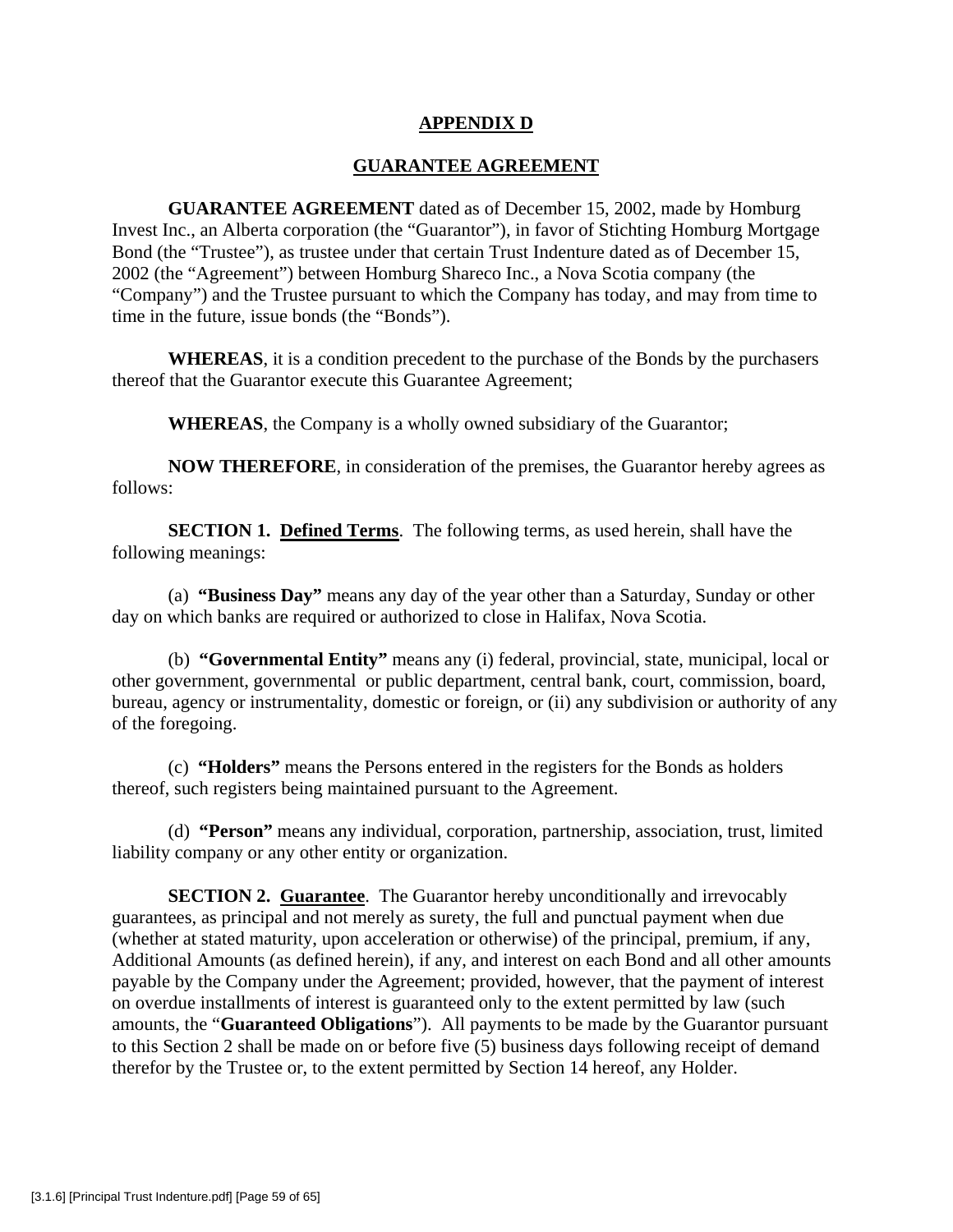# **APPENDIX D**

# **GUARANTEE AGREEMENT**

**GUARANTEE AGREEMENT** dated as of December 15, 2002, made by Homburg Invest Inc., an Alberta corporation (the "Guarantor"), in favor of Stichting Homburg Mortgage Bond (the "Trustee"), as trustee under that certain Trust Indenture dated as of December 15, 2002 (the "Agreement") between Homburg Shareco Inc., a Nova Scotia company (the "Company") and the Trustee pursuant to which the Company has today, and may from time to time in the future, issue bonds (the "Bonds").

**WHEREAS**, it is a condition precedent to the purchase of the Bonds by the purchasers thereof that the Guarantor execute this Guarantee Agreement;

**WHEREAS**, the Company is a wholly owned subsidiary of the Guarantor;

**NOW THEREFORE**, in consideration of the premises, the Guarantor hereby agrees as follows:

**SECTION 1. Defined Terms**. The following terms, as used herein, shall have the following meanings:

(a) **"Business Day"** means any day of the year other than a Saturday, Sunday or other day on which banks are required or authorized to close in Halifax, Nova Scotia.

(b) **"Governmental Entity"** means any (i) federal, provincial, state, municipal, local or other government, governmental or public department, central bank, court, commission, board, bureau, agency or instrumentality, domestic or foreign, or (ii) any subdivision or authority of any of the foregoing.

(c) **"Holders"** means the Persons entered in the registers for the Bonds as holders thereof, such registers being maintained pursuant to the Agreement.

(d) **"Person"** means any individual, corporation, partnership, association, trust, limited liability company or any other entity or organization.

**SECTION 2. Guarantee**. The Guarantor hereby unconditionally and irrevocably guarantees, as principal and not merely as surety, the full and punctual payment when due (whether at stated maturity, upon acceleration or otherwise) of the principal, premium, if any, Additional Amounts (as defined herein), if any, and interest on each Bond and all other amounts payable by the Company under the Agreement; provided, however, that the payment of interest on overdue installments of interest is guaranteed only to the extent permitted by law (such amounts, the "**Guaranteed Obligations**"). All payments to be made by the Guarantor pursuant to this Section 2 shall be made on or before five (5) business days following receipt of demand therefor by the Trustee or, to the extent permitted by Section 14 hereof, any Holder.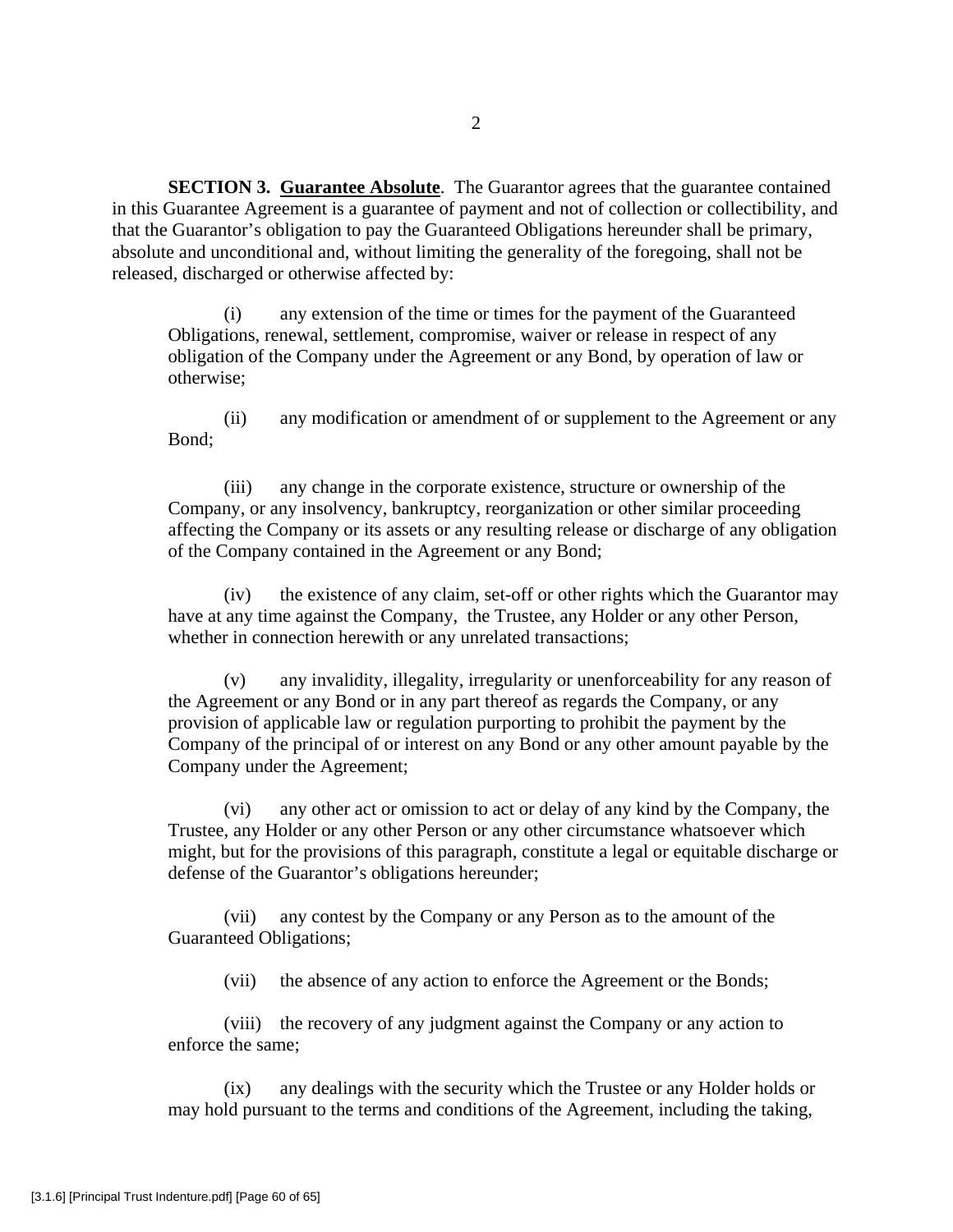**SECTION 3. Guarantee Absolute**. The Guarantor agrees that the guarantee contained in this Guarantee Agreement is a guarantee of payment and not of collection or collectibility, and that the Guarantor's obligation to pay the Guaranteed Obligations hereunder shall be primary, absolute and unconditional and, without limiting the generality of the foregoing, shall not be released, discharged or otherwise affected by:

(i) any extension of the time or times for the payment of the Guaranteed Obligations, renewal, settlement, compromise, waiver or release in respect of any obligation of the Company under the Agreement or any Bond, by operation of law or otherwise;

(ii) any modification or amendment of or supplement to the Agreement or any Bond;

(iii) any change in the corporate existence, structure or ownership of the Company, or any insolvency, bankruptcy, reorganization or other similar proceeding affecting the Company or its assets or any resulting release or discharge of any obligation of the Company contained in the Agreement or any Bond;

(iv) the existence of any claim, set-off or other rights which the Guarantor may have at any time against the Company, the Trustee, any Holder or any other Person, whether in connection herewith or any unrelated transactions;

(v) any invalidity, illegality, irregularity or unenforceability for any reason of the Agreement or any Bond or in any part thereof as regards the Company, or any provision of applicable law or regulation purporting to prohibit the payment by the Company of the principal of or interest on any Bond or any other amount payable by the Company under the Agreement;

(vi) any other act or omission to act or delay of any kind by the Company, the Trustee, any Holder or any other Person or any other circumstance whatsoever which might, but for the provisions of this paragraph, constitute a legal or equitable discharge or defense of the Guarantor's obligations hereunder;

(vii) any contest by the Company or any Person as to the amount of the Guaranteed Obligations;

(vii) the absence of any action to enforce the Agreement or the Bonds;

(viii) the recovery of any judgment against the Company or any action to enforce the same;

(ix) any dealings with the security which the Trustee or any Holder holds or may hold pursuant to the terms and conditions of the Agreement, including the taking,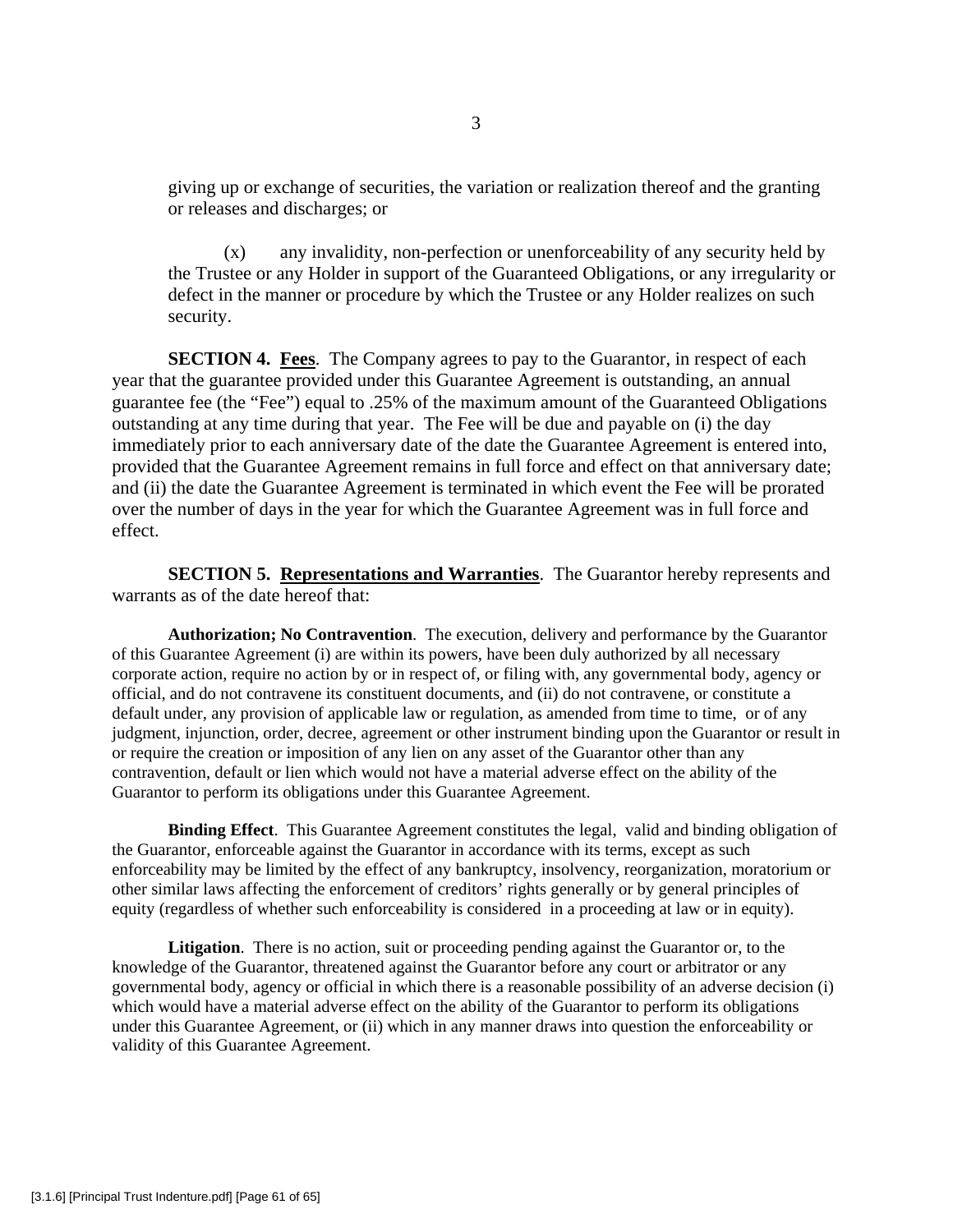giving up or exchange of securities, the variation or realization thereof and the granting or releases and discharges; or

(x) any invalidity, non-perfection or unenforceability of any security held by the Trustee or any Holder in support of the Guaranteed Obligations, or any irregularity or defect in the manner or procedure by which the Trustee or any Holder realizes on such security.

**SECTION 4. Fees**. The Company agrees to pay to the Guarantor, in respect of each year that the guarantee provided under this Guarantee Agreement is outstanding, an annual guarantee fee (the "Fee") equal to .25% of the maximum amount of the Guaranteed Obligations outstanding at any time during that year. The Fee will be due and payable on (i) the day immediately prior to each anniversary date of the date the Guarantee Agreement is entered into, provided that the Guarantee Agreement remains in full force and effect on that anniversary date; and (ii) the date the Guarantee Agreement is terminated in which event the Fee will be prorated over the number of days in the year for which the Guarantee Agreement was in full force and effect.

**SECTION 5. Representations and Warranties**. The Guarantor hereby represents and warrants as of the date hereof that:

**Authorization; No Contravention**. The execution, delivery and performance by the Guarantor of this Guarantee Agreement (i) are within its powers, have been duly authorized by all necessary corporate action, require no action by or in respect of, or filing with, any governmental body, agency or official, and do not contravene its constituent documents, and (ii) do not contravene, or constitute a default under, any provision of applicable law or regulation, as amended from time to time, or of any judgment, injunction, order, decree, agreement or other instrument binding upon the Guarantor or result in or require the creation or imposition of any lien on any asset of the Guarantor other than any contravention, default or lien which would not have a material adverse effect on the ability of the Guarantor to perform its obligations under this Guarantee Agreement.

**Binding Effect**. This Guarantee Agreement constitutes the legal, valid and binding obligation of the Guarantor, enforceable against the Guarantor in accordance with its terms, except as such enforceability may be limited by the effect of any bankruptcy, insolvency, reorganization, moratorium or other similar laws affecting the enforcement of creditors' rights generally or by general principles of equity (regardless of whether such enforceability is considered in a proceeding at law or in equity).

**Litigation**. There is no action, suit or proceeding pending against the Guarantor or, to the knowledge of the Guarantor, threatened against the Guarantor before any court or arbitrator or any governmental body, agency or official in which there is a reasonable possibility of an adverse decision (i) which would have a material adverse effect on the ability of the Guarantor to perform its obligations under this Guarantee Agreement, or (ii) which in any manner draws into question the enforceability or validity of this Guarantee Agreement.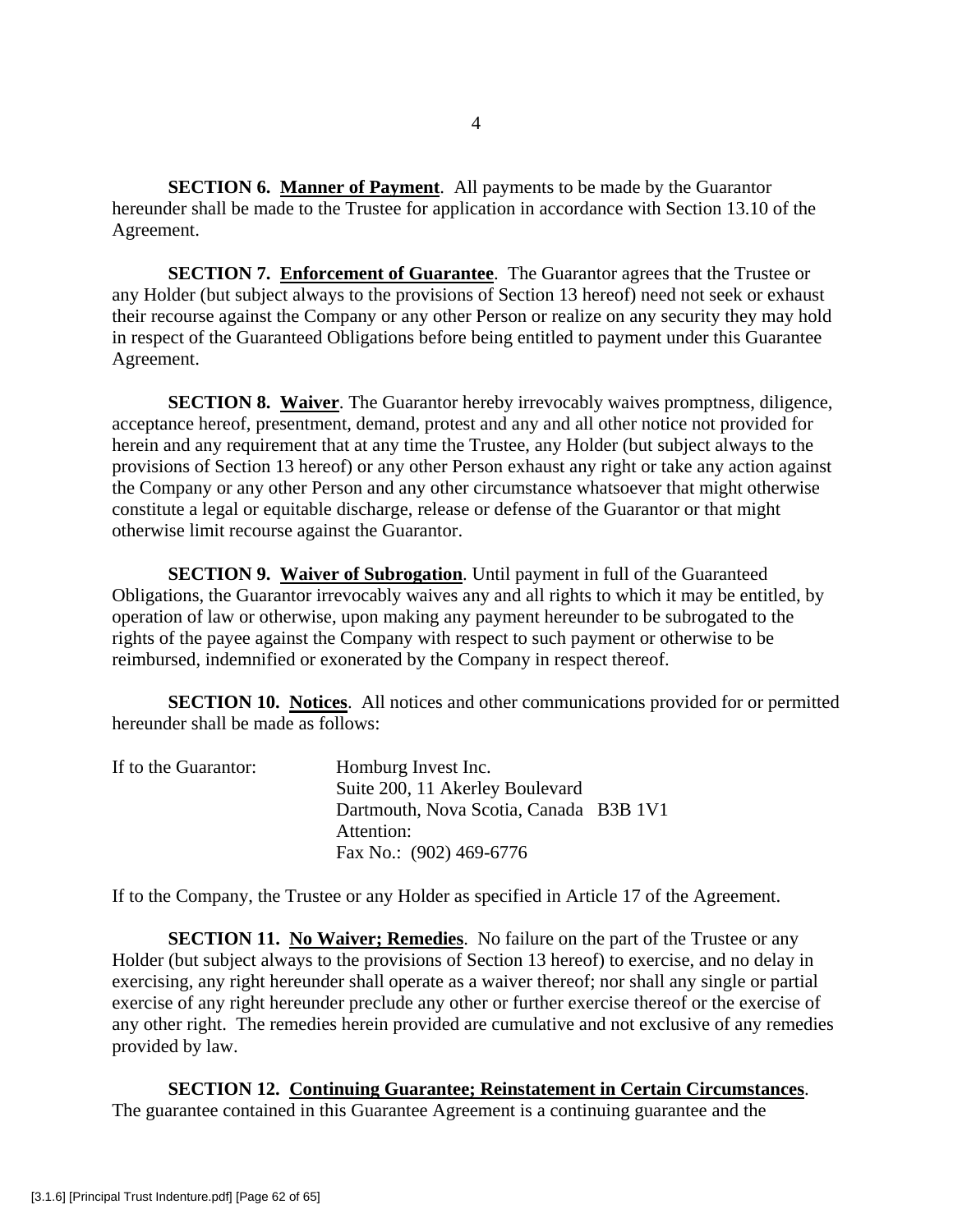**SECTION 6. Manner of Payment**. All payments to be made by the Guarantor hereunder shall be made to the Trustee for application in accordance with Section 13.10 of the Agreement.

**SECTION 7. Enforcement of Guarantee**. The Guarantor agrees that the Trustee or any Holder (but subject always to the provisions of Section 13 hereof) need not seek or exhaust their recourse against the Company or any other Person or realize on any security they may hold in respect of the Guaranteed Obligations before being entitled to payment under this Guarantee Agreement.

**SECTION 8. Waiver**. The Guarantor hereby irrevocably waives promptness, diligence, acceptance hereof, presentment, demand, protest and any and all other notice not provided for herein and any requirement that at any time the Trustee, any Holder (but subject always to the provisions of Section 13 hereof) or any other Person exhaust any right or take any action against the Company or any other Person and any other circumstance whatsoever that might otherwise constitute a legal or equitable discharge, release or defense of the Guarantor or that might otherwise limit recourse against the Guarantor.

**SECTION 9. Waiver of Subrogation**. Until payment in full of the Guaranteed Obligations, the Guarantor irrevocably waives any and all rights to which it may be entitled, by operation of law or otherwise, upon making any payment hereunder to be subrogated to the rights of the payee against the Company with respect to such payment or otherwise to be reimbursed, indemnified or exonerated by the Company in respect thereof.

**SECTION 10. Notices**. All notices and other communications provided for or permitted hereunder shall be made as follows:

| If to the Guarantor: | Homburg Invest Inc.                    |  |
|----------------------|----------------------------------------|--|
|                      | Suite 200, 11 Akerley Boulevard        |  |
|                      | Dartmouth, Nova Scotia, Canada B3B 1V1 |  |
|                      | Attention:                             |  |
|                      | Fax No.: (902) 469-6776                |  |

If to the Company, the Trustee or any Holder as specified in Article 17 of the Agreement.

**SECTION 11. No Waiver; Remedies.** No failure on the part of the Trustee or any Holder (but subject always to the provisions of Section 13 hereof) to exercise, and no delay in exercising, any right hereunder shall operate as a waiver thereof; nor shall any single or partial exercise of any right hereunder preclude any other or further exercise thereof or the exercise of any other right. The remedies herein provided are cumulative and not exclusive of any remedies provided by law.

**SECTION 12. Continuing Guarantee; Reinstatement in Certain Circumstances**. The guarantee contained in this Guarantee Agreement is a continuing guarantee and the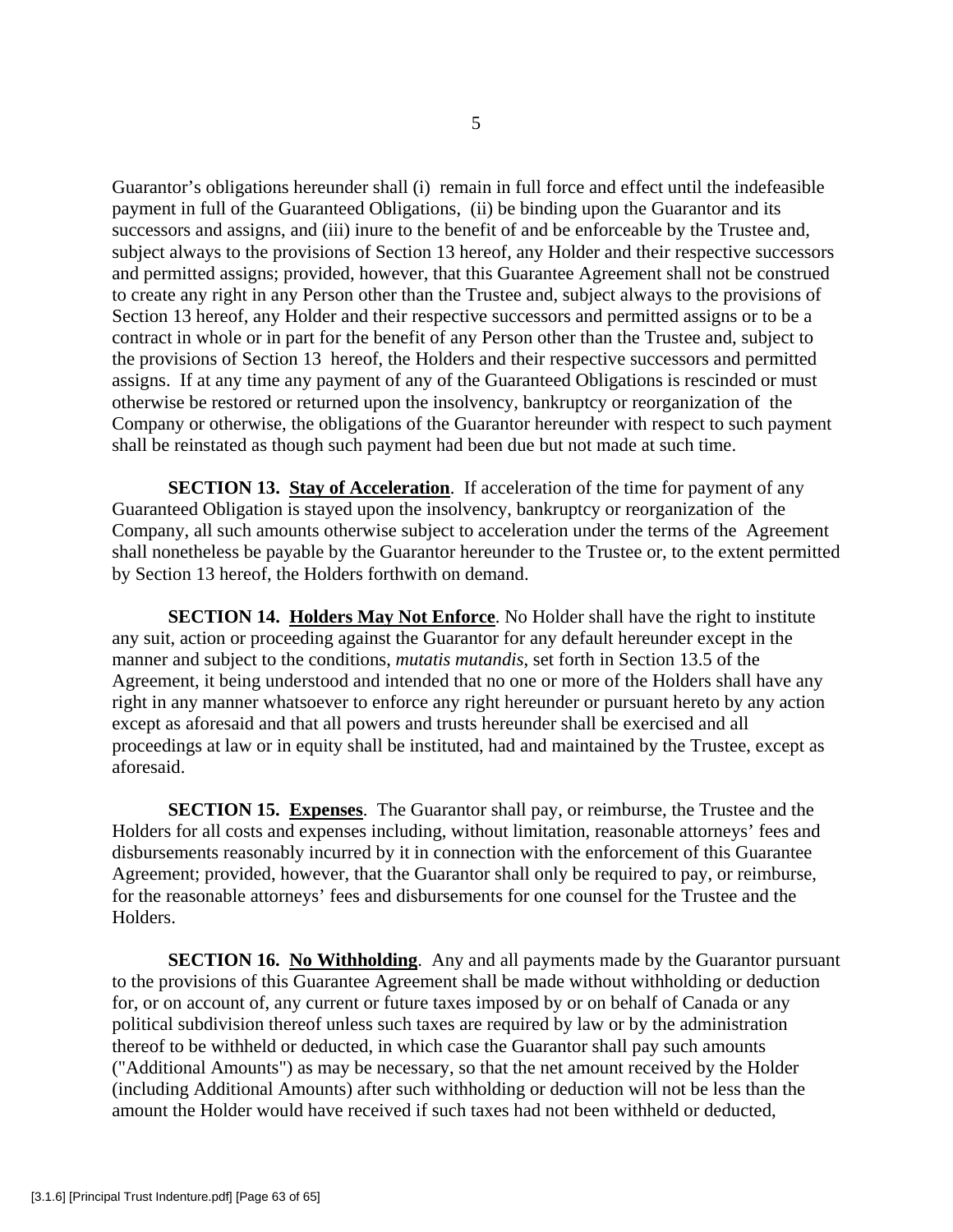Guarantor's obligations hereunder shall (i) remain in full force and effect until the indefeasible payment in full of the Guaranteed Obligations, (ii) be binding upon the Guarantor and its successors and assigns, and (iii) inure to the benefit of and be enforceable by the Trustee and, subject always to the provisions of Section 13 hereof, any Holder and their respective successors and permitted assigns; provided, however, that this Guarantee Agreement shall not be construed to create any right in any Person other than the Trustee and, subject always to the provisions of Section 13 hereof, any Holder and their respective successors and permitted assigns or to be a contract in whole or in part for the benefit of any Person other than the Trustee and, subject to the provisions of Section 13 hereof, the Holders and their respective successors and permitted assigns. If at any time any payment of any of the Guaranteed Obligations is rescinded or must otherwise be restored or returned upon the insolvency, bankruptcy or reorganization of the Company or otherwise, the obligations of the Guarantor hereunder with respect to such payment shall be reinstated as though such payment had been due but not made at such time.

**SECTION 13. Stay of Acceleration.** If acceleration of the time for payment of any Guaranteed Obligation is stayed upon the insolvency, bankruptcy or reorganization of the Company, all such amounts otherwise subject to acceleration under the terms of the Agreement shall nonetheless be payable by the Guarantor hereunder to the Trustee or, to the extent permitted by Section 13 hereof, the Holders forthwith on demand.

**SECTION 14. Holders May Not Enforce**. No Holder shall have the right to institute any suit, action or proceeding against the Guarantor for any default hereunder except in the manner and subject to the conditions, *mutatis mutandis*, set forth in Section 13.5 of the Agreement, it being understood and intended that no one or more of the Holders shall have any right in any manner whatsoever to enforce any right hereunder or pursuant hereto by any action except as aforesaid and that all powers and trusts hereunder shall be exercised and all proceedings at law or in equity shall be instituted, had and maintained by the Trustee, except as aforesaid.

**SECTION 15. Expenses**. The Guarantor shall pay, or reimburse, the Trustee and the Holders for all costs and expenses including, without limitation, reasonable attorneys' fees and disbursements reasonably incurred by it in connection with the enforcement of this Guarantee Agreement; provided, however, that the Guarantor shall only be required to pay, or reimburse, for the reasonable attorneys' fees and disbursements for one counsel for the Trustee and the Holders.

**SECTION 16. No Withholding**. Any and all payments made by the Guarantor pursuant to the provisions of this Guarantee Agreement shall be made without withholding or deduction for, or on account of, any current or future taxes imposed by or on behalf of Canada or any political subdivision thereof unless such taxes are required by law or by the administration thereof to be withheld or deducted, in which case the Guarantor shall pay such amounts ("Additional Amounts") as may be necessary, so that the net amount received by the Holder (including Additional Amounts) after such withholding or deduction will not be less than the amount the Holder would have received if such taxes had not been withheld or deducted,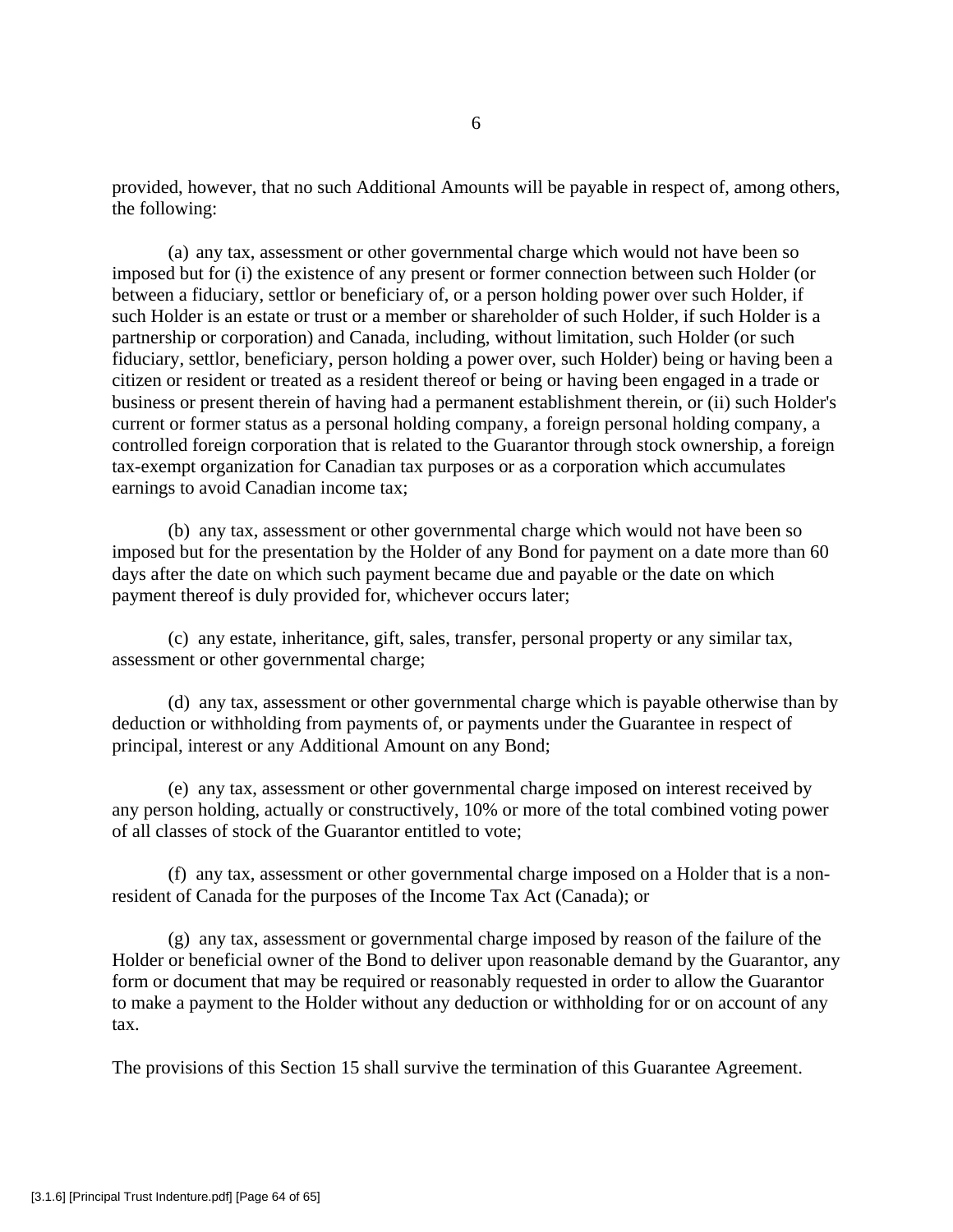provided, however, that no such Additional Amounts will be payable in respect of, among others, the following:

(a) any tax, assessment or other governmental charge which would not have been so imposed but for (i) the existence of any present or former connection between such Holder (or between a fiduciary, settlor or beneficiary of, or a person holding power over such Holder, if such Holder is an estate or trust or a member or shareholder of such Holder, if such Holder is a partnership or corporation) and Canada, including, without limitation, such Holder (or such fiduciary, settlor, beneficiary, person holding a power over, such Holder) being or having been a citizen or resident or treated as a resident thereof or being or having been engaged in a trade or business or present therein of having had a permanent establishment therein, or (ii) such Holder's current or former status as a personal holding company, a foreign personal holding company, a controlled foreign corporation that is related to the Guarantor through stock ownership, a foreign tax-exempt organization for Canadian tax purposes or as a corporation which accumulates earnings to avoid Canadian income tax;

(b) any tax, assessment or other governmental charge which would not have been so imposed but for the presentation by the Holder of any Bond for payment on a date more than 60 days after the date on which such payment became due and payable or the date on which payment thereof is duly provided for, whichever occurs later;

(c) any estate, inheritance, gift, sales, transfer, personal property or any similar tax, assessment or other governmental charge;

(d) any tax, assessment or other governmental charge which is payable otherwise than by deduction or withholding from payments of, or payments under the Guarantee in respect of principal, interest or any Additional Amount on any Bond;

(e) any tax, assessment or other governmental charge imposed on interest received by any person holding, actually or constructively, 10% or more of the total combined voting power of all classes of stock of the Guarantor entitled to vote;

(f) any tax, assessment or other governmental charge imposed on a Holder that is a nonresident of Canada for the purposes of the Income Tax Act (Canada); or

(g) any tax, assessment or governmental charge imposed by reason of the failure of the Holder or beneficial owner of the Bond to deliver upon reasonable demand by the Guarantor, any form or document that may be required or reasonably requested in order to allow the Guarantor to make a payment to the Holder without any deduction or withholding for or on account of any tax.

The provisions of this Section 15 shall survive the termination of this Guarantee Agreement.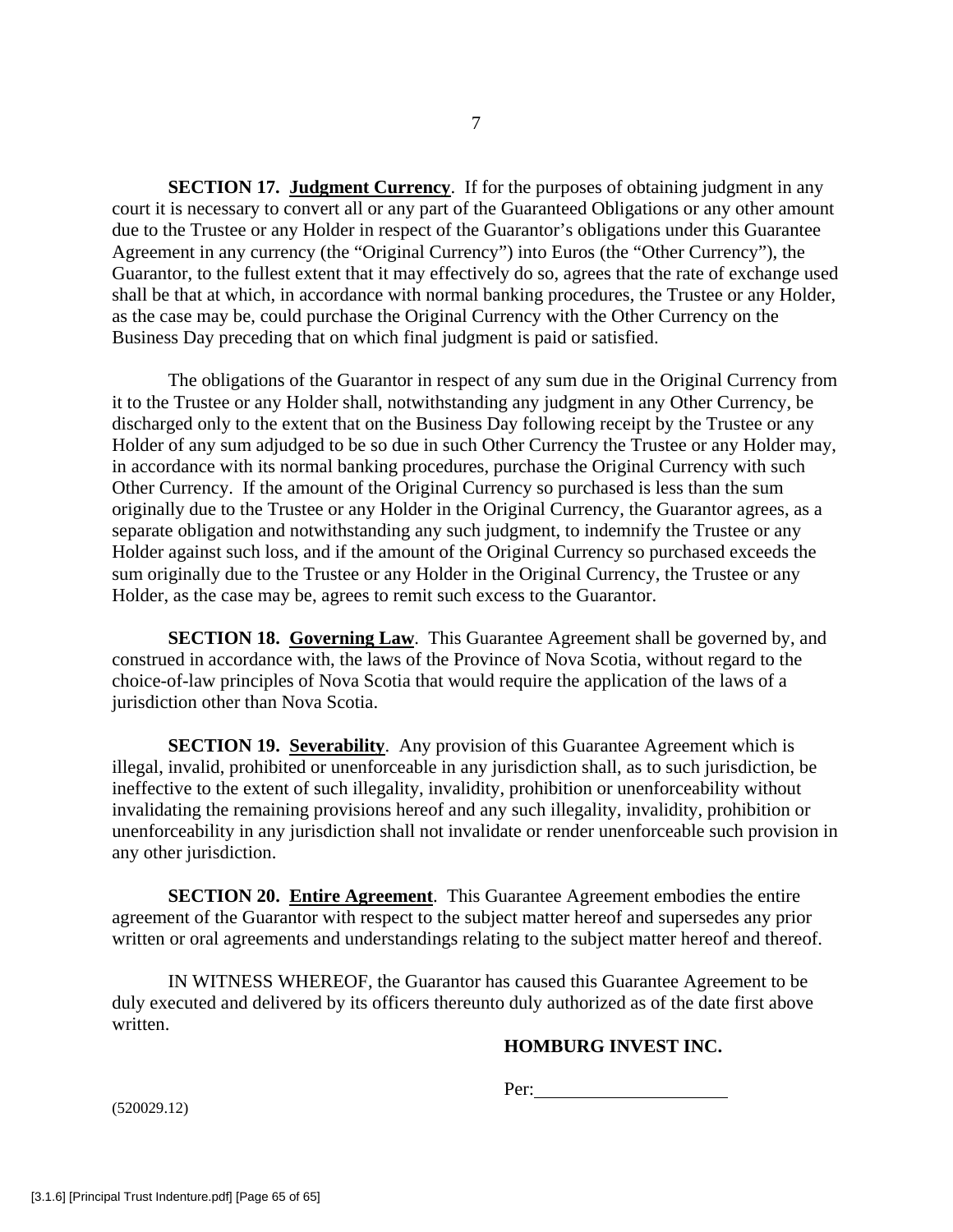**SECTION 17. Judgment Currency.** If for the purposes of obtaining judgment in any court it is necessary to convert all or any part of the Guaranteed Obligations or any other amount due to the Trustee or any Holder in respect of the Guarantor's obligations under this Guarantee Agreement in any currency (the "Original Currency") into Euros (the "Other Currency"), the Guarantor, to the fullest extent that it may effectively do so, agrees that the rate of exchange used shall be that at which, in accordance with normal banking procedures, the Trustee or any Holder, as the case may be, could purchase the Original Currency with the Other Currency on the Business Day preceding that on which final judgment is paid or satisfied.

The obligations of the Guarantor in respect of any sum due in the Original Currency from it to the Trustee or any Holder shall, notwithstanding any judgment in any Other Currency, be discharged only to the extent that on the Business Day following receipt by the Trustee or any Holder of any sum adjudged to be so due in such Other Currency the Trustee or any Holder may, in accordance with its normal banking procedures, purchase the Original Currency with such Other Currency. If the amount of the Original Currency so purchased is less than the sum originally due to the Trustee or any Holder in the Original Currency, the Guarantor agrees, as a separate obligation and notwithstanding any such judgment, to indemnify the Trustee or any Holder against such loss, and if the amount of the Original Currency so purchased exceeds the sum originally due to the Trustee or any Holder in the Original Currency, the Trustee or any Holder, as the case may be, agrees to remit such excess to the Guarantor.

**SECTION 18. Governing Law**. This Guarantee Agreement shall be governed by, and construed in accordance with, the laws of the Province of Nova Scotia, without regard to the choice-of-law principles of Nova Scotia that would require the application of the laws of a jurisdiction other than Nova Scotia.

**SECTION 19. Severability.** Any provision of this Guarantee Agreement which is illegal, invalid, prohibited or unenforceable in any jurisdiction shall, as to such jurisdiction, be ineffective to the extent of such illegality, invalidity, prohibition or unenforceability without invalidating the remaining provisions hereof and any such illegality, invalidity, prohibition or unenforceability in any jurisdiction shall not invalidate or render unenforceable such provision in any other jurisdiction.

**SECTION 20. Entire Agreement.** This Guarantee Agreement embodies the entire agreement of the Guarantor with respect to the subject matter hereof and supersedes any prior written or oral agreements and understandings relating to the subject matter hereof and thereof.

IN WITNESS WHEREOF, the Guarantor has caused this Guarantee Agreement to be duly executed and delivered by its officers thereunto duly authorized as of the date first above written.

# **HOMBURG INVEST INC.**

Per: